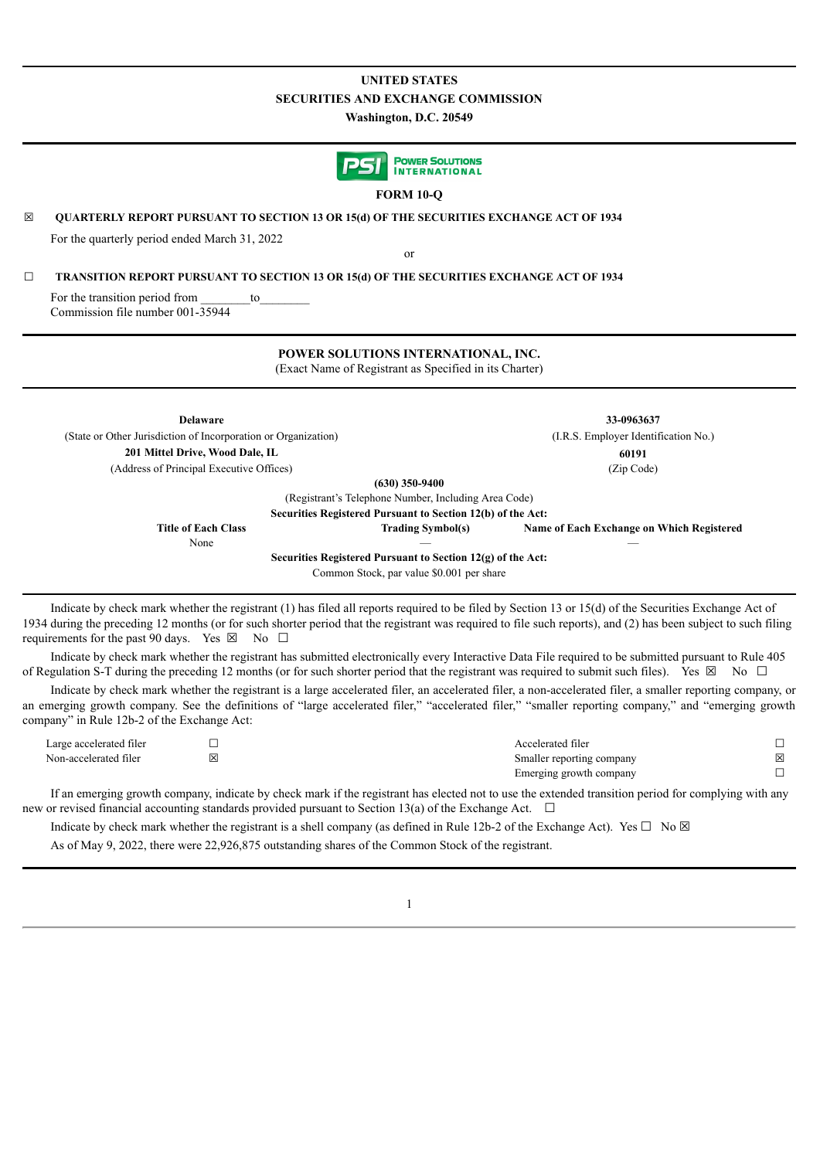# **UNITED STATES SECURITIES AND EXCHANGE COMMISSION**

**Washington, D.C. 20549**



# ☒ **QUARTERLY REPORT PURSUANT TO SECTION 13 OR 15(d) OF THE SECURITIES EXCHANGE ACT OF 1934**

For the quarterly period ended March 31, 2022

or

☐ **TRANSITION REPORT PURSUANT TO SECTION 13 OR 15(d) OF THE SECURITIES EXCHANGE ACT OF 1934**

For the transition period from to Commission file number 001-35944

# **POWER SOLUTIONS INTERNATIONAL, INC.**

(Exact Name of Registrant as Specified in its Charter)

|                                                                | 33-0963637                                |
|----------------------------------------------------------------|-------------------------------------------|
| (State or Other Jurisdiction of Incorporation or Organization) | (I.R.S. Employer Identification No.)      |
|                                                                | 60191                                     |
|                                                                | (Zip Code)                                |
| $(630)$ 350-9400                                               |                                           |
| (Registrant's Telephone Number, Including Area Code)           |                                           |
| Securities Registered Pursuant to Section 12(b) of the Act:    |                                           |
| <b>Trading Symbol(s)</b>                                       | Name of Each Exchange on Which Registered |
|                                                                |                                           |
| Securities Registered Pursuant to Section 12(g) of the Act:    |                                           |
|                                                                |                                           |

Common Stock, par value \$0.001 per share

Indicate by check mark whether the registrant (1) has filed all reports required to be filed by Section 13 or 15(d) of the Securities Exchange Act of 1934 during the preceding 12 months (or for such shorter period that the registrant was required to file such reports), and (2) has been subject to such filing requirements for the past 90 days. Yes  $\boxtimes$  No  $\Box$ 

Indicate by check mark whether the registrant has submitted electronically every Interactive Data File required to be submitted pursuant to Rule 405 of Regulation S-T during the preceding 12 months (or for such shorter period that the registrant was required to submit such files). Yes  $\boxtimes$  No  $\Box$ 

Indicate by check mark whether the registrant is a large accelerated filer, an accelerated filer, a non-accelerated filer, a smaller reporting company, or an emerging growth company. See the definitions of "large accelerated filer," "accelerated filer," "smaller reporting company," and "emerging growth company" in Rule 12b-2 of the Exchange Act:

| Large accelerated filer |   | Accelerated filer         |   |
|-------------------------|---|---------------------------|---|
| Non-accelerated filer   | ⊠ | Smaller reporting company | 図 |
|                         |   | Emerging growth company   |   |

If an emerging growth company, indicate by check mark if the registrant has elected not to use the extended transition period for complying with any new or revised financial accounting standards provided pursuant to Section 13(a) of the Exchange Act.  $\Box$ 

Indicate by check mark whether the registrant is a shell company (as defined in Rule 12b-2 of the Exchange Act). Yes  $\Box$  No  $\boxtimes$ As of May 9, 2022, there were 22,926,875 outstanding shares of the Common Stock of the registrant.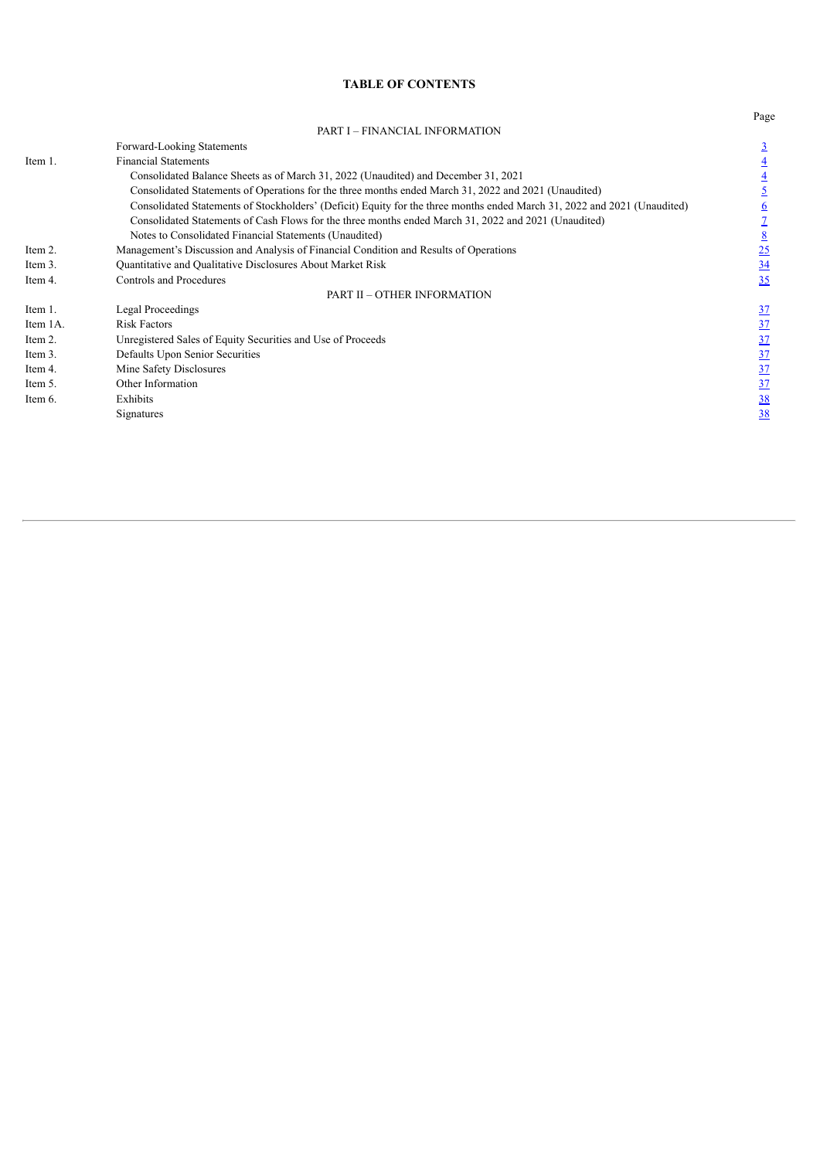# **TABLE OF CONTENTS**

# PART I – FINANCIAL INFORMATION

<span id="page-1-0"></span>

|          | Forward-Looking Statements                                                                                               | $\overline{3}$ |
|----------|--------------------------------------------------------------------------------------------------------------------------|----------------|
| Item 1.  | <b>Financial Statements</b>                                                                                              | $\overline{4}$ |
|          | Consolidated Balance Sheets as of March 31, 2022 (Unaudited) and December 31, 2021                                       |                |
|          | Consolidated Statements of Operations for the three months ended March 31, 2022 and 2021 (Unaudited)                     |                |
|          | Consolidated Statements of Stockholders' (Deficit) Equity for the three months ended March 31, 2022 and 2021 (Unaudited) | <u>6</u>       |
|          | Consolidated Statements of Cash Flows for the three months ended March 31, 2022 and 2021 (Unaudited)                     |                |
|          | Notes to Consolidated Financial Statements (Unaudited)                                                                   | 8              |
| Item 2.  | Management's Discussion and Analysis of Financial Condition and Results of Operations                                    | 25             |
| Item 3.  | Quantitative and Qualitative Disclosures About Market Risk                                                               | $\frac{34}{5}$ |
| Item 4.  | Controls and Procedures                                                                                                  | 35             |
|          | <b>PART II - OTHER INFORMATION</b>                                                                                       |                |
| Item 1.  | Legal Proceedings                                                                                                        | <u>37</u>      |
| Item 1A. | <b>Risk Factors</b>                                                                                                      | 37             |
| Item 2.  | Unregistered Sales of Equity Securities and Use of Proceeds                                                              | $\frac{37}{2}$ |
| Item 3.  | Defaults Upon Senior Securities                                                                                          | 37             |
| Item 4.  | Mine Safety Disclosures                                                                                                  | 37             |
| Item 5.  | Other Information                                                                                                        | 37             |
| Item 6.  | Exhibits                                                                                                                 | <u>38</u>      |
|          | Signatures                                                                                                               | 38             |
|          |                                                                                                                          |                |

Page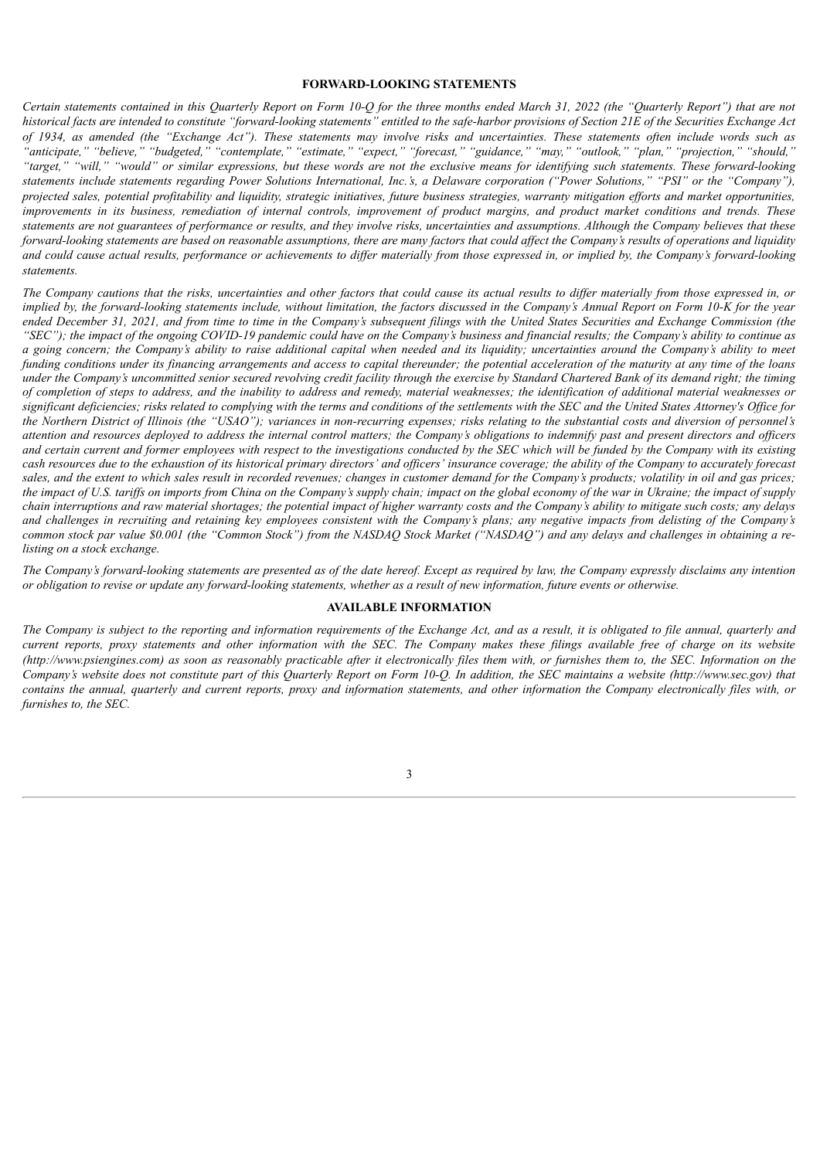#### **FORWARD-LOOKING STATEMENTS**

Certain statements contained in this Quarterly Report on Form 10-Q for the three months ended March 31, 2022 (the "Quarterly Report") that are not historical facts are intended to constitute "forward-looking statements" entitled to the safe-harbor provisions of Section 21E of the Securities Exchange Act of 1934, as amended (the "Exchange Act"). These statements may involve risks and uncertainties. These statements often include words such as "anticipate," "believe," "budgeted," "contemplate," "estimate," "expect," "forecast," "guidance," "may," "outlook," "plan," "projection," "should," "target," "will," "would" or similar expressions, but these words are not the exclusive means for identifying such statements. These forward-looking statements include statements regarding Power Solutions International, Inc.'s, a Delaware corporation ("Power Solutions," "PSI" or the "Company"), projected sales, potential profitability and liquidity, strategic initiatives, future business strategies, warranty mitigation efforts and market opportunities, improvements in its business, remediation of internal controls, improvement of product margins, and product market conditions and trends. These statements are not guarantees of performance or results, and they involve risks, uncertainties and assumptions. Although the Company believes that these forward-looking statements are based on reasonable assumptions, there are many factors that could affect the Company's results of operations and liquidity and could cause actual results, performance or achievements to differ materially from those expressed in, or implied by, the Company's forward-looking *statements.*

The Company cautions that the risks, uncertainties and other factors that could cause its actual results to differ materially from those expressed in, or implied by, the forward-looking statements include, without limitation, the factors discussed in the Company's Annual Report on Form 10-K for the year ended December 31, 2021, and from time to time in the Company's subsequent filings with the United States Securities and Exchange Commission (the "SEC"); the impact of the ongoing COVID-19 pandemic could have on the Company's business and financial results; the Company's ability to continue as a going concern; the Company's ability to raise additional capital when needed and its liquidity; uncertainties around the Company's ability to meet funding conditions under its financing arrangements and access to capital thereunder; the potential acceleration of the maturity at any time of the loans under the Company's uncommitted senior secured revolving credit facility through the exercise by Standard Chartered Bank of its demand right; the timing of completion of steps to address, and the inability to address and remedy, material weaknesses; the identification of additional material weaknesses or significant deficiencies: risks related to complying with the terms and conditions of the settlements with the SEC and the United States Attorney's Office for the Northern District of Illinois (the "USAO"); variances in non-recurring expenses; risks relating to the substantial costs and diversion of personnel's attention and resources deployed to address the internal control matters; the Company's obligations to indemnify past and present directors and officers and certain current and former employees with respect to the investigations conducted by the SEC which will be funded by the Company with its existing cash resources due to the exhaustion of its historical primary directors' and officers' insurance coverage; the ability of the Company to accurately forecast sales, and the extent to which sales result in recorded revenues; changes in customer demand for the Company's products; volatility in oil and gas prices; the impact of U.S. tariffs on imports from China on the Company's supply chain; impact on the global economy of the war in Ukraine; the impact of supply chain interruptions and raw material shortages; the potential impact of higher warranty costs and the Company's ability to mitigate such costs; any delays and challenges in recruiting and retaining key employees consistent with the Company's plans; any negative impacts from delisting of the Company's common stock par value \$0.001 (the "Common Stock") from the NASDAQ Stock Market ("NASDAQ") and any delays and challenges in obtaining a re*listing on a stock exchange.*

The Company's forward-looking statements are presented as of the date hereof. Except as required by law, the Company expressly disclaims any intention or obligation to revise or update any forward-looking statements, whether as a result of new information, future events or otherwise.

### **AVAILABLE INFORMATION**

The Company is subject to the reporting and information requirements of the Exchange Act, and as a result, it is obligated to file annual, quarterly and current reports, proxy statements and other information with the SEC. The Company makes these filings available free of charge on its website (http://www.psiengines.com) as soon as reasonably practicable after it electronically files them with, or furnishes them to, the SEC. Information on the Company's website does not constitute part of this Quarterly Report on Form 10-Q. In addition, the SEC maintains a website (http://www.sec.gov) that contains the annual, quarterly and current reports, proxy and information statements, and other information the Company electronically files with, or *furnishes to, the SEC.*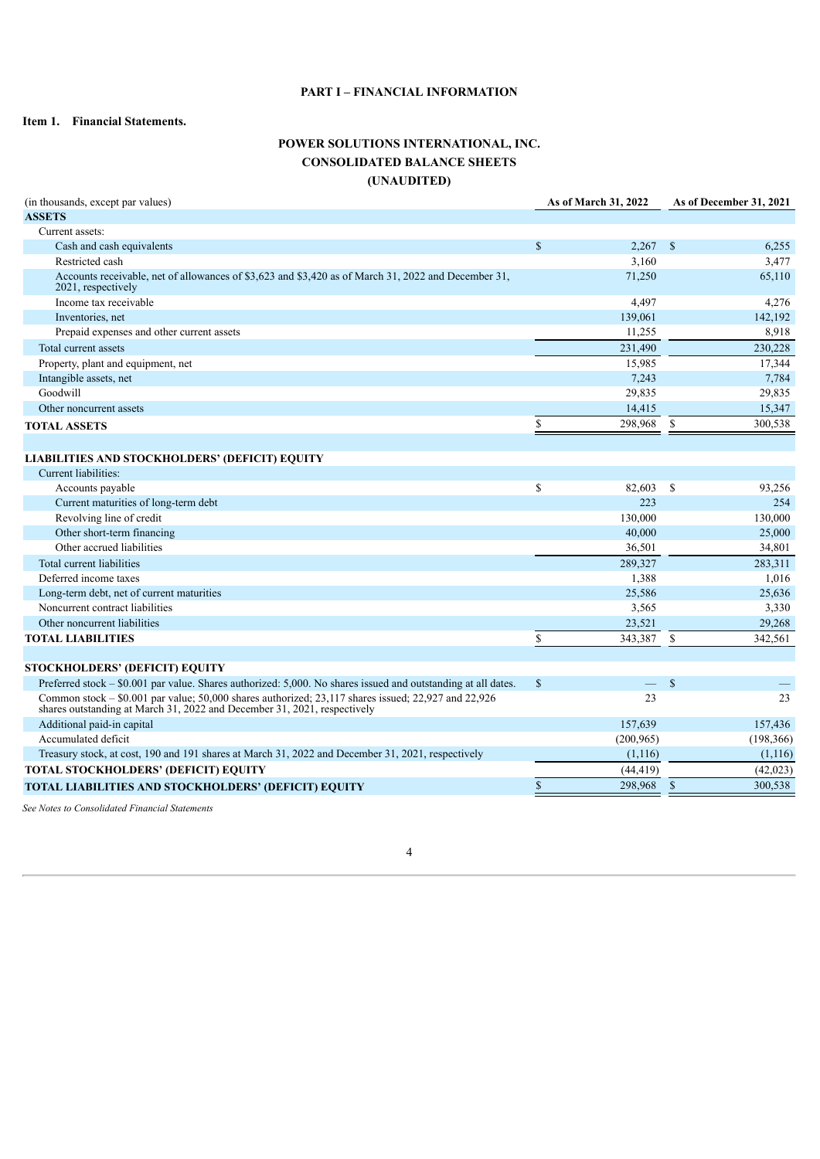# **PART I – FINANCIAL INFORMATION**

# <span id="page-3-1"></span><span id="page-3-0"></span>**Item 1. Financial Statements.**

# **POWER SOLUTIONS INTERNATIONAL, INC. CONSOLIDATED BALANCE SHEETS (UNAUDITED)**

| (in thousands, except par values)                                                                                                                                                 |              | As of March 31, 2022 |                    | As of December 31, 2021 |
|-----------------------------------------------------------------------------------------------------------------------------------------------------------------------------------|--------------|----------------------|--------------------|-------------------------|
| <b>ASSETS</b>                                                                                                                                                                     |              |                      |                    |                         |
| Current assets:                                                                                                                                                                   |              |                      |                    |                         |
| Cash and cash equivalents                                                                                                                                                         | $\mathbb{S}$ | 2,267                | $\mathbf{\hat{s}}$ | 6,255                   |
| Restricted cash                                                                                                                                                                   |              | 3,160                |                    | 3,477                   |
| Accounts receivable, net of allowances of \$3,623 and \$3,420 as of March 31, 2022 and December 31,<br>2021, respectively                                                         |              | 71,250               |                    | 65,110                  |
| Income tax receivable                                                                                                                                                             |              | 4,497                |                    | 4,276                   |
| Inventories, net                                                                                                                                                                  |              | 139,061              |                    | 142,192                 |
| Prepaid expenses and other current assets                                                                                                                                         |              | 11,255               |                    | 8,918                   |
| Total current assets                                                                                                                                                              |              | 231,490              |                    | 230,228                 |
| Property, plant and equipment, net                                                                                                                                                |              | 15,985               |                    | 17,344                  |
| Intangible assets, net                                                                                                                                                            |              | 7,243                |                    | 7,784                   |
| Goodwill                                                                                                                                                                          |              | 29,835               |                    | 29,835                  |
| Other noncurrent assets                                                                                                                                                           |              | 14,415               |                    | 15,347                  |
| <b>TOTAL ASSETS</b>                                                                                                                                                               | \$           | 298,968              | \$                 | 300,538                 |
|                                                                                                                                                                                   |              |                      |                    |                         |
| <b>LIABILITIES AND STOCKHOLDERS' (DEFICIT) EQUITY</b>                                                                                                                             |              |                      |                    |                         |
| Current liabilities:                                                                                                                                                              |              |                      |                    |                         |
| Accounts payable                                                                                                                                                                  | \$           | 82,603               | -S                 | 93,256                  |
| Current maturities of long-term debt                                                                                                                                              |              | 223                  |                    | 254                     |
| Revolving line of credit                                                                                                                                                          |              | 130,000              |                    | 130,000                 |
| Other short-term financing                                                                                                                                                        |              | 40,000               |                    | 25,000                  |
| Other accrued liabilities                                                                                                                                                         |              | 36,501               |                    | 34,801                  |
| Total current liabilities                                                                                                                                                         |              | 289,327              |                    | 283,311                 |
| Deferred income taxes                                                                                                                                                             |              | 1,388                |                    | 1,016                   |
| Long-term debt, net of current maturities                                                                                                                                         |              | 25,586               |                    | 25,636                  |
| Noncurrent contract liabilities                                                                                                                                                   |              | 3,565                |                    | 3,330                   |
| Other noncurrent liabilities                                                                                                                                                      |              | 23,521               |                    | 29,268                  |
| <b>TOTAL LIABILITIES</b>                                                                                                                                                          | \$           | 343,387 \$           |                    | 342,561                 |
| <b>STOCKHOLDERS' (DEFICIT) EQUITY</b>                                                                                                                                             |              |                      |                    |                         |
| Preferred stock - \$0.001 par value. Shares authorized: 5,000. No shares issued and outstanding at all dates.                                                                     | $\mathbb{S}$ | $\qquad \qquad -$    | $\mathcal{S}$      |                         |
| Common stock $-$ \$0.001 par value; 50,000 shares authorized; 23,117 shares issued; 22,927 and 22,926<br>shares outstanding at March 31, 2022 and December 31, 2021, respectively |              | 23                   |                    | 23                      |
| Additional paid-in capital                                                                                                                                                        |              | 157,639              |                    | 157,436                 |
| Accumulated deficit                                                                                                                                                               |              | (200, 965)           |                    | (198, 366)              |
| Treasury stock, at cost, 190 and 191 shares at March 31, 2022 and December 31, 2021, respectively                                                                                 |              | (1,116)              |                    | (1,116)                 |
| TOTAL STOCKHOLDERS' (DEFICIT) EQUITY                                                                                                                                              |              | (44, 419)            |                    | (42,023)                |
| TOTAL LIABILITIES AND STOCKHOLDERS' (DEFICIT) EQUITY                                                                                                                              | $\mathbb{S}$ | 298,968              | $\mathcal{S}$      | 300,538                 |
|                                                                                                                                                                                   |              |                      |                    |                         |

<span id="page-3-2"></span>*See Notes to Consolidated Financial Statements*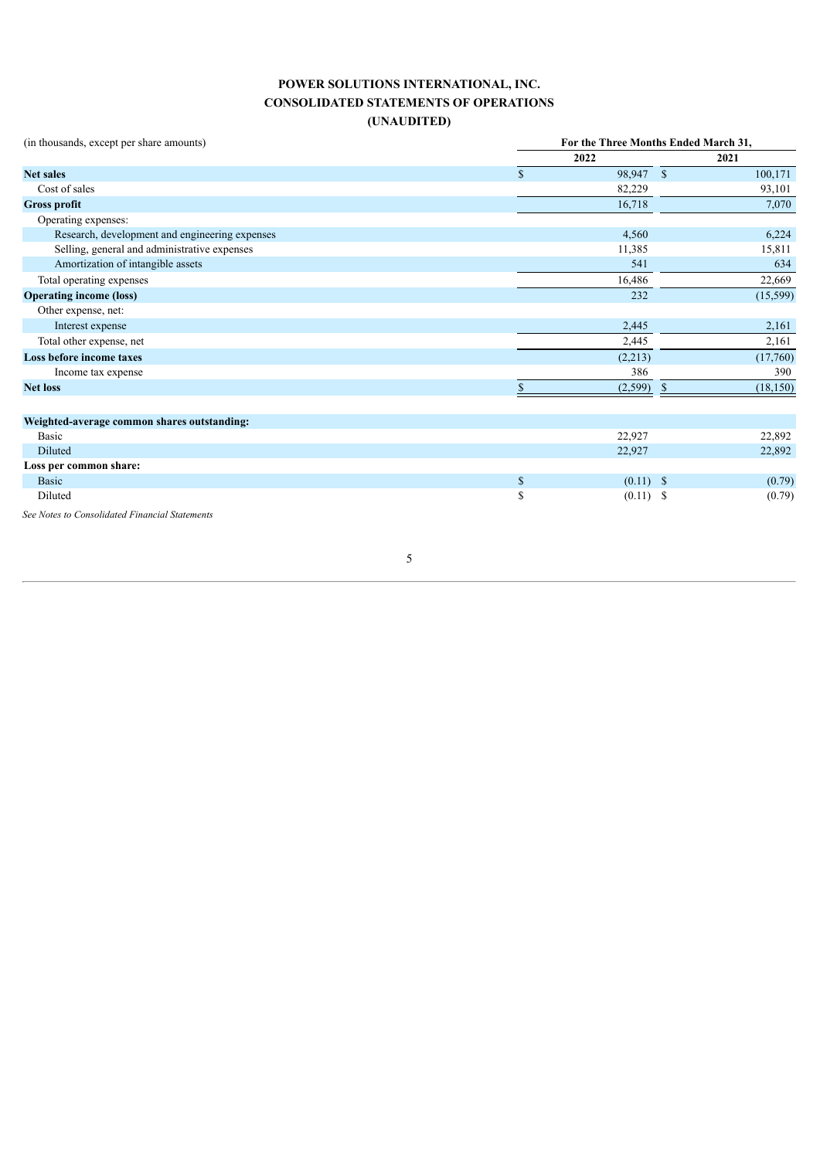# **POWER SOLUTIONS INTERNATIONAL, INC. CONSOLIDATED STATEMENTS OF OPERATIONS (UNAUDITED)**

<span id="page-4-0"></span>

| (in thousands, except per share amounts)       |              | For the Three Months Ended March 31, |              |           |  |  |  |
|------------------------------------------------|--------------|--------------------------------------|--------------|-----------|--|--|--|
|                                                |              | 2022                                 | 2021         |           |  |  |  |
| <b>Net sales</b>                               | $\mathbb{S}$ | 98,947 \$                            |              | 100,171   |  |  |  |
| Cost of sales                                  |              | 82,229                               |              | 93,101    |  |  |  |
| <b>Gross profit</b>                            |              | 16,718                               |              | 7,070     |  |  |  |
| Operating expenses:                            |              |                                      |              |           |  |  |  |
| Research, development and engineering expenses |              | 4,560                                |              | 6,224     |  |  |  |
| Selling, general and administrative expenses   |              | 11,385                               |              | 15,811    |  |  |  |
| Amortization of intangible assets              |              | 541                                  |              | 634       |  |  |  |
| Total operating expenses                       |              | 16,486                               |              | 22,669    |  |  |  |
| <b>Operating income (loss)</b>                 |              | 232                                  |              | (15,599)  |  |  |  |
| Other expense, net:                            |              |                                      |              |           |  |  |  |
| Interest expense                               |              | 2,445                                |              | 2,161     |  |  |  |
| Total other expense, net                       |              | 2,445                                |              | 2,161     |  |  |  |
| Loss before income taxes                       |              | (2,213)                              |              | (17,760)  |  |  |  |
| Income tax expense                             |              | 386                                  |              | 390       |  |  |  |
| <b>Net loss</b>                                | \$           | (2,599)                              | <sup>S</sup> | (18, 150) |  |  |  |
|                                                |              |                                      |              |           |  |  |  |
| Weighted-average common shares outstanding:    |              |                                      |              |           |  |  |  |
| Basic                                          |              | 22,927                               |              | 22,892    |  |  |  |
| Diluted                                        |              | 22,927                               |              | 22,892    |  |  |  |
| Loss per common share:                         |              |                                      |              |           |  |  |  |
| <b>Basic</b>                                   | $\$$         | $(0.11)$ \$                          |              | (0.79)    |  |  |  |
| Diluted                                        | $\mathbb{S}$ | $(0.11)$ \$                          |              | (0.79)    |  |  |  |
| See Notes to Consolidated Financial Statements |              |                                      |              |           |  |  |  |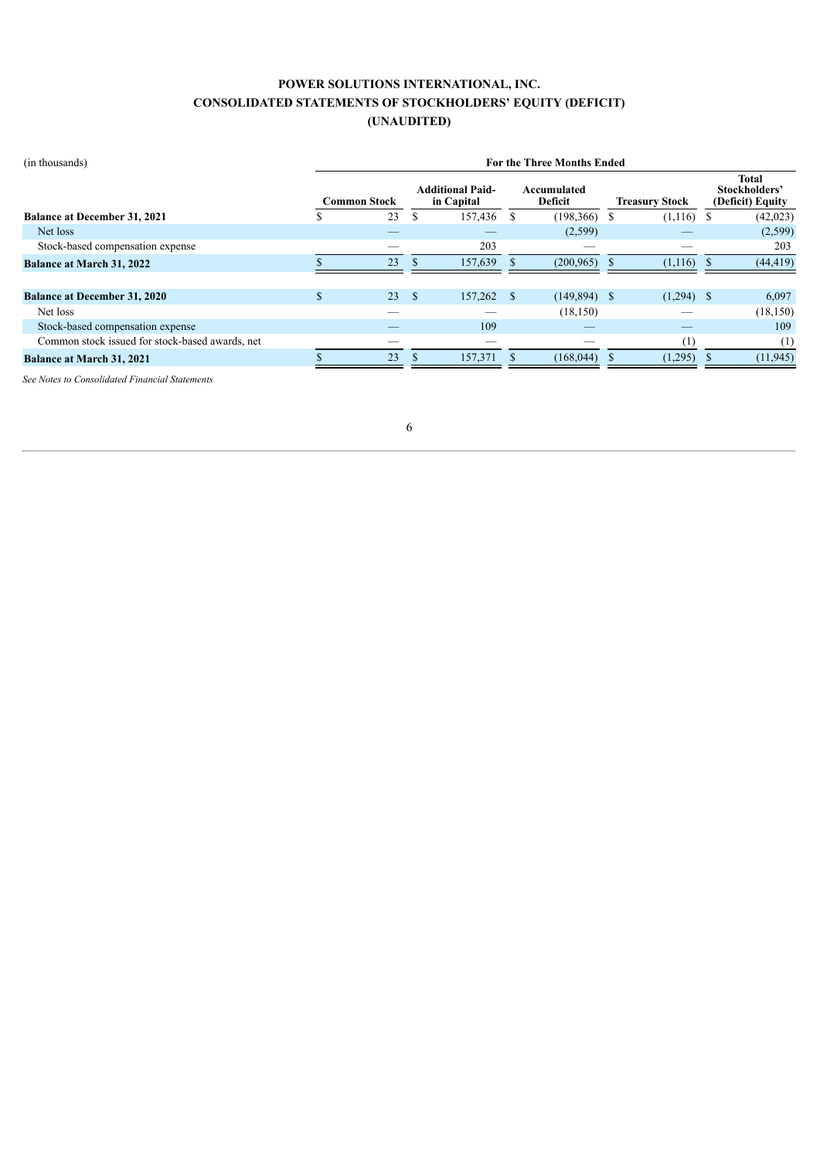# **POWER SOLUTIONS INTERNATIONAL, INC. CONSOLIDATED STATEMENTS OF STOCKHOLDERS' EQUITY (DEFICIT) (UNAUDITED)**

| (in thousands)                                  | <b>For the Three Months Ended</b> |               |                                       |    |                        |                       |          |                                                   |
|-------------------------------------------------|-----------------------------------|---------------|---------------------------------------|----|------------------------|-----------------------|----------|---------------------------------------------------|
|                                                 | <b>Common Stock</b>               |               | <b>Additional Paid-</b><br>in Capital |    | Accumulated<br>Deficit | <b>Treasury Stock</b> |          | <b>Total</b><br>Stockholders'<br>(Deficit) Equity |
| <b>Balance at December 31, 2021</b>             | 23<br>ъ                           |               | 157,436                               |    | (198, 366)             | $(1,116)$ \$          |          | (42, 023)                                         |
| Net loss                                        |                                   |               |                                       |    | (2,599)                |                       |          | (2,599)                                           |
| Stock-based compensation expense                |                                   |               | 203                                   |    | __                     |                       |          | 203                                               |
| <b>Balance at March 31, 2022</b>                | 23                                |               | 157,639                               |    | (200.965)              | $(1,116)$ \$          |          | (44, 419)                                         |
| <b>Balance at December 31, 2020</b>             | $\mathbf{\$}$<br>23               | <sup>\$</sup> | 157,262                               | -S | $(149,894)$ \$         | $(1,294)$ \$          |          | 6,097                                             |
| Net loss                                        |                                   |               |                                       |    | (18, 150)              |                       |          | (18, 150)                                         |
| Stock-based compensation expense                |                                   |               | 109                                   |    |                        |                       |          | 109                                               |
| Common stock issued for stock-based awards, net |                                   |               |                                       |    |                        | (1)                   |          | (1)                                               |
| <b>Balance at March 31, 2021</b>                | 23                                |               | 157,371                               |    | (168, 044)             | (1,295)               | <b>S</b> | (11, 945)                                         |

<span id="page-5-0"></span>*See Notes to Consolidated Financial Statements*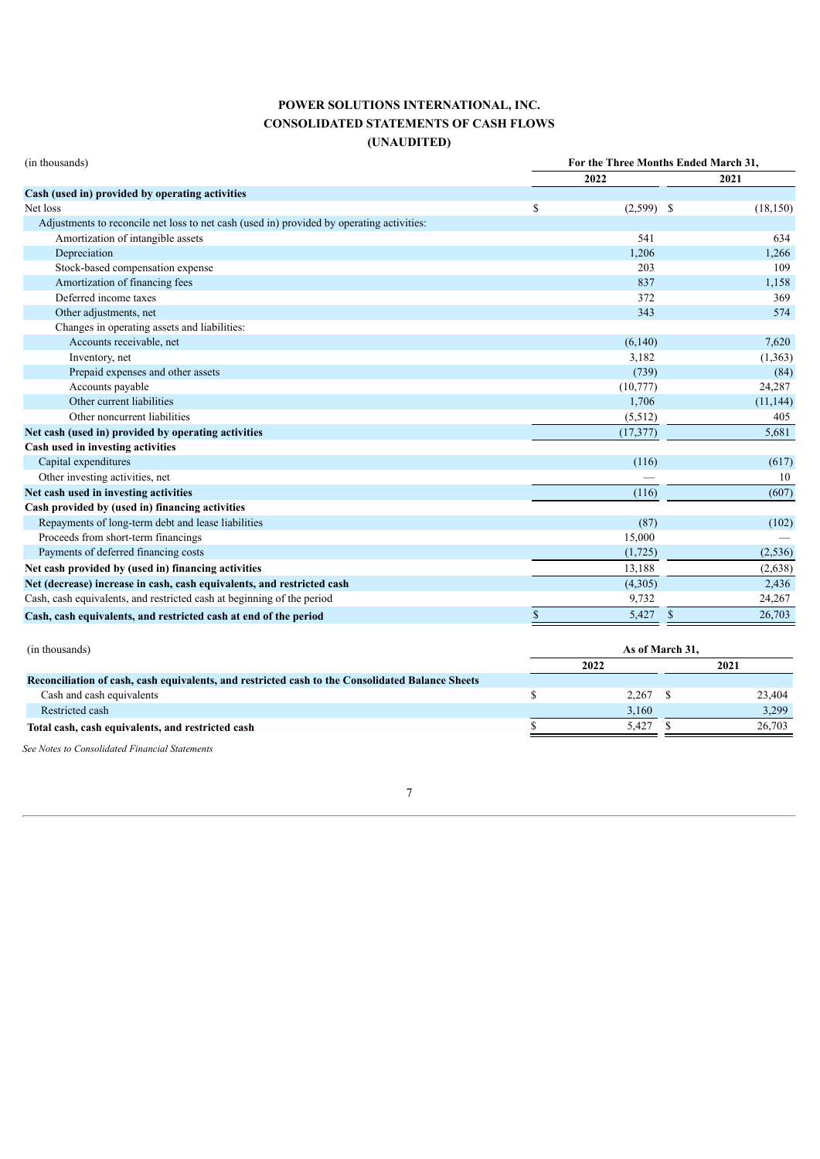# **POWER SOLUTIONS INTERNATIONAL, INC. CONSOLIDATED STATEMENTS OF CASH FLOWS (UNAUDITED)**

| (in thousands)                                                                            |    | For the Three Months Ended March 31, |           |  |  |  |
|-------------------------------------------------------------------------------------------|----|--------------------------------------|-----------|--|--|--|
|                                                                                           |    | 2022                                 | 2021      |  |  |  |
| Cash (used in) provided by operating activities                                           |    |                                      |           |  |  |  |
| Net loss                                                                                  | \$ | $(2,599)$ \$                         | (18, 150) |  |  |  |
| Adjustments to reconcile net loss to net cash (used in) provided by operating activities: |    |                                      |           |  |  |  |
| Amortization of intangible assets                                                         |    | 541                                  | 634       |  |  |  |
| Depreciation                                                                              |    | 1,206                                | 1,266     |  |  |  |
| Stock-based compensation expense                                                          |    | 203                                  | 109       |  |  |  |
| Amortization of financing fees                                                            |    | 837                                  | 1,158     |  |  |  |
| Deferred income taxes                                                                     |    | 372                                  | 369       |  |  |  |
| Other adjustments, net                                                                    |    | 343                                  | 574       |  |  |  |
| Changes in operating assets and liabilities:                                              |    |                                      |           |  |  |  |
| Accounts receivable, net                                                                  |    | (6,140)                              | 7,620     |  |  |  |
| Inventory, net                                                                            |    | 3,182                                | (1,363)   |  |  |  |
| Prepaid expenses and other assets                                                         |    | (739)                                | (84)      |  |  |  |
| Accounts payable                                                                          |    | (10,777)                             | 24,287    |  |  |  |
| Other current liabilities                                                                 |    | 1,706                                | (11, 144) |  |  |  |
| Other noncurrent liabilities                                                              |    | (5,512)                              | 405       |  |  |  |
| Net cash (used in) provided by operating activities                                       |    | (17, 377)                            | 5,681     |  |  |  |
| Cash used in investing activities                                                         |    |                                      |           |  |  |  |
| Capital expenditures                                                                      |    | (116)                                | (617)     |  |  |  |
| Other investing activities, net                                                           |    |                                      | 10        |  |  |  |
| Net cash used in investing activities                                                     |    | (116)                                | (607)     |  |  |  |
| Cash provided by (used in) financing activities                                           |    |                                      |           |  |  |  |
| Repayments of long-term debt and lease liabilities                                        |    | (87)                                 | (102)     |  |  |  |
| Proceeds from short-term financings                                                       |    | 15,000                               |           |  |  |  |
| Payments of deferred financing costs                                                      |    | (1,725)                              | (2,536)   |  |  |  |
| Net cash provided by (used in) financing activities                                       |    | 13,188                               | (2,638)   |  |  |  |
| Net (decrease) increase in cash, cash equivalents, and restricted cash                    |    | (4,305)                              | 2,436     |  |  |  |
| Cash, cash equivalents, and restricted cash at beginning of the period                    |    | 9,732                                | 24,267    |  |  |  |
| Cash, cash equivalents, and restricted cash at end of the period                          | \$ | 5,427<br>$\mathbb{S}$                | 26,703    |  |  |  |
|                                                                                           |    |                                      |           |  |  |  |

| (in thousands)                                                                                   | As of March 31, |       |  |        |
|--------------------------------------------------------------------------------------------------|-----------------|-------|--|--------|
|                                                                                                  |                 | 2022  |  | 2021   |
| Reconciliation of cash, cash equivalents, and restricted cash to the Consolidated Balance Sheets |                 |       |  |        |
| Cash and cash equivalents                                                                        |                 | 2.267 |  | 23.404 |
| Restricted cash                                                                                  |                 | 3.160 |  | 3.299  |
| Total cash, cash equivalents, and restricted cash                                                |                 | 5.427 |  | 26,703 |
|                                                                                                  |                 |       |  |        |

<span id="page-6-0"></span>*See Notes to Consolidated Financial Statements*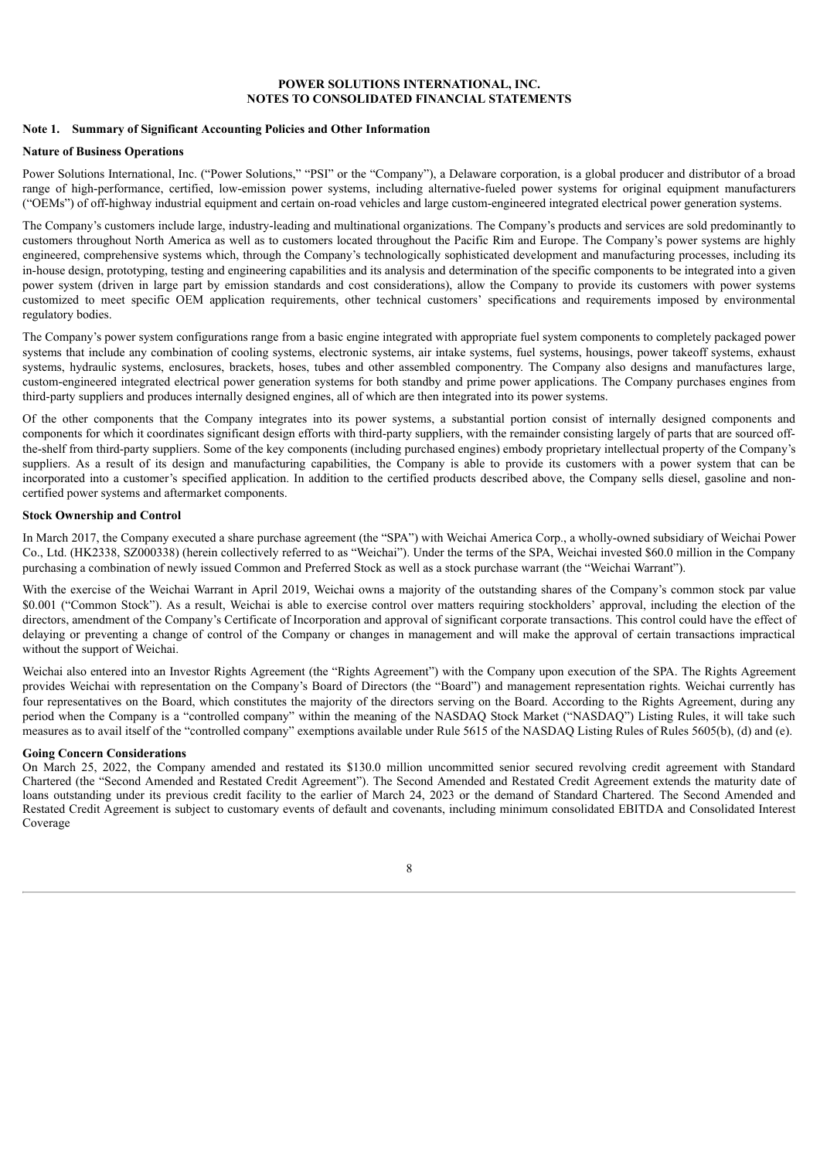#### **POWER SOLUTIONS INTERNATIONAL, INC. NOTES TO CONSOLIDATED FINANCIAL STATEMENTS**

#### **Note 1. Summary of Significant Accounting Policies and Other Information**

#### **Nature of Business Operations**

Power Solutions International, Inc. ("Power Solutions," "PSI" or the "Company"), a Delaware corporation, is a global producer and distributor of a broad range of high-performance, certified, low-emission power systems, including alternative-fueled power systems for original equipment manufacturers ("OEMs") of off-highway industrial equipment and certain on-road vehicles and large custom-engineered integrated electrical power generation systems.

The Company's customers include large, industry-leading and multinational organizations. The Company's products and services are sold predominantly to customers throughout North America as well as to customers located throughout the Pacific Rim and Europe. The Company's power systems are highly engineered, comprehensive systems which, through the Company's technologically sophisticated development and manufacturing processes, including its in-house design, prototyping, testing and engineering capabilities and its analysis and determination of the specific components to be integrated into a given power system (driven in large part by emission standards and cost considerations), allow the Company to provide its customers with power systems customized to meet specific OEM application requirements, other technical customers' specifications and requirements imposed by environmental regulatory bodies.

The Company's power system configurations range from a basic engine integrated with appropriate fuel system components to completely packaged power systems that include any combination of cooling systems, electronic systems, air intake systems, fuel systems, housings, power takeoff systems, exhaust systems, hydraulic systems, enclosures, brackets, hoses, tubes and other assembled componentry. The Company also designs and manufactures large, custom-engineered integrated electrical power generation systems for both standby and prime power applications. The Company purchases engines from third-party suppliers and produces internally designed engines, all of which are then integrated into its power systems.

Of the other components that the Company integrates into its power systems, a substantial portion consist of internally designed components and components for which it coordinates significant design efforts with third-party suppliers, with the remainder consisting largely of parts that are sourced offthe-shelf from third-party suppliers. Some of the key components (including purchased engines) embody proprietary intellectual property of the Company's suppliers. As a result of its design and manufacturing capabilities, the Company is able to provide its customers with a power system that can be incorporated into a customer's specified application. In addition to the certified products described above, the Company sells diesel, gasoline and noncertified power systems and aftermarket components.

# **Stock Ownership and Control**

In March 2017, the Company executed a share purchase agreement (the "SPA") with Weichai America Corp., a wholly-owned subsidiary of Weichai Power Co., Ltd. (HK2338, SZ000338) (herein collectively referred to as "Weichai"). Under the terms of the SPA, Weichai invested \$60.0 million in the Company purchasing a combination of newly issued Common and Preferred Stock as well as a stock purchase warrant (the "Weichai Warrant").

With the exercise of the Weichai Warrant in April 2019, Weichai owns a majority of the outstanding shares of the Company's common stock par value \$0.001 ("Common Stock"). As a result, Weichai is able to exercise control over matters requiring stockholders' approval, including the election of the directors, amendment of the Company's Certificate of Incorporation and approval of significant corporate transactions. This control could have the effect of delaying or preventing a change of control of the Company or changes in management and will make the approval of certain transactions impractical without the support of Weichai.

Weichai also entered into an Investor Rights Agreement (the "Rights Agreement") with the Company upon execution of the SPA. The Rights Agreement provides Weichai with representation on the Company's Board of Directors (the "Board") and management representation rights. Weichai currently has four representatives on the Board, which constitutes the majority of the directors serving on the Board. According to the Rights Agreement, during any period when the Company is a "controlled company" within the meaning of the NASDAQ Stock Market ("NASDAQ") Listing Rules, it will take such measures as to avail itself of the "controlled company" exemptions available under Rule 5615 of the NASDAQ Listing Rules of Rules 5605(b), (d) and (e).

#### **Going Concern Considerations**

On March 25, 2022, the Company amended and restated its \$130.0 million uncommitted senior secured revolving credit agreement with Standard Chartered (the "Second Amended and Restated Credit Agreement"). The Second Amended and Restated Credit Agreement extends the maturity date of loans outstanding under its previous credit facility to the earlier of March 24, 2023 or the demand of Standard Chartered. The Second Amended and Restated Credit Agreement is subject to customary events of default and covenants, including minimum consolidated EBITDA and Consolidated Interest Coverage

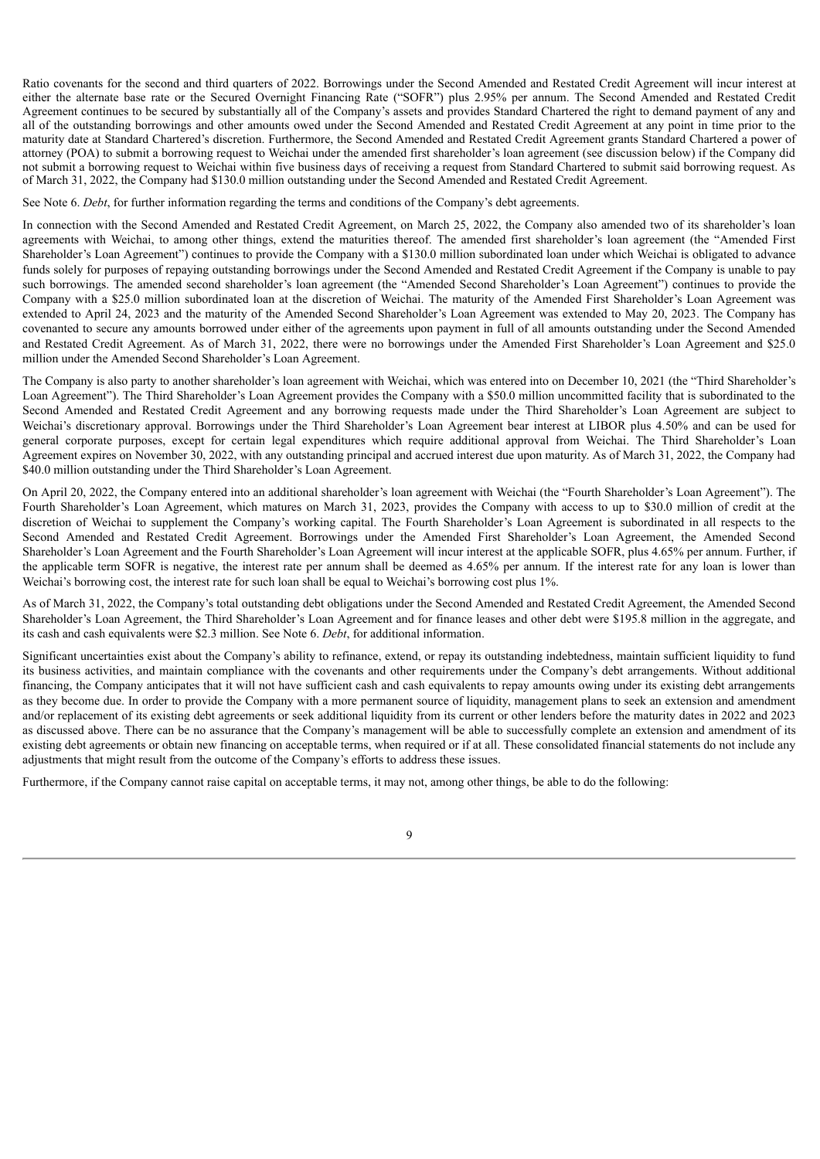Ratio covenants for the second and third quarters of 2022. Borrowings under the Second Amended and Restated Credit Agreement will incur interest at either the alternate base rate or the Secured Overnight Financing Rate ("SOFR") plus 2.95% per annum. The Second Amended and Restated Credit Agreement continues to be secured by substantially all of the Company's assets and provides Standard Chartered the right to demand payment of any and all of the outstanding borrowings and other amounts owed under the Second Amended and Restated Credit Agreement at any point in time prior to the maturity date at Standard Chartered's discretion. Furthermore, the Second Amended and Restated Credit Agreement grants Standard Chartered a power of attorney (POA) to submit a borrowing request to Weichai under the amended first shareholder's loan agreement (see discussion below) if the Company did not submit a borrowing request to Weichai within five business days of receiving a request from Standard Chartered to submit said borrowing request. As of March 31, 2022, the Company had \$130.0 million outstanding under the Second Amended and Restated Credit Agreement.

See Note 6. *Debt*, for further information regarding the terms and conditions of the Company's debt agreements.

In connection with the Second Amended and Restated Credit Agreement, on March 25, 2022, the Company also amended two of its shareholder's loan agreements with Weichai, to among other things, extend the maturities thereof. The amended first shareholder's loan agreement (the "Amended First Shareholder's Loan Agreement") continues to provide the Company with a \$130.0 million subordinated loan under which Weichai is obligated to advance funds solely for purposes of repaying outstanding borrowings under the Second Amended and Restated Credit Agreement if the Company is unable to pay such borrowings. The amended second shareholder's loan agreement (the "Amended Second Shareholder's Loan Agreement") continues to provide the Company with a \$25.0 million subordinated loan at the discretion of Weichai. The maturity of the Amended First Shareholder's Loan Agreement was extended to April 24, 2023 and the maturity of the Amended Second Shareholder's Loan Agreement was extended to May 20, 2023. The Company has covenanted to secure any amounts borrowed under either of the agreements upon payment in full of all amounts outstanding under the Second Amended and Restated Credit Agreement. As of March 31, 2022, there were no borrowings under the Amended First Shareholder's Loan Agreement and \$25.0 million under the Amended Second Shareholder's Loan Agreement.

The Company is also party to another shareholder's loan agreement with Weichai, which was entered into on December 10, 2021 (the "Third Shareholder's Loan Agreement"). The Third Shareholder's Loan Agreement provides the Company with a \$50.0 million uncommitted facility that is subordinated to the Second Amended and Restated Credit Agreement and any borrowing requests made under the Third Shareholder's Loan Agreement are subject to Weichai's discretionary approval. Borrowings under the Third Shareholder's Loan Agreement bear interest at LIBOR plus 4.50% and can be used for general corporate purposes, except for certain legal expenditures which require additional approval from Weichai. The Third Shareholder's Loan Agreement expires on November 30, 2022, with any outstanding principal and accrued interest due upon maturity. As of March 31, 2022, the Company had \$40.0 million outstanding under the Third Shareholder's Loan Agreement.

On April 20, 2022, the Company entered into an additional shareholder's loan agreement with Weichai (the "Fourth Shareholder's Loan Agreement"). The Fourth Shareholder's Loan Agreement, which matures on March 31, 2023, provides the Company with access to up to \$30.0 million of credit at the discretion of Weichai to supplement the Company's working capital. The Fourth Shareholder's Loan Agreement is subordinated in all respects to the Second Amended and Restated Credit Agreement. Borrowings under the Amended First Shareholder's Loan Agreement, the Amended Second Shareholder's Loan Agreement and the Fourth Shareholder's Loan Agreement will incur interest at the applicable SOFR, plus 4.65% per annum. Further, if the applicable term SOFR is negative, the interest rate per annum shall be deemed as 4.65% per annum. If the interest rate for any loan is lower than Weichai's borrowing cost, the interest rate for such loan shall be equal to Weichai's borrowing cost plus 1%.

As of March 31, 2022, the Company's total outstanding debt obligations under the Second Amended and Restated Credit Agreement, the Amended Second Shareholder's Loan Agreement, the Third Shareholder's Loan Agreement and for finance leases and other debt were \$195.8 million in the aggregate, and its cash and cash equivalents were \$2.3 million. See Note 6. *Debt*, for additional information.

Significant uncertainties exist about the Company's ability to refinance, extend, or repay its outstanding indebtedness, maintain sufficient liquidity to fund its business activities, and maintain compliance with the covenants and other requirements under the Company's debt arrangements. Without additional financing, the Company anticipates that it will not have sufficient cash and cash equivalents to repay amounts owing under its existing debt arrangements as they become due. In order to provide the Company with a more permanent source of liquidity, management plans to seek an extension and amendment and/or replacement of its existing debt agreements or seek additional liquidity from its current or other lenders before the maturity dates in 2022 and 2023 as discussed above. There can be no assurance that the Company's management will be able to successfully complete an extension and amendment of its existing debt agreements or obtain new financing on acceptable terms, when required or if at all. These consolidated financial statements do not include any adjustments that might result from the outcome of the Company's efforts to address these issues.

Furthermore, if the Company cannot raise capital on acceptable terms, it may not, among other things, be able to do the following: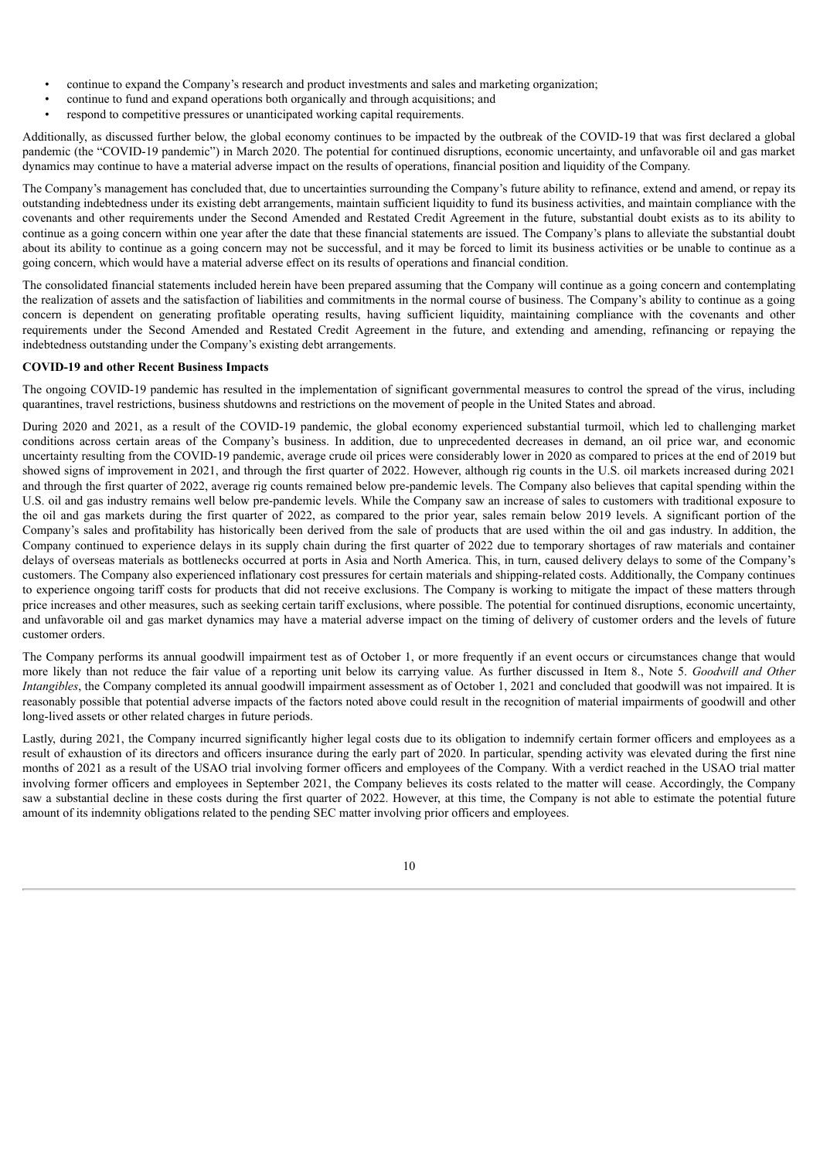- continue to expand the Company's research and product investments and sales and marketing organization;
- continue to fund and expand operations both organically and through acquisitions; and
- respond to competitive pressures or unanticipated working capital requirements.

Additionally, as discussed further below, the global economy continues to be impacted by the outbreak of the COVID-19 that was first declared a global pandemic (the "COVID-19 pandemic") in March 2020. The potential for continued disruptions, economic uncertainty, and unfavorable oil and gas market dynamics may continue to have a material adverse impact on the results of operations, financial position and liquidity of the Company.

The Company's management has concluded that, due to uncertainties surrounding the Company's future ability to refinance, extend and amend, or repay its outstanding indebtedness under its existing debt arrangements, maintain sufficient liquidity to fund its business activities, and maintain compliance with the covenants and other requirements under the Second Amended and Restated Credit Agreement in the future, substantial doubt exists as to its ability to continue as a going concern within one year after the date that these financial statements are issued. The Company's plans to alleviate the substantial doubt about its ability to continue as a going concern may not be successful, and it may be forced to limit its business activities or be unable to continue as a going concern, which would have a material adverse effect on its results of operations and financial condition.

The consolidated financial statements included herein have been prepared assuming that the Company will continue as a going concern and contemplating the realization of assets and the satisfaction of liabilities and commitments in the normal course of business. The Company's ability to continue as a going concern is dependent on generating profitable operating results, having sufficient liquidity, maintaining compliance with the covenants and other requirements under the Second Amended and Restated Credit Agreement in the future, and extending and amending, refinancing or repaying the indebtedness outstanding under the Company's existing debt arrangements.

#### **COVID-19 and other Recent Business Impacts**

The ongoing COVID-19 pandemic has resulted in the implementation of significant governmental measures to control the spread of the virus, including quarantines, travel restrictions, business shutdowns and restrictions on the movement of people in the United States and abroad.

During 2020 and 2021, as a result of the COVID-19 pandemic, the global economy experienced substantial turmoil, which led to challenging market conditions across certain areas of the Company's business. In addition, due to unprecedented decreases in demand, an oil price war, and economic uncertainty resulting from the COVID-19 pandemic, average crude oil prices were considerably lower in 2020 as compared to prices at the end of 2019 but showed signs of improvement in 2021, and through the first quarter of 2022. However, although rig counts in the U.S. oil markets increased during 2021 and through the first quarter of 2022, average rig counts remained below pre-pandemic levels. The Company also believes that capital spending within the U.S. oil and gas industry remains well below pre-pandemic levels. While the Company saw an increase of sales to customers with traditional exposure to the oil and gas markets during the first quarter of 2022, as compared to the prior year, sales remain below 2019 levels. A significant portion of the Company's sales and profitability has historically been derived from the sale of products that are used within the oil and gas industry. In addition, the Company continued to experience delays in its supply chain during the first quarter of 2022 due to temporary shortages of raw materials and container delays of overseas materials as bottlenecks occurred at ports in Asia and North America. This, in turn, caused delivery delays to some of the Company's customers. The Company also experienced inflationary cost pressures for certain materials and shipping-related costs. Additionally, the Company continues to experience ongoing tariff costs for products that did not receive exclusions. The Company is working to mitigate the impact of these matters through price increases and other measures, such as seeking certain tariff exclusions, where possible. The potential for continued disruptions, economic uncertainty, and unfavorable oil and gas market dynamics may have a material adverse impact on the timing of delivery of customer orders and the levels of future customer orders.

The Company performs its annual goodwill impairment test as of October 1, or more frequently if an event occurs or circumstances change that would more likely than not reduce the fair value of a reporting unit below its carrying value. As further discussed in Item 8., Note 5. *Goodwill and Other Intangibles*, the Company completed its annual goodwill impairment assessment as of October 1, 2021 and concluded that goodwill was not impaired. It is reasonably possible that potential adverse impacts of the factors noted above could result in the recognition of material impairments of goodwill and other long-lived assets or other related charges in future periods.

Lastly, during 2021, the Company incurred significantly higher legal costs due to its obligation to indemnify certain former officers and employees as a result of exhaustion of its directors and officers insurance during the early part of 2020. In particular, spending activity was elevated during the first nine months of 2021 as a result of the USAO trial involving former officers and employees of the Company. With a verdict reached in the USAO trial matter involving former officers and employees in September 2021, the Company believes its costs related to the matter will cease. Accordingly, the Company saw a substantial decline in these costs during the first quarter of 2022. However, at this time, the Company is not able to estimate the potential future amount of its indemnity obligations related to the pending SEC matter involving prior officers and employees.

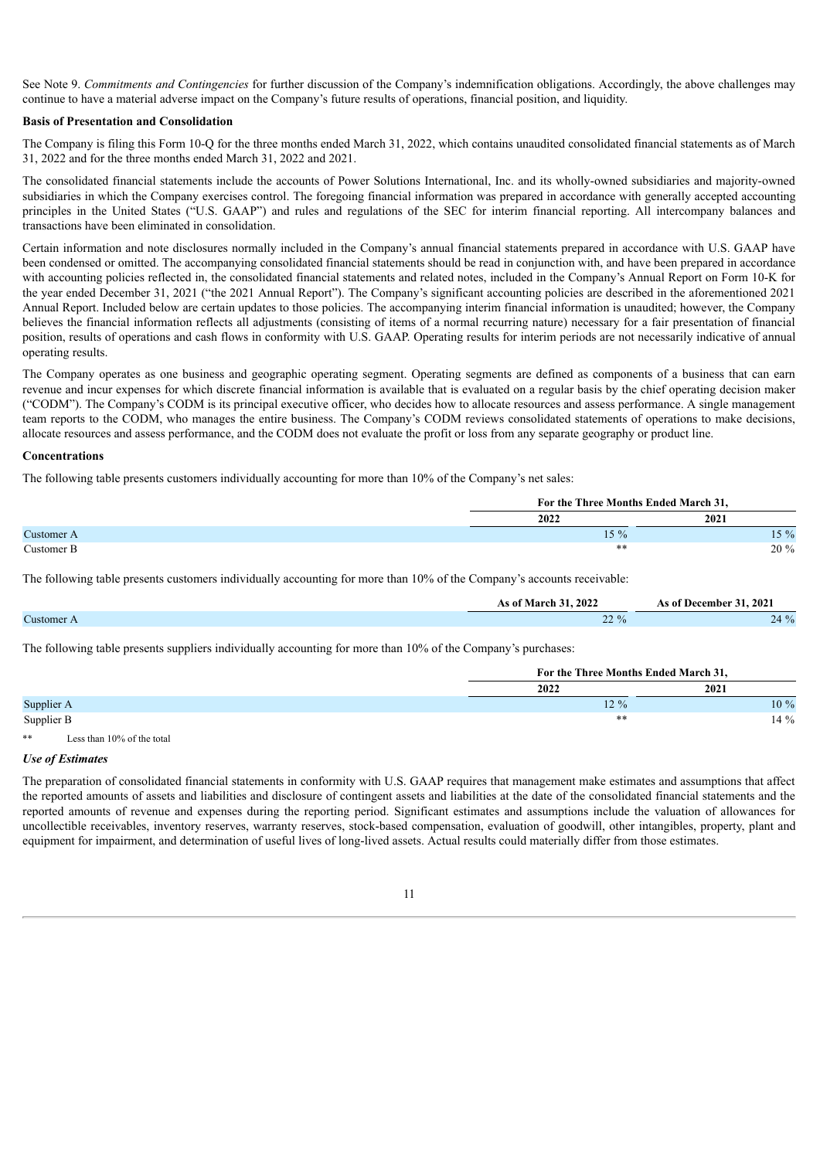See Note 9. *Commitments and Contingencies* for further discussion of the Company's indemnification obligations. Accordingly, the above challenges may continue to have a material adverse impact on the Company's future results of operations, financial position, and liquidity.

#### **Basis of Presentation and Consolidation**

The Company is filing this Form 10-Q for the three months ended March 31, 2022, which contains unaudited consolidated financial statements as of March 31, 2022 and for the three months ended March 31, 2022 and 2021.

The consolidated financial statements include the accounts of Power Solutions International, Inc. and its wholly-owned subsidiaries and majority-owned subsidiaries in which the Company exercises control. The foregoing financial information was prepared in accordance with generally accepted accounting principles in the United States ("U.S. GAAP") and rules and regulations of the SEC for interim financial reporting. All intercompany balances and transactions have been eliminated in consolidation.

Certain information and note disclosures normally included in the Company's annual financial statements prepared in accordance with U.S. GAAP have been condensed or omitted. The accompanying consolidated financial statements should be read in conjunction with, and have been prepared in accordance with accounting policies reflected in, the consolidated financial statements and related notes, included in the Company's Annual Report on Form 10-K for the year ended December 31, 2021 ("the 2021 Annual Report"). The Company's significant accounting policies are described in the aforementioned 2021 Annual Report. Included below are certain updates to those policies. The accompanying interim financial information is unaudited; however, the Company believes the financial information reflects all adjustments (consisting of items of a normal recurring nature) necessary for a fair presentation of financial position, results of operations and cash flows in conformity with U.S. GAAP. Operating results for interim periods are not necessarily indicative of annual operating results.

The Company operates as one business and geographic operating segment. Operating segments are defined as components of a business that can earn revenue and incur expenses for which discrete financial information is available that is evaluated on a regular basis by the chief operating decision maker ("CODM"). The Company's CODM is its principal executive officer, who decides how to allocate resources and assess performance. A single management team reports to the CODM, who manages the entire business. The Company's CODM reviews consolidated statements of operations to make decisions, allocate resources and assess performance, and the CODM does not evaluate the profit or loss from any separate geography or product line.

#### **Concentrations**

The following table presents customers individually accounting for more than 10% of the Company's net sales:

|            | For the Three Months Ended March 31, |        |
|------------|--------------------------------------|--------|
|            | 2022                                 | 2021   |
| Customer A | $15\%$                               | $15\%$ |
| Customer B | **                                   | 20 %   |

The following table presents customers individually accounting for more than 10% of the Company's accounts receivable:

|            | <b>As of March 31, 2022</b>       | As of December 31, 2021 |
|------------|-----------------------------------|-------------------------|
| Customer A | $\mathbf{A}$<br>LL<br><u> 7 U</u> | $24\%$                  |
|            |                                   |                         |

The following table presents suppliers individually accounting for more than 10% of the Company's purchases:

|            | For the Three Months Ended March 31, |        |  |  |
|------------|--------------------------------------|--------|--|--|
|            | 2022                                 | 2021   |  |  |
| Supplier A | $12\%$                               | $10\%$ |  |  |
| Supplier B | **                                   | 14 %   |  |  |

Less than 10% of the total

#### *Use of Estimates*

The preparation of consolidated financial statements in conformity with U.S. GAAP requires that management make estimates and assumptions that affect the reported amounts of assets and liabilities and disclosure of contingent assets and liabilities at the date of the consolidated financial statements and the reported amounts of revenue and expenses during the reporting period. Significant estimates and assumptions include the valuation of allowances for uncollectible receivables, inventory reserves, warranty reserves, stock-based compensation, evaluation of goodwill, other intangibles, property, plant and equipment for impairment, and determination of useful lives of long-lived assets. Actual results could materially differ from those estimates.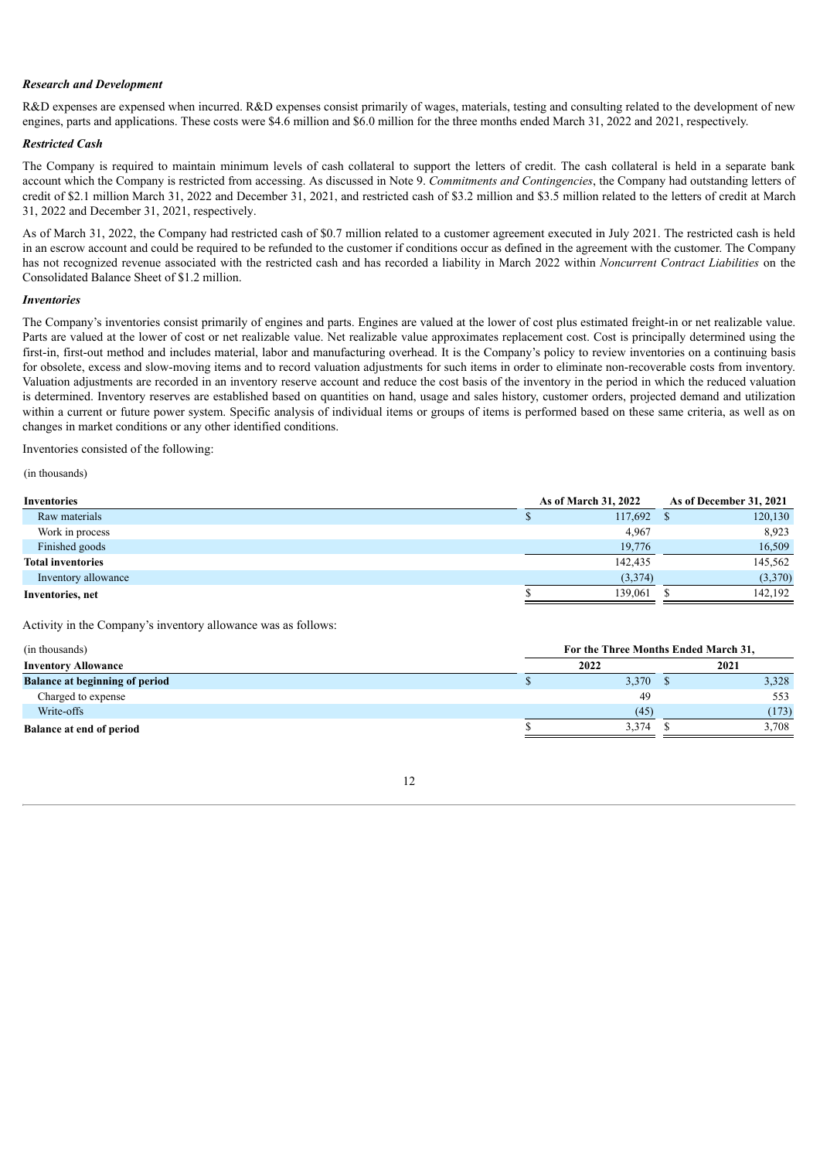#### *Research and Development*

R&D expenses are expensed when incurred. R&D expenses consist primarily of wages, materials, testing and consulting related to the development of new engines, parts and applications. These costs were \$4.6 million and \$6.0 million for the three months ended March 31, 2022 and 2021, respectively.

#### *Restricted Cash*

The Company is required to maintain minimum levels of cash collateral to support the letters of credit. The cash collateral is held in a separate bank account which the Company is restricted from accessing. As discussed in Note 9. *Commitments and Contingencies*, the Company had outstanding letters of credit of \$2.1 million March 31, 2022 and December 31, 2021, and restricted cash of \$3.2 million and \$3.5 million related to the letters of credit at March 31, 2022 and December 31, 2021, respectively.

As of March 31, 2022, the Company had restricted cash of \$0.7 million related to a customer agreement executed in July 2021. The restricted cash is held in an escrow account and could be required to be refunded to the customer if conditions occur as defined in the agreement with the customer. The Company has not recognized revenue associated with the restricted cash and has recorded a liability in March 2022 within *Noncurrent Contract Liabilities* on the Consolidated Balance Sheet of \$1.2 million.

#### *Inventories*

The Company's inventories consist primarily of engines and parts. Engines are valued at the lower of cost plus estimated freight-in or net realizable value. Parts are valued at the lower of cost or net realizable value. Net realizable value approximates replacement cost. Cost is principally determined using the first-in, first-out method and includes material, labor and manufacturing overhead. It is the Company's policy to review inventories on a continuing basis for obsolete, excess and slow-moving items and to record valuation adjustments for such items in order to eliminate non-recoverable costs from inventory. Valuation adjustments are recorded in an inventory reserve account and reduce the cost basis of the inventory in the period in which the reduced valuation is determined. Inventory reserves are established based on quantities on hand, usage and sales history, customer orders, projected demand and utilization within a current or future power system. Specific analysis of individual items or groups of items is performed based on these same criteria, as well as on changes in market conditions or any other identified conditions.

Inventories consisted of the following:

(in thousands)

| <b>Inventories</b>       | As of March 31, 2022 |  | As of December 31, 2021 |
|--------------------------|----------------------|--|-------------------------|
| Raw materials            | 117,692              |  | 120,130                 |
| Work in process          | 4,967                |  | 8,923                   |
| Finished goods           | 19,776               |  | 16,509                  |
| <b>Total inventories</b> | 142,435              |  | 145,562                 |
| Inventory allowance      | (3,374)              |  | (3,370)                 |
| Inventories, net         | 139,061              |  | 142,192                 |

Activity in the Company's inventory allowance was as follows:

| (in thousands)                        | For the Three Months Ended March 31, |       |      |       |  |
|---------------------------------------|--------------------------------------|-------|------|-------|--|
| <b>Inventory Allowance</b>            |                                      | 2022  | 2021 |       |  |
| <b>Balance at beginning of period</b> |                                      | 3,370 |      | 3,328 |  |
| Charged to expense                    |                                      | 49    |      | 553   |  |
| Write-offs                            |                                      | (45)  |      | (173) |  |
| <b>Balance at end of period</b>       |                                      | 3.374 |      | 3,708 |  |

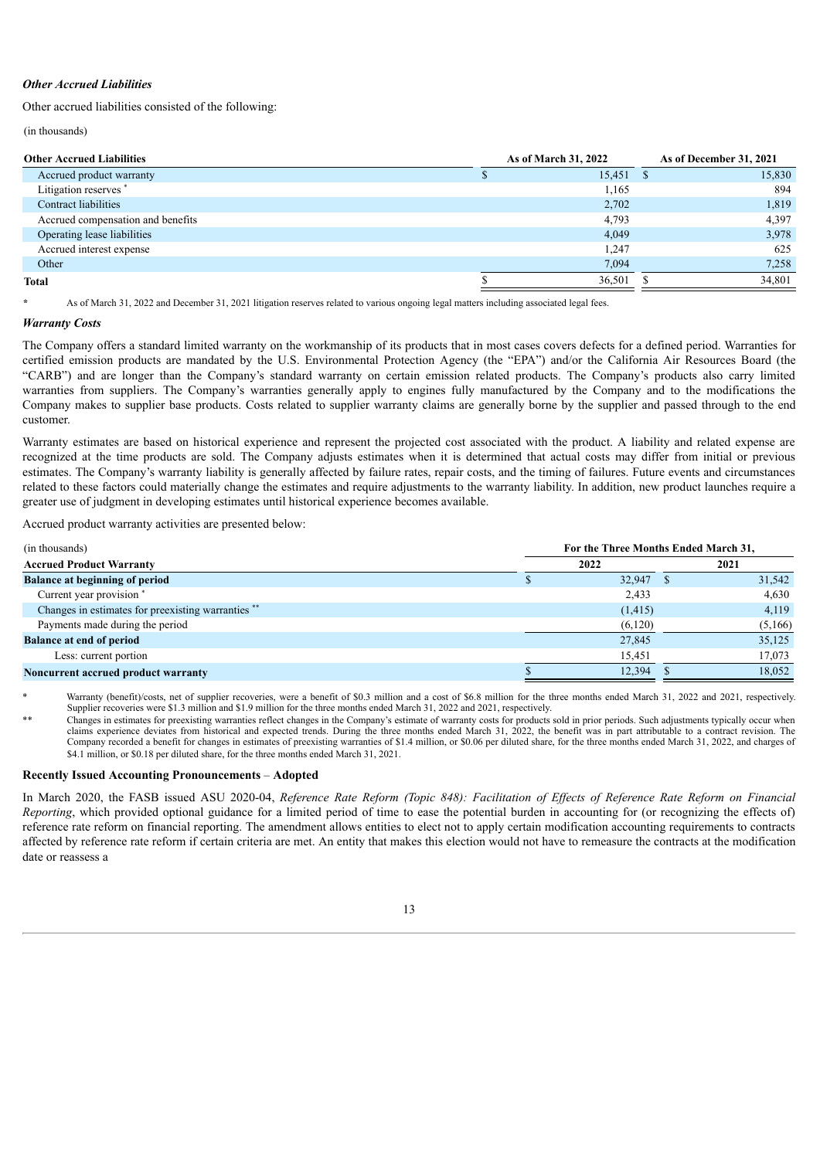#### *Other Accrued Liabilities*

Other accrued liabilities consisted of the following:

(in thousands)

| <b>Other Accrued Liabilities</b>  | As of March 31, 2022 |        |    | As of December 31, 2021 |
|-----------------------------------|----------------------|--------|----|-------------------------|
| Accrued product warranty          |                      | 15,451 | -S | 15,830                  |
| Litigation reserves *             |                      | 1,165  |    | 894                     |
| Contract liabilities              |                      | 2,702  |    | 1,819                   |
| Accrued compensation and benefits |                      | 4,793  |    | 4,397                   |
| Operating lease liabilities       |                      | 4,049  |    | 3,978                   |
| Accrued interest expense          |                      | 1,247  |    | 625                     |
| Other                             |                      | 7,094  |    | 7,258                   |
| <b>Total</b>                      |                      | 36,501 |    | 34,801                  |

*\** As of March 31, 2022 and December 31, 2021 litigation reserves related to various ongoing legal matters including associated legal fees.

#### *Warranty Costs*

The Company offers a standard limited warranty on the workmanship of its products that in most cases covers defects for a defined period. Warranties for certified emission products are mandated by the U.S. Environmental Protection Agency (the "EPA") and/or the California Air Resources Board (the "CARB") and are longer than the Company's standard warranty on certain emission related products. The Company's products also carry limited warranties from suppliers. The Company's warranties generally apply to engines fully manufactured by the Company and to the modifications the Company makes to supplier base products. Costs related to supplier warranty claims are generally borne by the supplier and passed through to the end customer.

Warranty estimates are based on historical experience and represent the projected cost associated with the product. A liability and related expense are recognized at the time products are sold. The Company adjusts estimates when it is determined that actual costs may differ from initial or previous estimates. The Company's warranty liability is generally affected by failure rates, repair costs, and the timing of failures. Future events and circumstances related to these factors could materially change the estimates and require adjustments to the warranty liability. In addition, new product launches require a greater use of judgment in developing estimates until historical experience becomes available.

Accrued product warranty activities are presented below:

| (in thousands)                                     | For the Three Months Ended March 31, |          |  |         |  |
|----------------------------------------------------|--------------------------------------|----------|--|---------|--|
| <b>Accrued Product Warranty</b>                    |                                      | 2022     |  | 2021    |  |
| <b>Balance at beginning of period</b>              |                                      | 32,947   |  | 31,542  |  |
| Current year provision *                           |                                      | 2,433    |  | 4,630   |  |
| Changes in estimates for preexisting warranties ** |                                      | (1, 415) |  | 4,119   |  |
| Payments made during the period                    |                                      | (6,120)  |  | (5,166) |  |
| <b>Balance at end of period</b>                    |                                      | 27,845   |  | 35,125  |  |
| Less: current portion                              |                                      | 15,451   |  | 17,073  |  |
| Noncurrent accrued product warranty                |                                      | 12,394   |  | 18,052  |  |

Warranty (benefit)/costs, net of supplier recoveries, were a benefit of \$0.3 million and a cost of \$6.8 million for the three months ended March 31, 2022 and 2021, respectively. Supplier recoveries were \$1.3 million and \$1.9 million for the three months ended March 31, 2022 and 2021, respectively.

\*\* Changes in estimates for preexisting warranties reflect changes in the Company's estimate of warranty costs for products sold in prior periods. Such adjustments typically occur when claims experience deviates from historical and expected trends. During the three months ended March 31, 2022, the benefit was in part attributable to a contract revision. The Company recorded a benefit for changes in estimates of preexisting warranties of \$1.4 million, or \$0.06 per diluted share, for the three months ended March 31, 2022, and charges of \$4.1 million, or \$0.18 per diluted share, for the three months ended March 31, 2021.

#### **Recently Issued Accounting Pronouncements** *–* **Adopted**

In March 2020, the FASB issued ASU 2020-04, Reference Rate Reform (Topic 848): Facilitation of Effects of Reference Rate Reform on Financial *Reporting*, which provided optional guidance for a limited period of time to ease the potential burden in accounting for (or recognizing the effects of) reference rate reform on financial reporting. The amendment allows entities to elect not to apply certain modification accounting requirements to contracts affected by reference rate reform if certain criteria are met. An entity that makes this election would not have to remeasure the contracts at the modification date or reassess a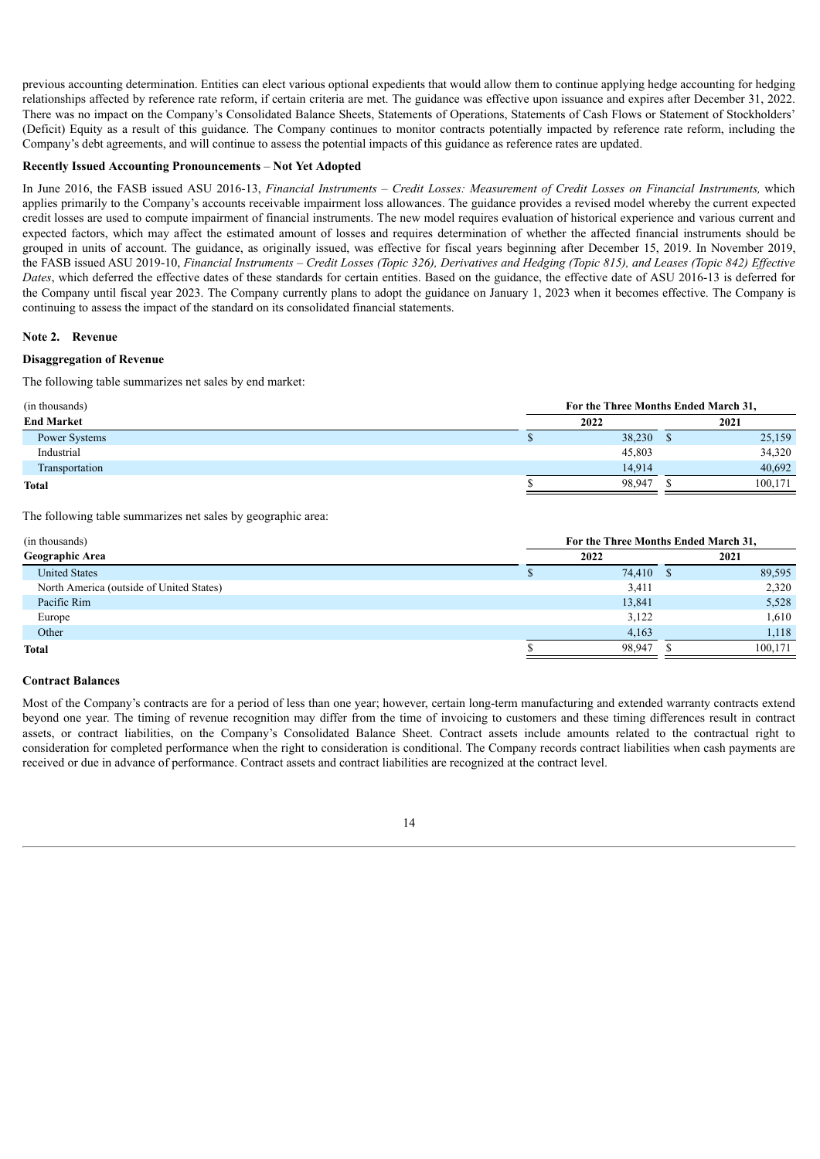previous accounting determination. Entities can elect various optional expedients that would allow them to continue applying hedge accounting for hedging relationships affected by reference rate reform, if certain criteria are met. The guidance was effective upon issuance and expires after December 31, 2022. There was no impact on the Company's Consolidated Balance Sheets, Statements of Operations, Statements of Cash Flows or Statement of Stockholders' (Deficit) Equity as a result of this guidance. The Company continues to monitor contracts potentially impacted by reference rate reform, including the Company's debt agreements, and will continue to assess the potential impacts of this guidance as reference rates are updated.

#### **Recently Issued Accounting Pronouncements** *–* **Not Yet Adopted**

In June 2016, the FASB issued ASU 2016-13, Financial Instruments - Credit Losses: Measurement of Credit Losses on Financial Instruments, which applies primarily to the Company's accounts receivable impairment loss allowances. The guidance provides a revised model whereby the current expected credit losses are used to compute impairment of financial instruments. The new model requires evaluation of historical experience and various current and expected factors, which may affect the estimated amount of losses and requires determination of whether the affected financial instruments should be grouped in units of account. The guidance, as originally issued, was effective for fiscal years beginning after December 15, 2019. In November 2019, the FASB issued ASU 2019-10, Financial Instruments - Credit Losses (Topic 326), Derivatives and Hedging (Topic 815), and Leases (Topic 842) Effective *Dates*, which deferred the effective dates of these standards for certain entities. Based on the guidance, the effective date of ASU 2016-13 is deferred for the Company until fiscal year 2023. The Company currently plans to adopt the guidance on January 1, 2023 when it becomes effective. The Company is continuing to assess the impact of the standard on its consolidated financial statements.

#### **Note 2. Revenue**

## **Disaggregation of Revenue**

The following table summarizes net sales by end market:

| (in thousands)    |      | For the Three Months Ended March 31, |      |         |  |
|-------------------|------|--------------------------------------|------|---------|--|
| <b>End Market</b> | 2022 |                                      | 2021 |         |  |
| Power Systems     |      | 38,230                               |      | 25,159  |  |
| Industrial        |      | 45,803                               |      | 34,320  |  |
| Transportation    |      | 14.914                               |      | 40.692  |  |
| <b>Total</b>      |      | 98,947                               |      | 100.171 |  |
|                   |      |                                      |      |         |  |

The following table summarizes net sales by geographic area:

| (in thousands)                           | For the Three Months Ended March 31, |           |  |         |
|------------------------------------------|--------------------------------------|-----------|--|---------|
| Geographic Area                          | 2022                                 |           |  | 2021    |
| <b>United States</b>                     |                                      | 74,410 \$ |  | 89,595  |
| North America (outside of United States) |                                      | 3,411     |  | 2,320   |
| Pacific Rim                              |                                      | 13,841    |  | 5,528   |
| Europe                                   |                                      | 3,122     |  | 1,610   |
| Other                                    |                                      | 4,163     |  | 1,118   |
| <b>Total</b>                             |                                      | 98.947    |  | 100,171 |

#### **Contract Balances**

Most of the Company's contracts are for a period of less than one year; however, certain long-term manufacturing and extended warranty contracts extend beyond one year. The timing of revenue recognition may differ from the time of invoicing to customers and these timing differences result in contract assets, or contract liabilities, on the Company's Consolidated Balance Sheet. Contract assets include amounts related to the contractual right to consideration for completed performance when the right to consideration is conditional. The Company records contract liabilities when cash payments are received or due in advance of performance. Contract assets and contract liabilities are recognized at the contract level.

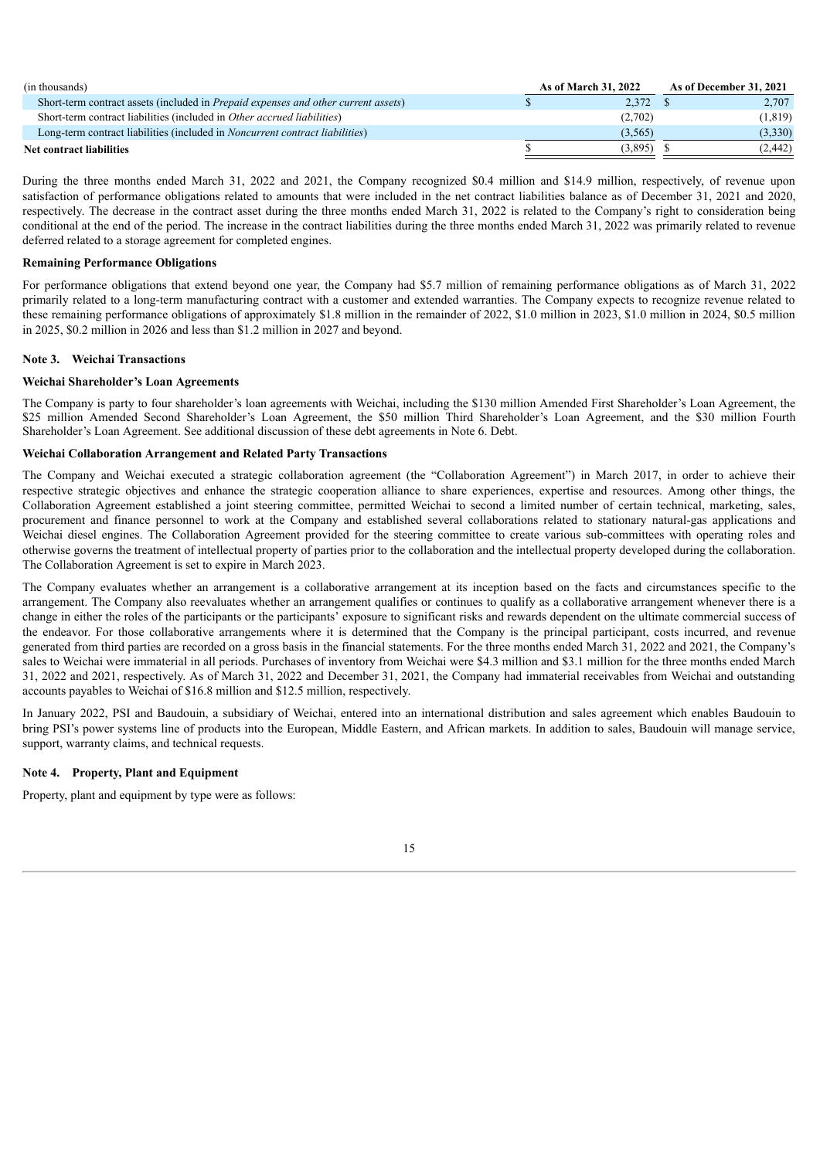| (in thousands)                                                                             | <b>As of March 31, 2022</b> | As of December 31, 2021 |
|--------------------------------------------------------------------------------------------|-----------------------------|-------------------------|
| Short-term contract assets (included in <i>Prepaid expenses and other current assets</i> ) | 2.372                       | 2,707                   |
| Short-term contract liabilities (included in <i>Other accrued liabilities</i> )            | (2,702)                     | (1, 819)                |
| Long-term contract liabilities (included in <i>Noncurrent contract liabilities</i> )       | (3.565)                     | (3,330)                 |
| <b>Net contract liabilities</b>                                                            | (3.895)                     | (2, 442)                |

During the three months ended March 31, 2022 and 2021, the Company recognized \$0.4 million and \$14.9 million, respectively, of revenue upon satisfaction of performance obligations related to amounts that were included in the net contract liabilities balance as of December 31, 2021 and 2020, respectively. The decrease in the contract asset during the three months ended March 31, 2022 is related to the Company's right to consideration being conditional at the end of the period. The increase in the contract liabilities during the three months ended March 31, 2022 was primarily related to revenue deferred related to a storage agreement for completed engines.

## **Remaining Performance Obligations**

For performance obligations that extend beyond one year, the Company had \$5.7 million of remaining performance obligations as of March 31, 2022 primarily related to a long-term manufacturing contract with a customer and extended warranties. The Company expects to recognize revenue related to these remaining performance obligations of approximately \$1.8 million in the remainder of 2022, \$1.0 million in 2023, \$1.0 million in 2024, \$0.5 million in 2025, \$0.2 million in 2026 and less than \$1.2 million in 2027 and beyond.

#### **Note 3. Weichai Transactions**

#### **Weichai Shareholder's Loan Agreements**

The Company is party to four shareholder's loan agreements with Weichai, including the \$130 million Amended First Shareholder's Loan Agreement, the \$25 million Amended Second Shareholder's Loan Agreement, the \$50 million Third Shareholder's Loan Agreement, and the \$30 million Fourth Shareholder's Loan Agreement. See additional discussion of these debt agreements in Note 6. Debt.

#### **Weichai Collaboration Arrangement and Related Party Transactions**

The Company and Weichai executed a strategic collaboration agreement (the "Collaboration Agreement") in March 2017, in order to achieve their respective strategic objectives and enhance the strategic cooperation alliance to share experiences, expertise and resources. Among other things, the Collaboration Agreement established a joint steering committee, permitted Weichai to second a limited number of certain technical, marketing, sales, procurement and finance personnel to work at the Company and established several collaborations related to stationary natural-gas applications and Weichai diesel engines. The Collaboration Agreement provided for the steering committee to create various sub-committees with operating roles and otherwise governs the treatment of intellectual property of parties prior to the collaboration and the intellectual property developed during the collaboration. The Collaboration Agreement is set to expire in March 2023.

The Company evaluates whether an arrangement is a collaborative arrangement at its inception based on the facts and circumstances specific to the arrangement. The Company also reevaluates whether an arrangement qualifies or continues to qualify as a collaborative arrangement whenever there is a change in either the roles of the participants or the participants' exposure to significant risks and rewards dependent on the ultimate commercial success of the endeavor. For those collaborative arrangements where it is determined that the Company is the principal participant, costs incurred, and revenue generated from third parties are recorded on a gross basis in the financial statements. For the three months ended March 31, 2022 and 2021, the Company's sales to Weichai were immaterial in all periods. Purchases of inventory from Weichai were \$4.3 million and \$3.1 million for the three months ended March 31, 2022 and 2021, respectively. As of March 31, 2022 and December 31, 2021, the Company had immaterial receivables from Weichai and outstanding accounts payables to Weichai of \$16.8 million and \$12.5 million, respectively.

In January 2022, PSI and Baudouin, a subsidiary of Weichai, entered into an international distribution and sales agreement which enables Baudouin to bring PSI's power systems line of products into the European, Middle Eastern, and African markets. In addition to sales, Baudouin will manage service, support, warranty claims, and technical requests.

#### **Note 4. Property, Plant and Equipment**

Property, plant and equipment by type were as follows: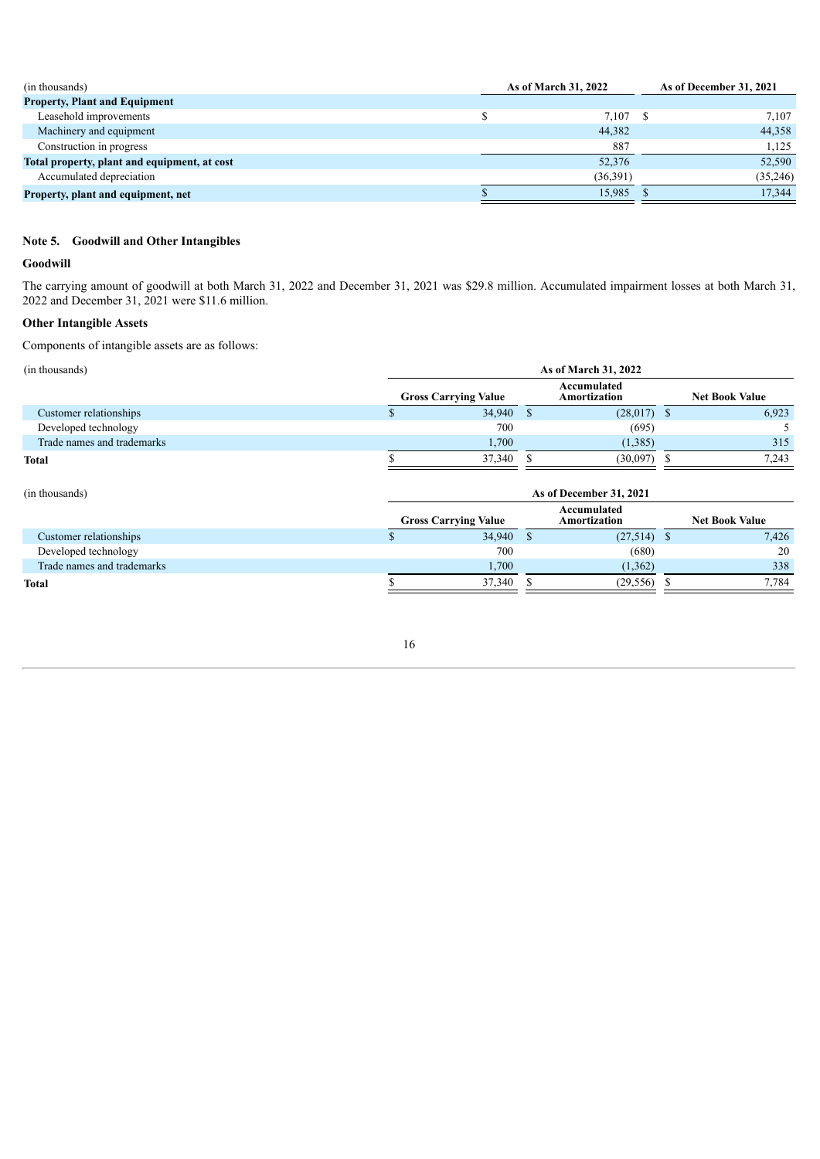| (in thousands)                               | <b>As of March 31, 2022</b> | As of December 31, 2021 |  |  |
|----------------------------------------------|-----------------------------|-------------------------|--|--|
| <b>Property, Plant and Equipment</b>         |                             |                         |  |  |
| Leasehold improvements                       | 7.107                       | 7.107                   |  |  |
| Machinery and equipment                      | 44,382                      | 44,358                  |  |  |
| Construction in progress                     | 887                         | 1.125                   |  |  |
| Total property, plant and equipment, at cost | 52,376                      | 52,590                  |  |  |
| Accumulated depreciation                     | (36,391)                    | (35,246)                |  |  |
| Property, plant and equipment, net           | 15,985                      | 17,344                  |  |  |

# **Note 5. Goodwill and Other Intangibles**

# **Goodwill**

The carrying amount of goodwill at both March 31, 2022 and December 31, 2021 was \$29.8 million. Accumulated impairment losses at both March 31, 2022 and December 31, 2021 were \$11.6 million.

# **Other Intangible Assets**

Components of intangible assets are as follows:

| (in thousands)                                                    | As of March 31, 2022 |                             |    |                                    |  |                       |  |
|-------------------------------------------------------------------|----------------------|-----------------------------|----|------------------------------------|--|-----------------------|--|
|                                                                   |                      | <b>Gross Carrying Value</b> |    | Accumulated<br><b>Amortization</b> |  | <b>Net Book Value</b> |  |
| Customer relationships                                            |                      | 34,940                      |    | $(28,017)$ \$                      |  | 6,923                 |  |
| Developed technology                                              |                      | 700                         |    | (695)                              |  |                       |  |
| Trade names and trademarks                                        |                      | 1,700                       |    | (1,385)                            |  | 315                   |  |
| <b>Total</b>                                                      |                      | 37,340                      |    | (30,097)                           |  | 7,243                 |  |
| (in thousands)                                                    |                      |                             |    | As of December 31, 2021            |  |                       |  |
|                                                                   |                      | <b>Gross Carrying Value</b> |    | Accumulated<br>Amortization        |  | <b>Net Book Value</b> |  |
| Customer relationships                                            |                      | 34,940                      | \$ | $(27,514)$ \$                      |  | 7,426                 |  |
| $\mathbf{D}$ . The set of $\mathbf{L}$ is the set of $\mathbf{L}$ |                      | 700                         |    | (60)                               |  | $\mathbf{A}$          |  |

| Justomer relationships     | 34.940 | (27.514)  | .426  |
|----------------------------|--------|-----------|-------|
| Developed technology       | 700    | (680)     | 20    |
| Trade names and trademarks | 1,700  | 1,362     | 338   |
| Total                      | 37.340 | (29, 556) | 7.784 |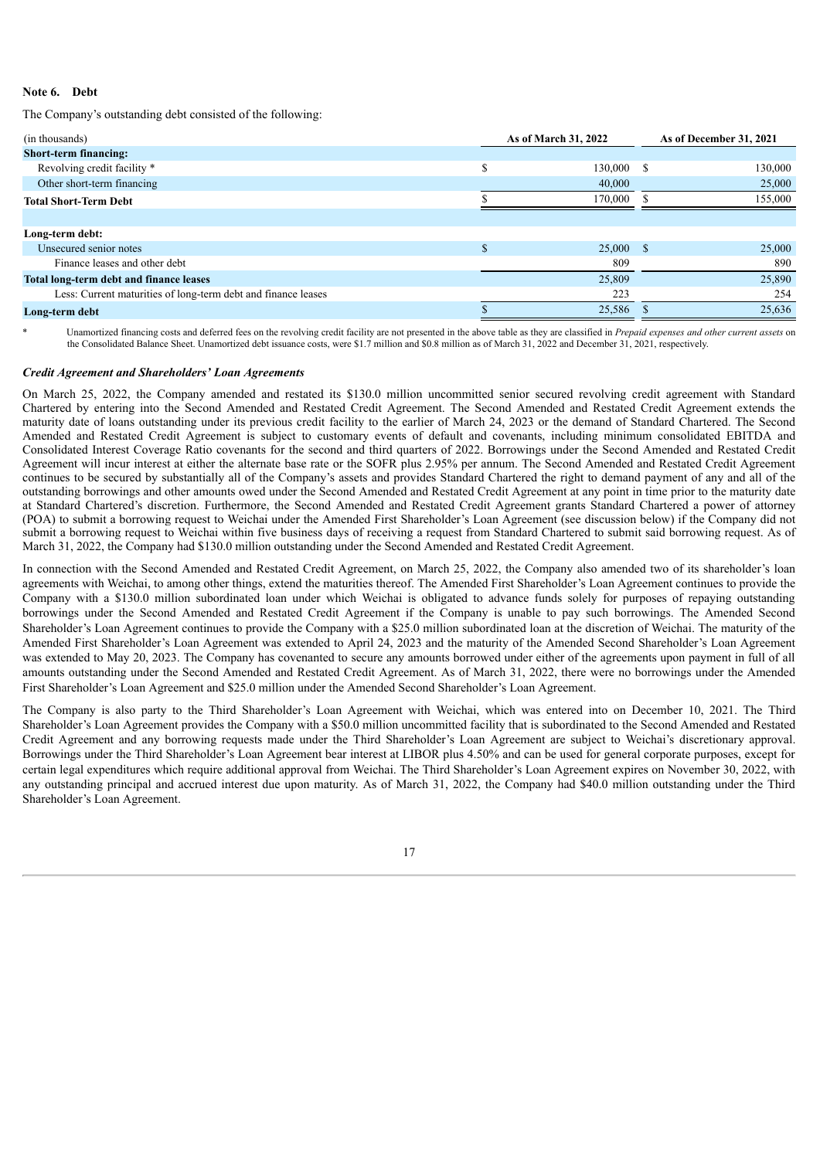#### **Note 6. Debt**

The Company's outstanding debt consisted of the following:

| (in thousands)                                                | As of March 31, 2022 | As of December 31, 2021  |  |  |
|---------------------------------------------------------------|----------------------|--------------------------|--|--|
| <b>Short-term financing:</b>                                  |                      |                          |  |  |
| Revolving credit facility *                                   | S<br>130,000         | 130,000<br><sup>\$</sup> |  |  |
| Other short-term financing                                    | 40,000               | 25,000                   |  |  |
| <b>Total Short-Term Debt</b>                                  | 170,000              | 155,000                  |  |  |
|                                                               |                      |                          |  |  |
| Long-term debt:                                               |                      |                          |  |  |
| Unsecured senior notes                                        | 25,000 \$            | 25,000                   |  |  |
| Finance leases and other debt                                 | 809                  | 890                      |  |  |
| Total long-term debt and finance leases                       | 25,809               | 25,890                   |  |  |
| Less: Current maturities of long-term debt and finance leases | 223                  | 254                      |  |  |
| Long-term debt                                                | 25,586               | 25,636                   |  |  |
|                                                               |                      |                          |  |  |

Unamortized financing costs and deferred fees on the revolving credit facility are not presented in the above table as they are classified in *Prepaid expenses and other current assets* on the Consolidated Balance Sheet. Unamortized debt issuance costs, were \$1.7 million and \$0.8 million as of March 31, 2022 and December 31, 2021, respectively.

#### *Credit Agreement and Shareholders' Loan Agreements*

On March 25, 2022, the Company amended and restated its \$130.0 million uncommitted senior secured revolving credit agreement with Standard Chartered by entering into the Second Amended and Restated Credit Agreement. The Second Amended and Restated Credit Agreement extends the maturity date of loans outstanding under its previous credit facility to the earlier of March 24, 2023 or the demand of Standard Chartered. The Second Amended and Restated Credit Agreement is subject to customary events of default and covenants, including minimum consolidated EBITDA and Consolidated Interest Coverage Ratio covenants for the second and third quarters of 2022. Borrowings under the Second Amended and Restated Credit Agreement will incur interest at either the alternate base rate or the SOFR plus 2.95% per annum. The Second Amended and Restated Credit Agreement continues to be secured by substantially all of the Company's assets and provides Standard Chartered the right to demand payment of any and all of the outstanding borrowings and other amounts owed under the Second Amended and Restated Credit Agreement at any point in time prior to the maturity date at Standard Chartered's discretion. Furthermore, the Second Amended and Restated Credit Agreement grants Standard Chartered a power of attorney (POA) to submit a borrowing request to Weichai under the Amended First Shareholder's Loan Agreement (see discussion below) if the Company did not submit a borrowing request to Weichai within five business days of receiving a request from Standard Chartered to submit said borrowing request. As of March 31, 2022, the Company had \$130.0 million outstanding under the Second Amended and Restated Credit Agreement.

In connection with the Second Amended and Restated Credit Agreement, on March 25, 2022, the Company also amended two of its shareholder's loan agreements with Weichai, to among other things, extend the maturities thereof. The Amended First Shareholder's Loan Agreement continues to provide the Company with a \$130.0 million subordinated loan under which Weichai is obligated to advance funds solely for purposes of repaying outstanding borrowings under the Second Amended and Restated Credit Agreement if the Company is unable to pay such borrowings. The Amended Second Shareholder's Loan Agreement continues to provide the Company with a \$25.0 million subordinated loan at the discretion of Weichai. The maturity of the Amended First Shareholder's Loan Agreement was extended to April 24, 2023 and the maturity of the Amended Second Shareholder's Loan Agreement was extended to May 20, 2023. The Company has covenanted to secure any amounts borrowed under either of the agreements upon payment in full of all amounts outstanding under the Second Amended and Restated Credit Agreement. As of March 31, 2022, there were no borrowings under the Amended First Shareholder's Loan Agreement and \$25.0 million under the Amended Second Shareholder's Loan Agreement.

The Company is also party to the Third Shareholder's Loan Agreement with Weichai, which was entered into on December 10, 2021. The Third Shareholder's Loan Agreement provides the Company with a \$50.0 million uncommitted facility that is subordinated to the Second Amended and Restated Credit Agreement and any borrowing requests made under the Third Shareholder's Loan Agreement are subject to Weichai's discretionary approval. Borrowings under the Third Shareholder's Loan Agreement bear interest at LIBOR plus 4.50% and can be used for general corporate purposes, except for certain legal expenditures which require additional approval from Weichai. The Third Shareholder's Loan Agreement expires on November 30, 2022, with any outstanding principal and accrued interest due upon maturity. As of March 31, 2022, the Company had \$40.0 million outstanding under the Third Shareholder's Loan Agreement.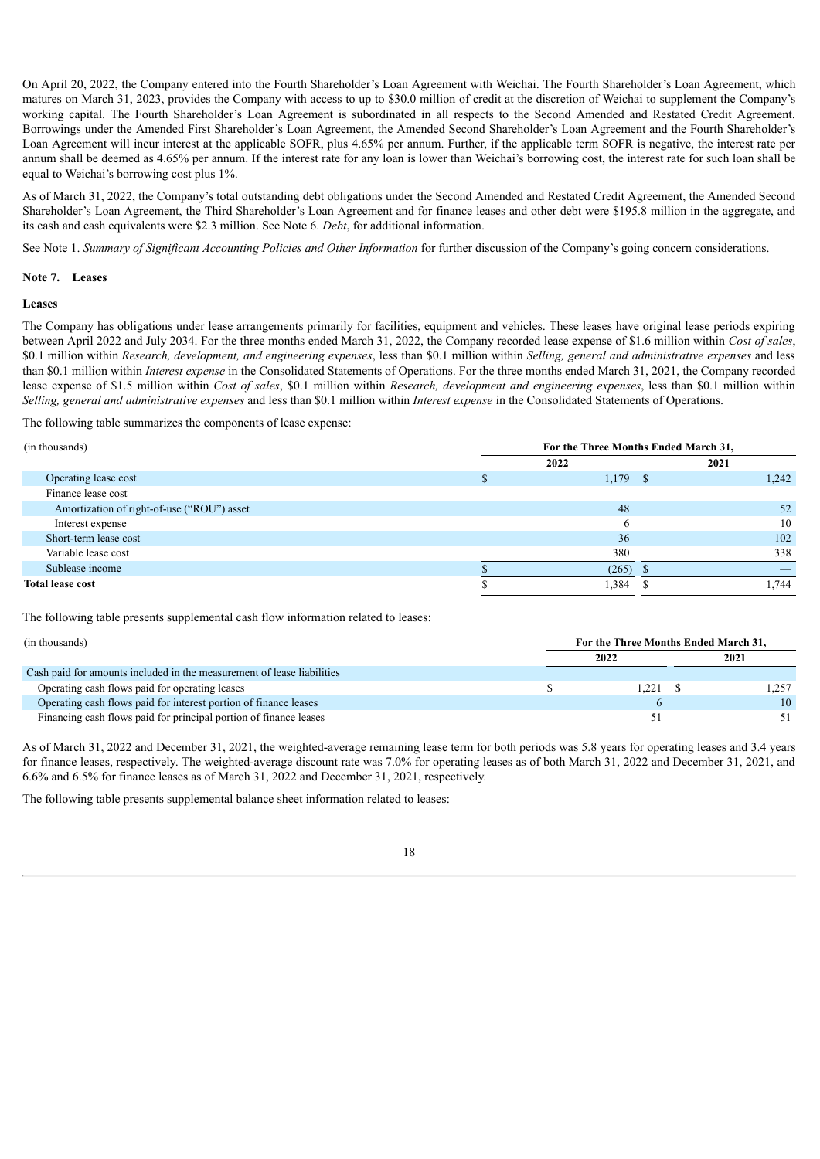On April 20, 2022, the Company entered into the Fourth Shareholder's Loan Agreement with Weichai. The Fourth Shareholder's Loan Agreement, which matures on March 31, 2023, provides the Company with access to up to \$30.0 million of credit at the discretion of Weichai to supplement the Company's working capital. The Fourth Shareholder's Loan Agreement is subordinated in all respects to the Second Amended and Restated Credit Agreement. Borrowings under the Amended First Shareholder's Loan Agreement, the Amended Second Shareholder's Loan Agreement and the Fourth Shareholder's Loan Agreement will incur interest at the applicable SOFR, plus 4.65% per annum. Further, if the applicable term SOFR is negative, the interest rate per annum shall be deemed as 4.65% per annum. If the interest rate for any loan is lower than Weichai's borrowing cost, the interest rate for such loan shall be equal to Weichai's borrowing cost plus 1%.

As of March 31, 2022, the Company's total outstanding debt obligations under the Second Amended and Restated Credit Agreement, the Amended Second Shareholder's Loan Agreement, the Third Shareholder's Loan Agreement and for finance leases and other debt were \$195.8 million in the aggregate, and its cash and cash equivalents were \$2.3 million. See Note 6. *Debt*, for additional information.

See Note 1. *Summary of Significant Accounting Policies and Other Information* for further discussion of the Company's going concern considerations.

#### **Note 7. Leases**

#### **Leases**

The Company has obligations under lease arrangements primarily for facilities, equipment and vehicles. These leases have original lease periods expiring between April 2022 and July 2034. For the three months ended March 31, 2022, the Company recorded lease expense of \$1.6 million within *Cost of sales*, \$0.1 million within *Research, development, and engineering expenses*, less than \$0.1 million within *Selling, general and administrative expenses* and less than \$0.1 million within *Interest expense* in the Consolidated Statements of Operations. For the three months ended March 31, 2021, the Company recorded lease expense of \$1.5 million within *Cost of sales*, \$0.1 million within *Research, development and engineering expenses*, less than \$0.1 million within *Selling, general and administrative expenses* and less than \$0.1 million within *Interest expense* in the Consolidated Statements of Operations.

The following table summarizes the components of lease expense:

| (in thousands)                             | For the Three Months Ended March 31, |       |  |       |  |  |  |
|--------------------------------------------|--------------------------------------|-------|--|-------|--|--|--|
|                                            | 2022                                 |       |  | 2021  |  |  |  |
| Operating lease cost                       |                                      | 1,179 |  | 1,242 |  |  |  |
| Finance lease cost                         |                                      |       |  |       |  |  |  |
| Amortization of right-of-use ("ROU") asset |                                      | 48    |  | 52    |  |  |  |
| Interest expense                           |                                      | O     |  | 10    |  |  |  |
| Short-term lease cost                      |                                      | 36    |  | 102   |  |  |  |
| Variable lease cost                        |                                      | 380   |  | 338   |  |  |  |
| Sublease income                            |                                      | (265) |  |       |  |  |  |
| <b>Total lease cost</b>                    |                                      | 1,384 |  | .744  |  |  |  |

The following table presents supplemental cash flow information related to leases:

| (in thousands)                                                         |  | For the Three Months Ended March 31, |  |                 |
|------------------------------------------------------------------------|--|--------------------------------------|--|-----------------|
|                                                                        |  | 2022                                 |  | 2021            |
| Cash paid for amounts included in the measurement of lease liabilities |  |                                      |  |                 |
| Operating cash flows paid for operating leases                         |  | 1.221                                |  | .257            |
| Operating cash flows paid for interest portion of finance leases       |  |                                      |  | 10 <sup>1</sup> |
| Financing cash flows paid for principal portion of finance leases      |  |                                      |  | 51              |

As of March 31, 2022 and December 31, 2021, the weighted-average remaining lease term for both periods was 5.8 years for operating leases and 3.4 years for finance leases, respectively. The weighted-average discount rate was 7.0% for operating leases as of both March 31, 2022 and December 31, 2021, and 6.6% and 6.5% for finance leases as of March 31, 2022 and December 31, 2021, respectively.

The following table presents supplemental balance sheet information related to leases: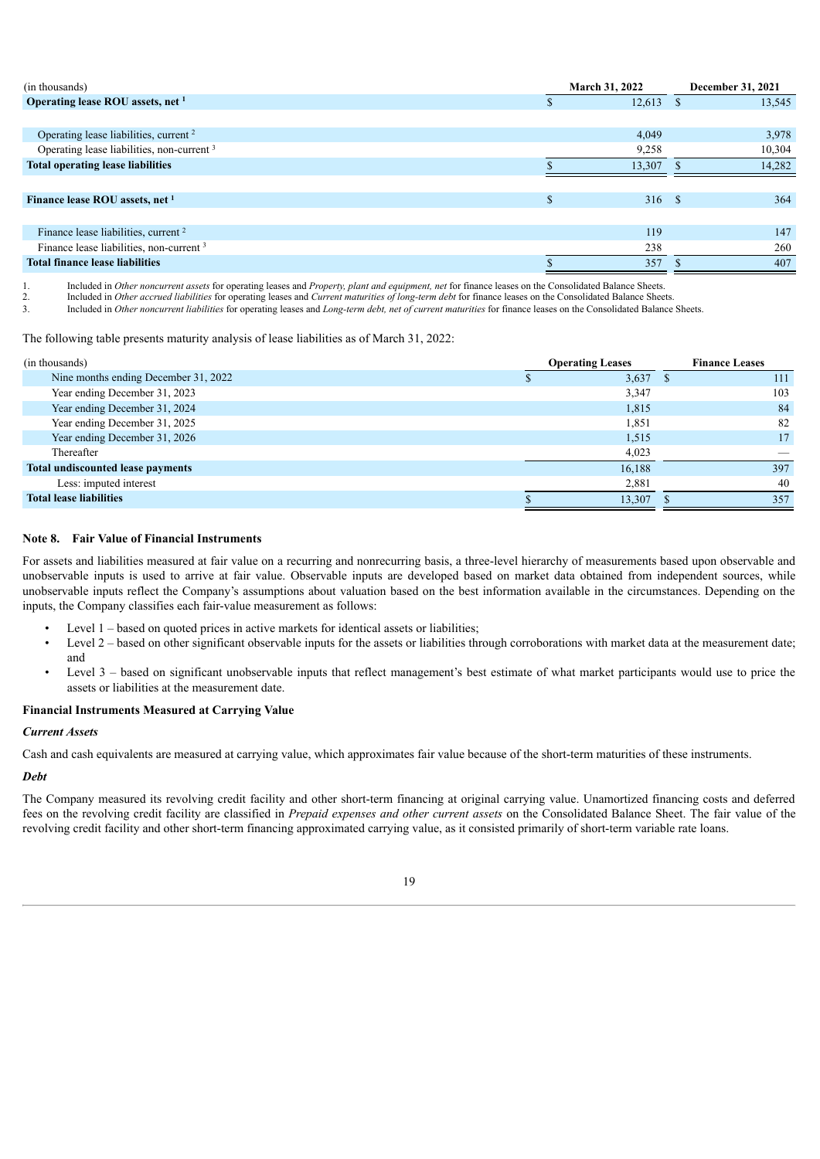| (in thousands)                                        | <b>March 31, 2022</b> |        |  | December 31, 2021 |  |  |
|-------------------------------------------------------|-----------------------|--------|--|-------------------|--|--|
| Operating lease ROU assets, net <sup>1</sup>          |                       | 12,613 |  | 13,545            |  |  |
|                                                       |                       |        |  |                   |  |  |
| Operating lease liabilities, current <sup>2</sup>     |                       | 4,049  |  | 3,978             |  |  |
| Operating lease liabilities, non-current <sup>3</sup> |                       | 9,258  |  | 10,304            |  |  |
| <b>Total operating lease liabilities</b>              |                       | 13.307 |  | 14,282            |  |  |
|                                                       |                       |        |  |                   |  |  |
| Finance lease ROU assets, net <sup>1</sup>            |                       | 316S   |  | 364               |  |  |
|                                                       |                       |        |  |                   |  |  |
| Finance lease liabilities, current <sup>2</sup>       |                       | 119    |  | 147               |  |  |
| Finance lease liabilities, non-current <sup>3</sup>   |                       | 238    |  | 260               |  |  |
| <b>Total finance lease liabilities</b>                |                       | 357    |  | 407               |  |  |

1. Included in *Other noncurrent assets* for operating leases and *Property, plant and equipment, net* for finance leases on the Consolidated Balance Sheets.

2. Included in *Other accrued liabilities* for operating leases and *Current maturities* of *long-term debt* for finance leases on the Consolidated Balance Sheets.<br>3. Included in *Other noncurrent liabilities* for operatin

Included in Other noncurrent liabilities for operating leases and Long-term debt, net of current maturities for finance leases on the Consolidated Balance Sheets.

The following table presents maturity analysis of lease liabilities as of March 31, 2022:

| (in thousands)                           | <b>Operating Leases</b> | <b>Finance Leases</b> |
|------------------------------------------|-------------------------|-----------------------|
| Nine months ending December 31, 2022     | 3,637                   | 111                   |
| Year ending December 31, 2023            | 3,347                   | 103                   |
| Year ending December 31, 2024            | 1,815                   | 84                    |
| Year ending December 31, 2025            | 1,851                   | 82                    |
| Year ending December 31, 2026            | 1,515                   | 17                    |
| Thereafter                               | 4,023                   |                       |
| <b>Total undiscounted lease payments</b> | 16,188                  | 397                   |
| Less: imputed interest                   | 2,881                   | 40                    |
| <b>Total lease liabilities</b>           | 13.307                  | 357                   |

# **Note 8. Fair Value of Financial Instruments**

For assets and liabilities measured at fair value on a recurring and nonrecurring basis, a three-level hierarchy of measurements based upon observable and unobservable inputs is used to arrive at fair value. Observable inputs are developed based on market data obtained from independent sources, while unobservable inputs reflect the Company's assumptions about valuation based on the best information available in the circumstances. Depending on the inputs, the Company classifies each fair-value measurement as follows:

- Level 1 based on quoted prices in active markets for identical assets or liabilities;
- Level 2 based on other significant observable inputs for the assets or liabilities through corroborations with market data at the measurement date; and
- Level 3 based on significant unobservable inputs that reflect management's best estimate of what market participants would use to price the assets or liabilities at the measurement date.

#### **Financial Instruments Measured at Carrying Value**

#### *Current Assets*

Cash and cash equivalents are measured at carrying value, which approximates fair value because of the short-term maturities of these instruments.

#### *Debt*

The Company measured its revolving credit facility and other short-term financing at original carrying value. Unamortized financing costs and deferred fees on the revolving credit facility are classified in *Prepaid expenses and other current assets* on the Consolidated Balance Sheet. The fair value of the revolving credit facility and other short-term financing approximated carrying value, as it consisted primarily of short-term variable rate loans.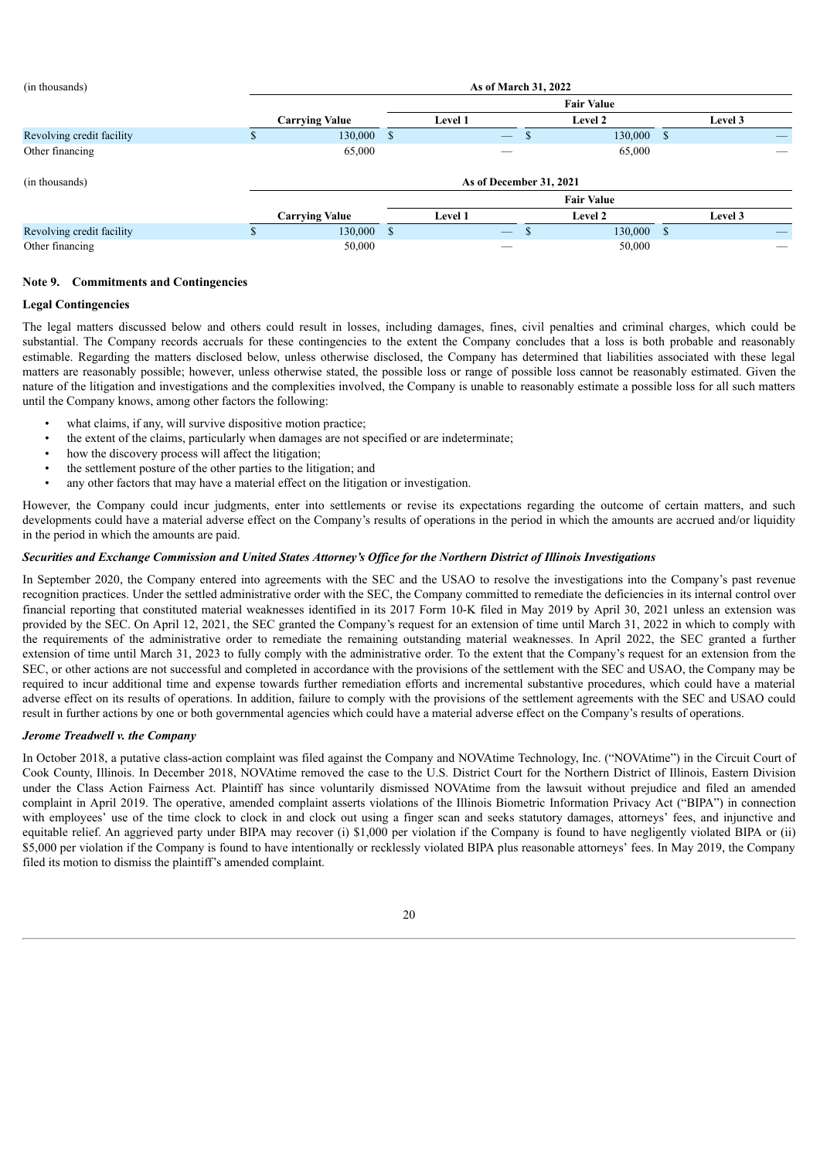(in thousands) **As of March 31, 2022 Carrying Value Fair Value Level 1 Level 2 Level 3** Revolving credit facility  $\overline{\text{S}}$  130,000  $\overline{\text{S}}$  130,000  $\overline{\text{S}}$  130,000  $\overline{\text{S}}$  130,000  $\overline{\text{S}}$ Other financing  $65,000$   $65,000$   $-$ (in thousands) **As of December 31, 2021 Carrying Value Fair Value Level 1 Level 2 Level 3** Revolving credit facility  $\overline{\text{S}}$  130,000  $\overline{\text{S}}$  130,000  $\overline{\text{S}}$  130,000  $\overline{\text{S}}$  130,000  $\overline{\text{S}}$ Other financing  $50,000$   $50,000$   $-$ 

### **Note 9. Commitments and Contingencies**

#### **Legal Contingencies**

The legal matters discussed below and others could result in losses, including damages, fines, civil penalties and criminal charges, which could be substantial. The Company records accruals for these contingencies to the extent the Company concludes that a loss is both probable and reasonably estimable. Regarding the matters disclosed below, unless otherwise disclosed, the Company has determined that liabilities associated with these legal matters are reasonably possible; however, unless otherwise stated, the possible loss or range of possible loss cannot be reasonably estimated. Given the nature of the litigation and investigations and the complexities involved, the Company is unable to reasonably estimate a possible loss for all such matters until the Company knows, among other factors the following:

- what claims, if any, will survive dispositive motion practice;
- the extent of the claims, particularly when damages are not specified or are indeterminate;
- how the discovery process will affect the litigation;
- the settlement posture of the other parties to the litigation; and
- any other factors that may have a material effect on the litigation or investigation.

However, the Company could incur judgments, enter into settlements or revise its expectations regarding the outcome of certain matters, and such developments could have a material adverse effect on the Company's results of operations in the period in which the amounts are accrued and/or liquidity in the period in which the amounts are paid.

#### Securities and Exchange Commission and United States Attorney's Office for the Northern District of Illinois Investigations

In September 2020, the Company entered into agreements with the SEC and the USAO to resolve the investigations into the Company's past revenue recognition practices. Under the settled administrative order with the SEC, the Company committed to remediate the deficiencies in its internal control over financial reporting that constituted material weaknesses identified in its 2017 Form 10-K filed in May 2019 by April 30, 2021 unless an extension was provided by the SEC. On April 12, 2021, the SEC granted the Company's request for an extension of time until March 31, 2022 in which to comply with the requirements of the administrative order to remediate the remaining outstanding material weaknesses. In April 2022, the SEC granted a further extension of time until March 31, 2023 to fully comply with the administrative order. To the extent that the Company's request for an extension from the SEC, or other actions are not successful and completed in accordance with the provisions of the settlement with the SEC and USAO, the Company may be required to incur additional time and expense towards further remediation efforts and incremental substantive procedures, which could have a material adverse effect on its results of operations. In addition, failure to comply with the provisions of the settlement agreements with the SEC and USAO could result in further actions by one or both governmental agencies which could have a material adverse effect on the Company's results of operations.

#### *Jerome Treadwell v. the Company*

In October 2018, a putative class-action complaint was filed against the Company and NOVAtime Technology, Inc. ("NOVAtime") in the Circuit Court of Cook County, Illinois. In December 2018, NOVAtime removed the case to the U.S. District Court for the Northern District of Illinois, Eastern Division under the Class Action Fairness Act. Plaintiff has since voluntarily dismissed NOVAtime from the lawsuit without prejudice and filed an amended complaint in April 2019. The operative, amended complaint asserts violations of the Illinois Biometric Information Privacy Act ("BIPA") in connection with employees' use of the time clock to clock in and clock out using a finger scan and seeks statutory damages, attorneys' fees, and injunctive and equitable relief. An aggrieved party under BIPA may recover (i) \$1,000 per violation if the Company is found to have negligently violated BIPA or (ii) \$5,000 per violation if the Company is found to have intentionally or recklessly violated BIPA plus reasonable attorneys' fees. In May 2019, the Company filed its motion to dismiss the plaintiff's amended complaint.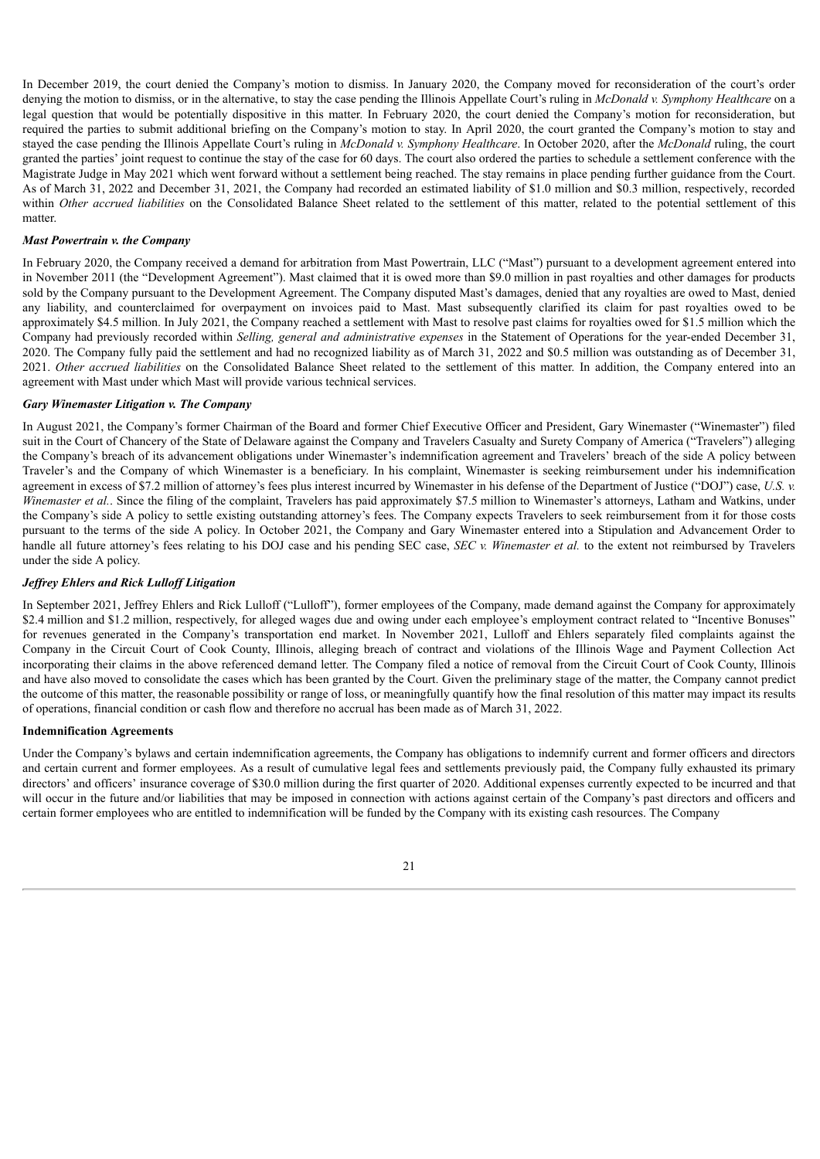In December 2019, the court denied the Company's motion to dismiss. In January 2020, the Company moved for reconsideration of the court's order denying the motion to dismiss, or in the alternative, to stay the case pending the Illinois Appellate Court's ruling in *McDonald v. Symphony Healthcare* on a legal question that would be potentially dispositive in this matter. In February 2020, the court denied the Company's motion for reconsideration, but required the parties to submit additional briefing on the Company's motion to stay. In April 2020, the court granted the Company's motion to stay and stayed the case pending the Illinois Appellate Court's ruling in *McDonald v. Symphony Healthcare*. In October 2020, after the *McDonald* ruling, the court granted the parties' joint request to continue the stay of the case for 60 days. The court also ordered the parties to schedule a settlement conference with the Magistrate Judge in May 2021 which went forward without a settlement being reached. The stay remains in place pending further guidance from the Court. As of March 31, 2022 and December 31, 2021, the Company had recorded an estimated liability of \$1.0 million and \$0.3 million, respectively, recorded within *Other accrued liabilities* on the Consolidated Balance Sheet related to the settlement of this matter, related to the potential settlement of this matter.

#### *Mast Powertrain v. the Company*

In February 2020, the Company received a demand for arbitration from Mast Powertrain, LLC ("Mast") pursuant to a development agreement entered into in November 2011 (the "Development Agreement"). Mast claimed that it is owed more than \$9.0 million in past royalties and other damages for products sold by the Company pursuant to the Development Agreement. The Company disputed Mast's damages, denied that any royalties are owed to Mast, denied any liability, and counterclaimed for overpayment on invoices paid to Mast. Mast subsequently clarified its claim for past royalties owed to be approximately \$4.5 million. In July 2021, the Company reached a settlement with Mast to resolve past claims for royalties owed for \$1.5 million which the Company had previously recorded within *Selling, general and administrative expenses* in the Statement of Operations for the year-ended December 31, 2020. The Company fully paid the settlement and had no recognized liability as of March 31, 2022 and \$0.5 million was outstanding as of December 31, 2021. *Other accrued liabilities* on the Consolidated Balance Sheet related to the settlement of this matter. In addition, the Company entered into an agreement with Mast under which Mast will provide various technical services.

#### *Gary Winemaster Litigation v. The Company*

In August 2021, the Company's former Chairman of the Board and former Chief Executive Officer and President, Gary Winemaster ("Winemaster") filed suit in the Court of Chancery of the State of Delaware against the Company and Travelers Casualty and Surety Company of America ("Travelers") alleging the Company's breach of its advancement obligations under Winemaster's indemnification agreement and Travelers' breach of the side A policy between Traveler's and the Company of which Winemaster is a beneficiary. In his complaint, Winemaster is seeking reimbursement under his indemnification agreement in excess of \$7.2 million of attorney's fees plus interest incurred by Winemaster in his defense of the Department of Justice ("DOJ") case, *U.S. v. Winemaster et al.*. Since the filing of the complaint, Travelers has paid approximately \$7.5 million to Winemaster's attorneys, Latham and Watkins, under the Company's side A policy to settle existing outstanding attorney's fees. The Company expects Travelers to seek reimbursement from it for those costs pursuant to the terms of the side A policy. In October 2021, the Company and Gary Winemaster entered into a Stipulation and Advancement Order to handle all future attorney's fees relating to his DOJ case and his pending SEC case, *SEC v. Winemaster et al.* to the extent not reimbursed by Travelers under the side A policy.

#### *Jef rey Ehlers and Rick Lullof Litigation*

In September 2021, Jeffrey Ehlers and Rick Lulloff ("Lulloff"), former employees of the Company, made demand against the Company for approximately \$2.4 million and \$1.2 million, respectively, for alleged wages due and owing under each employee's employment contract related to "Incentive Bonuses" for revenues generated in the Company's transportation end market. In November 2021, Lulloff and Ehlers separately filed complaints against the Company in the Circuit Court of Cook County, Illinois, alleging breach of contract and violations of the Illinois Wage and Payment Collection Act incorporating their claims in the above referenced demand letter. The Company filed a notice of removal from the Circuit Court of Cook County, Illinois and have also moved to consolidate the cases which has been granted by the Court. Given the preliminary stage of the matter, the Company cannot predict the outcome of this matter, the reasonable possibility or range of loss, or meaningfully quantify how the final resolution of this matter may impact its results of operations, financial condition or cash flow and therefore no accrual has been made as of March 31, 2022.

#### **Indemnification Agreements**

Under the Company's bylaws and certain indemnification agreements, the Company has obligations to indemnify current and former officers and directors and certain current and former employees. As a result of cumulative legal fees and settlements previously paid, the Company fully exhausted its primary directors' and officers' insurance coverage of \$30.0 million during the first quarter of 2020. Additional expenses currently expected to be incurred and that will occur in the future and/or liabilities that may be imposed in connection with actions against certain of the Company's past directors and officers and certain former employees who are entitled to indemnification will be funded by the Company with its existing cash resources. The Company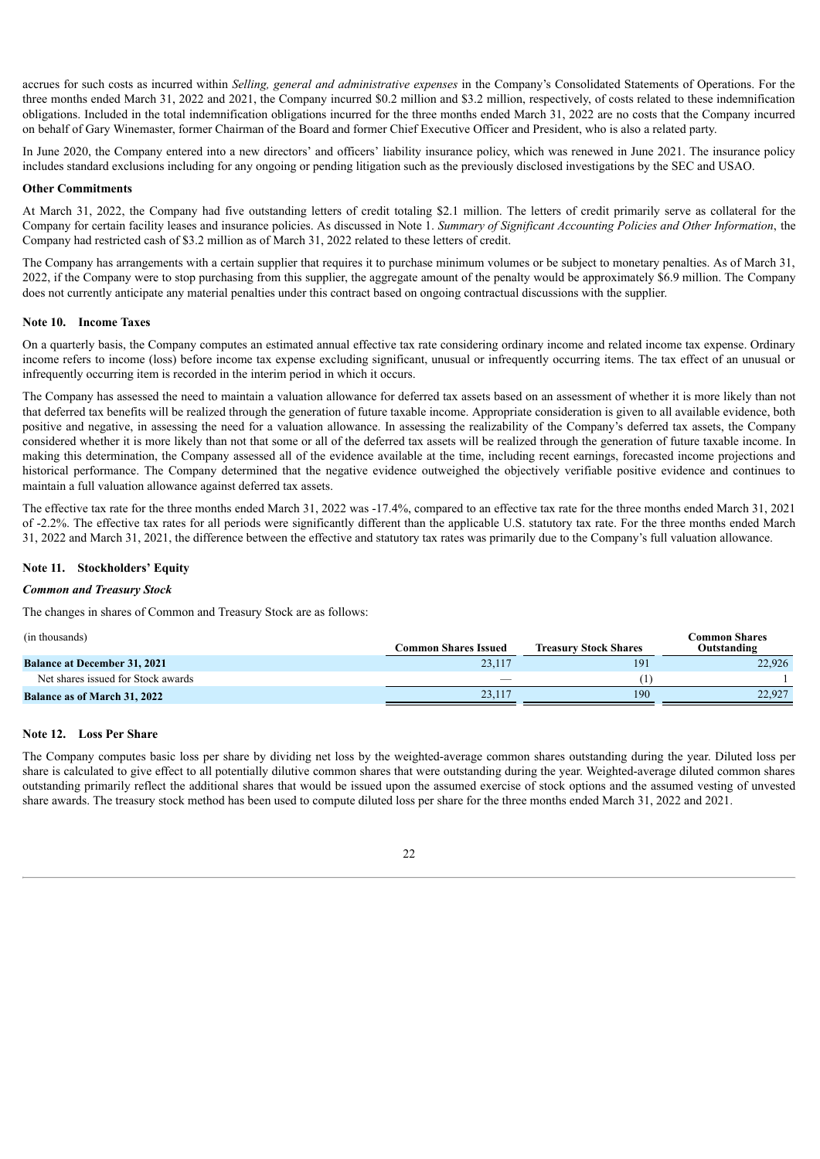accrues for such costs as incurred within *Selling, general and administrative expenses* in the Company's Consolidated Statements of Operations. For the three months ended March 31, 2022 and 2021, the Company incurred \$0.2 million and \$3.2 million, respectively, of costs related to these indemnification obligations. Included in the total indemnification obligations incurred for the three months ended March 31, 2022 are no costs that the Company incurred on behalf of Gary Winemaster, former Chairman of the Board and former Chief Executive Officer and President, who is also a related party.

In June 2020, the Company entered into a new directors' and officers' liability insurance policy, which was renewed in June 2021. The insurance policy includes standard exclusions including for any ongoing or pending litigation such as the previously disclosed investigations by the SEC and USAO.

#### **Other Commitments**

At March 31, 2022, the Company had five outstanding letters of credit totaling \$2.1 million. The letters of credit primarily serve as collateral for the Company for certain facility leases and insurance policies. As discussed in Note 1. *Summary of Significant Accounting Policies and Other Information*, the Company had restricted cash of \$3.2 million as of March 31, 2022 related to these letters of credit.

The Company has arrangements with a certain supplier that requires it to purchase minimum volumes or be subject to monetary penalties. As of March 31, 2022, if the Company were to stop purchasing from this supplier, the aggregate amount of the penalty would be approximately \$6.9 million. The Company does not currently anticipate any material penalties under this contract based on ongoing contractual discussions with the supplier.

#### **Note 10. Income Taxes**

On a quarterly basis, the Company computes an estimated annual effective tax rate considering ordinary income and related income tax expense. Ordinary income refers to income (loss) before income tax expense excluding significant, unusual or infrequently occurring items. The tax effect of an unusual or infrequently occurring item is recorded in the interim period in which it occurs.

The Company has assessed the need to maintain a valuation allowance for deferred tax assets based on an assessment of whether it is more likely than not that deferred tax benefits will be realized through the generation of future taxable income. Appropriate consideration is given to all available evidence, both positive and negative, in assessing the need for a valuation allowance. In assessing the realizability of the Company's deferred tax assets, the Company considered whether it is more likely than not that some or all of the deferred tax assets will be realized through the generation of future taxable income. In making this determination, the Company assessed all of the evidence available at the time, including recent earnings, forecasted income projections and historical performance. The Company determined that the negative evidence outweighed the objectively verifiable positive evidence and continues to maintain a full valuation allowance against deferred tax assets.

The effective tax rate for the three months ended March 31, 2022 was -17.4%, compared to an effective tax rate for the three months ended March 31, 2021 of -2.2%. The effective tax rates for all periods were significantly different than the applicable U.S. statutory tax rate. For the three months ended March 31, 2022 and March 31, 2021, the difference between the effective and statutory tax rates was primarily due to the Company's full valuation allowance.

#### **Note 11. Stockholders' Equity**

#### *Common and Treasury Stock*

The changes in shares of Common and Treasury Stock are as follows:

| (in thousands)                      | <b>Common Shares Issued</b> | <b>Treasury Stock Shares</b> | <b>Common Shares</b><br>Outstanding |
|-------------------------------------|-----------------------------|------------------------------|-------------------------------------|
| <b>Balance at December 31, 2021</b> | 23.117                      | 191                          | 22,926                              |
| Net shares issued for Stock awards  |                             |                              |                                     |
| <b>Balance as of March 31, 2022</b> | 23.117                      | 190                          | 22,927                              |

#### **Note 12. Loss Per Share**

The Company computes basic loss per share by dividing net loss by the weighted-average common shares outstanding during the year. Diluted loss per share is calculated to give effect to all potentially dilutive common shares that were outstanding during the year. Weighted-average diluted common shares outstanding primarily reflect the additional shares that would be issued upon the assumed exercise of stock options and the assumed vesting of unvested share awards. The treasury stock method has been used to compute diluted loss per share for the three months ended March 31, 2022 and 2021.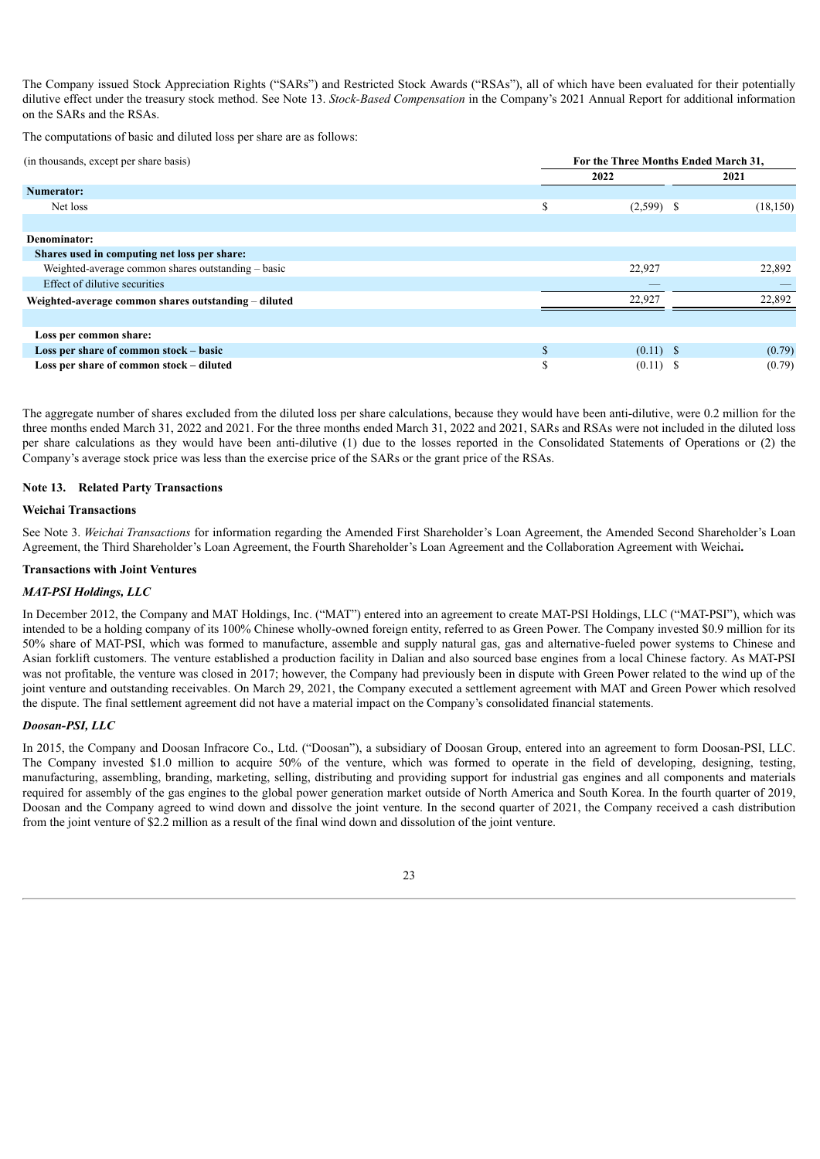The Company issued Stock Appreciation Rights ("SARs") and Restricted Stock Awards ("RSAs"), all of which have been evaluated for their potentially dilutive effect under the treasury stock method. See Note 13. *Stock-Based Compensation* in the Company's 2021 Annual Report for additional information on the SARs and the RSAs.

The computations of basic and diluted loss per share are as follows:

| (in thousands, except per share basis)               | For the Three Months Ended March 31, |              |      |           |  |  |
|------------------------------------------------------|--------------------------------------|--------------|------|-----------|--|--|
|                                                      |                                      | 2022         | 2021 |           |  |  |
| <b>Numerator:</b>                                    |                                      |              |      |           |  |  |
| Net loss                                             | \$                                   | $(2,599)$ \$ |      | (18, 150) |  |  |
|                                                      |                                      |              |      |           |  |  |
| Denominator:                                         |                                      |              |      |           |  |  |
| Shares used in computing net loss per share:         |                                      |              |      |           |  |  |
| Weighted-average common shares outstanding - basic   |                                      | 22,927       |      | 22,892    |  |  |
| Effect of dilutive securities                        |                                      |              |      |           |  |  |
| Weighted-average common shares outstanding - diluted |                                      | 22.927       |      | 22,892    |  |  |
|                                                      |                                      |              |      |           |  |  |
| Loss per common share:                               |                                      |              |      |           |  |  |
| Loss per share of common stock – basic               | \$.                                  | $(0.11)$ \$  |      | (0.79)    |  |  |
| Loss per share of common stock – diluted             |                                      | $(0.11)$ \$  |      | (0.79)    |  |  |

The aggregate number of shares excluded from the diluted loss per share calculations, because they would have been anti-dilutive, were 0.2 million for the three months ended March 31, 2022 and 2021. For the three months ended March 31, 2022 and 2021, SARs and RSAs were not included in the diluted loss per share calculations as they would have been anti-dilutive (1) due to the losses reported in the Consolidated Statements of Operations or (2) the Company's average stock price was less than the exercise price of the SARs or the grant price of the RSAs.

#### **Note 13. Related Party Transactions**

#### **Weichai Transactions**

See Note 3. *Weichai Transactions* for information regarding the Amended First Shareholder's Loan Agreement, the Amended Second Shareholder's Loan Agreement, the Third Shareholder's Loan Agreement, the Fourth Shareholder's Loan Agreement and the Collaboration Agreement with Weichai**.**

#### **Transactions with Joint Ventures**

#### *MAT-PSI Holdings, LLC*

In December 2012, the Company and MAT Holdings, Inc. ("MAT") entered into an agreement to create MAT-PSI Holdings, LLC ("MAT-PSI"), which was intended to be a holding company of its 100% Chinese wholly-owned foreign entity, referred to as Green Power. The Company invested \$0.9 million for its 50% share of MAT-PSI, which was formed to manufacture, assemble and supply natural gas, gas and alternative-fueled power systems to Chinese and Asian forklift customers. The venture established a production facility in Dalian and also sourced base engines from a local Chinese factory. As MAT-PSI was not profitable, the venture was closed in 2017; however, the Company had previously been in dispute with Green Power related to the wind up of the joint venture and outstanding receivables. On March 29, 2021, the Company executed a settlement agreement with MAT and Green Power which resolved the dispute. The final settlement agreement did not have a material impact on the Company's consolidated financial statements.

#### *Doosan-PSI, LLC*

In 2015, the Company and Doosan Infracore Co., Ltd. ("Doosan"), a subsidiary of Doosan Group, entered into an agreement to form Doosan-PSI, LLC. The Company invested \$1.0 million to acquire 50% of the venture, which was formed to operate in the field of developing, designing, testing, manufacturing, assembling, branding, marketing, selling, distributing and providing support for industrial gas engines and all components and materials required for assembly of the gas engines to the global power generation market outside of North America and South Korea. In the fourth quarter of 2019, Doosan and the Company agreed to wind down and dissolve the joint venture. In the second quarter of 2021, the Company received a cash distribution from the joint venture of \$2.2 million as a result of the final wind down and dissolution of the joint venture.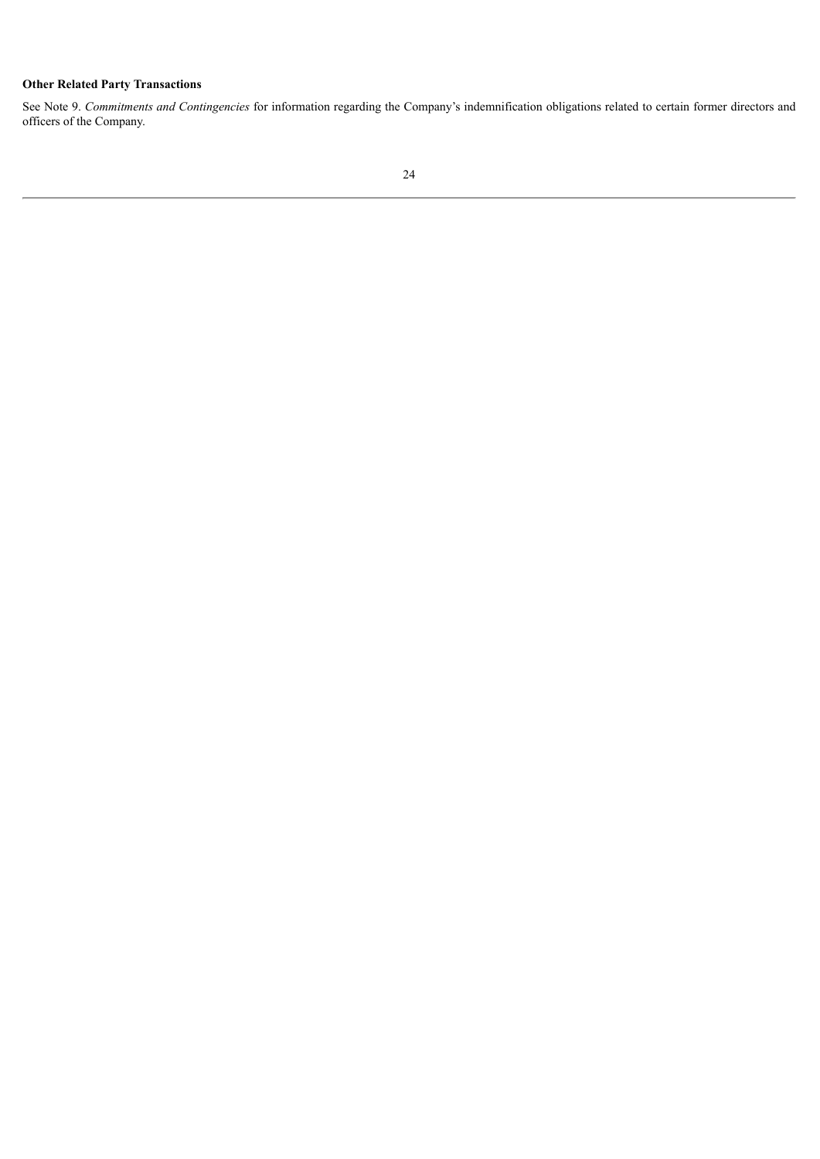# **Other Related Party Transactions**

<span id="page-23-0"></span>See Note 9. *Commitments and Contingencies* for information regarding the Company's indemnification obligations related to certain former directors and officers of the Company.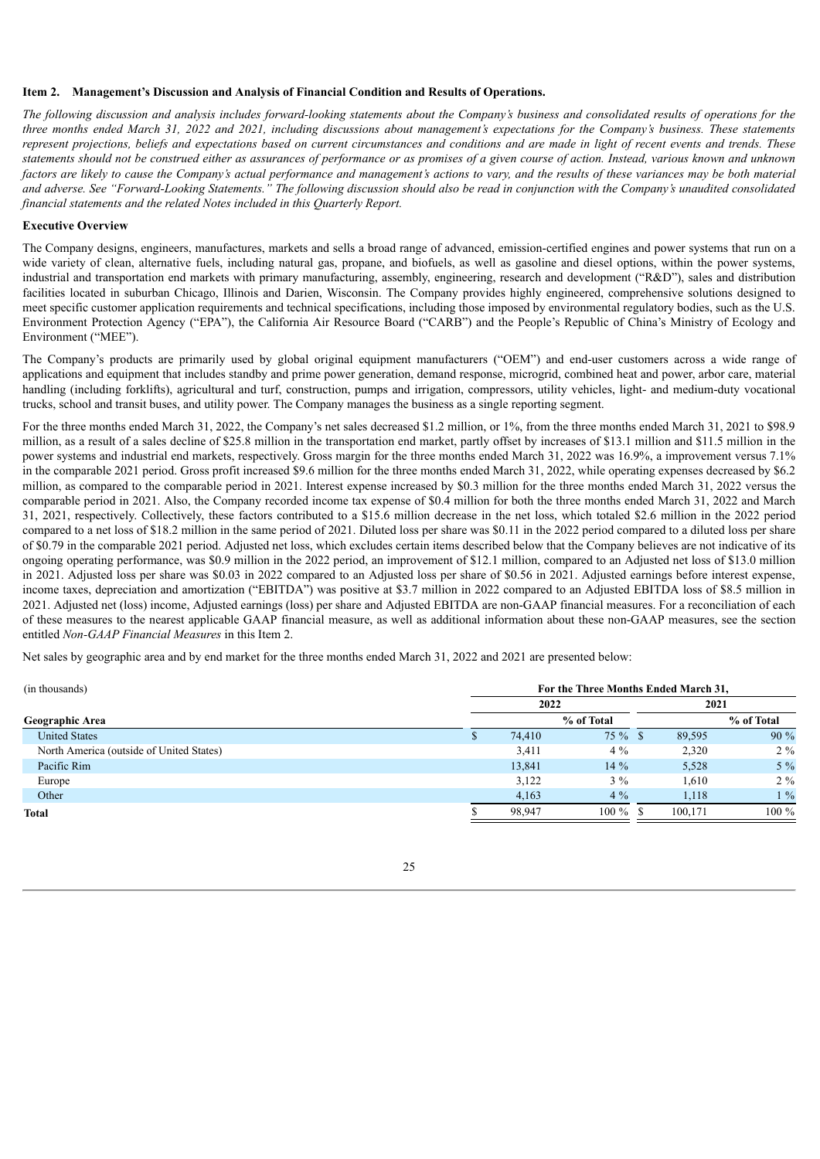#### **Item 2. Management's Discussion and Analysis of Financial Condition and Results of Operations.**

The following discussion and analysis includes forward-looking statements about the Company's business and consolidated results of operations for the three months ended March 31, 2022 and 2021, including discussions about management's expectations for the Company's business. These statements represent projections, beliefs and expectations based on current circumstances and conditions and are made in light of recent events and trends. These statements should not be construed either as assurances of performance or as promises of a given course of action. Instead, various known and unknown factors are likely to cause the Company's actual performance and management's actions to vary, and the results of these variances may be both material and adverse. See "Forward-Looking Statements." The following discussion should also be read in conjunction with the Company's unaudited consolidated *financial statements and the related Notes included in this Quarterly Report.*

#### **Executive Overview**

The Company designs, engineers, manufactures, markets and sells a broad range of advanced, emission-certified engines and power systems that run on a wide variety of clean, alternative fuels, including natural gas, propane, and biofuels, as well as gasoline and diesel options, within the power systems, industrial and transportation end markets with primary manufacturing, assembly, engineering, research and development ("R&D"), sales and distribution facilities located in suburban Chicago, Illinois and Darien, Wisconsin. The Company provides highly engineered, comprehensive solutions designed to meet specific customer application requirements and technical specifications, including those imposed by environmental regulatory bodies, such as the U.S. Environment Protection Agency ("EPA"), the California Air Resource Board ("CARB") and the People's Republic of China's Ministry of Ecology and Environment ("MEE").

The Company's products are primarily used by global original equipment manufacturers ("OEM") and end-user customers across a wide range of applications and equipment that includes standby and prime power generation, demand response, microgrid, combined heat and power, arbor care, material handling (including forklifts), agricultural and turf, construction, pumps and irrigation, compressors, utility vehicles, light- and medium-duty vocational trucks, school and transit buses, and utility power. The Company manages the business as a single reporting segment.

For the three months ended March 31, 2022, the Company's net sales decreased \$1.2 million, or 1%, from the three months ended March 31, 2021 to \$98.9 million, as a result of a sales decline of \$25.8 million in the transportation end market, partly offset by increases of \$13.1 million and \$11.5 million in the power systems and industrial end markets, respectively. Gross margin for the three months ended March 31, 2022 was 16.9%, a improvement versus 7.1% in the comparable 2021 period. Gross profit increased \$9.6 million for the three months ended March 31, 2022, while operating expenses decreased by \$6.2 million, as compared to the comparable period in 2021. Interest expense increased by \$0.3 million for the three months ended March 31, 2022 versus the comparable period in 2021. Also, the Company recorded income tax expense of \$0.4 million for both the three months ended March 31, 2022 and March 31, 2021, respectively. Collectively, these factors contributed to a \$15.6 million decrease in the net loss, which totaled \$2.6 million in the 2022 period compared to a net loss of \$18.2 million in the same period of 2021. Diluted loss per share was \$0.11 in the 2022 period compared to a diluted loss per share of \$0.79 in the comparable 2021 period. Adjusted net loss, which excludes certain items described below that the Company believes are not indicative of its ongoing operating performance, was \$0.9 million in the 2022 period, an improvement of \$12.1 million, compared to an Adjusted net loss of \$13.0 million in 2021. Adjusted loss per share was \$0.03 in 2022 compared to an Adjusted loss per share of \$0.56 in 2021. Adjusted earnings before interest expense, income taxes, depreciation and amortization ("EBITDA") was positive at \$3.7 million in 2022 compared to an Adjusted EBITDA loss of \$8.5 million in 2021. Adjusted net (loss) income, Adjusted earnings (loss) per share and Adjusted EBITDA are non-GAAP financial measures. For a reconciliation of each of these measures to the nearest applicable GAAP financial measure, as well as additional information about these non-GAAP measures, see the section entitled *Non-GAAP Financial Measures* in this Item 2.

Net sales by geographic area and by end market for the three months ended March 31, 2022 and 2021 are presented below:

| (in thousands)                           | For the Three Months Ended March 31, |        |            |  |         |            |  |  |  |  |
|------------------------------------------|--------------------------------------|--------|------------|--|---------|------------|--|--|--|--|
|                                          |                                      | 2022   |            |  | 2021    |            |  |  |  |  |
| Geographic Area                          |                                      |        | % of Total |  |         | % of Total |  |  |  |  |
| <b>United States</b>                     |                                      | 74,410 | $75 \%$ \$ |  | 89.595  | 90 %       |  |  |  |  |
| North America (outside of United States) |                                      | 3,411  | $4\%$      |  | 2,320   | $2\%$      |  |  |  |  |
| Pacific Rim                              |                                      | 13,841 | $14\%$     |  | 5,528   | $5\%$      |  |  |  |  |
| Europe                                   |                                      | 3,122  | $3\%$      |  | 1,610   | $2\%$      |  |  |  |  |
| Other                                    |                                      | 4.163  | $4\%$      |  | 1,118   | $1\%$      |  |  |  |  |
| <b>Total</b>                             |                                      | 98,947 | $100\%$ \$ |  | 100.171 | $100 \%$   |  |  |  |  |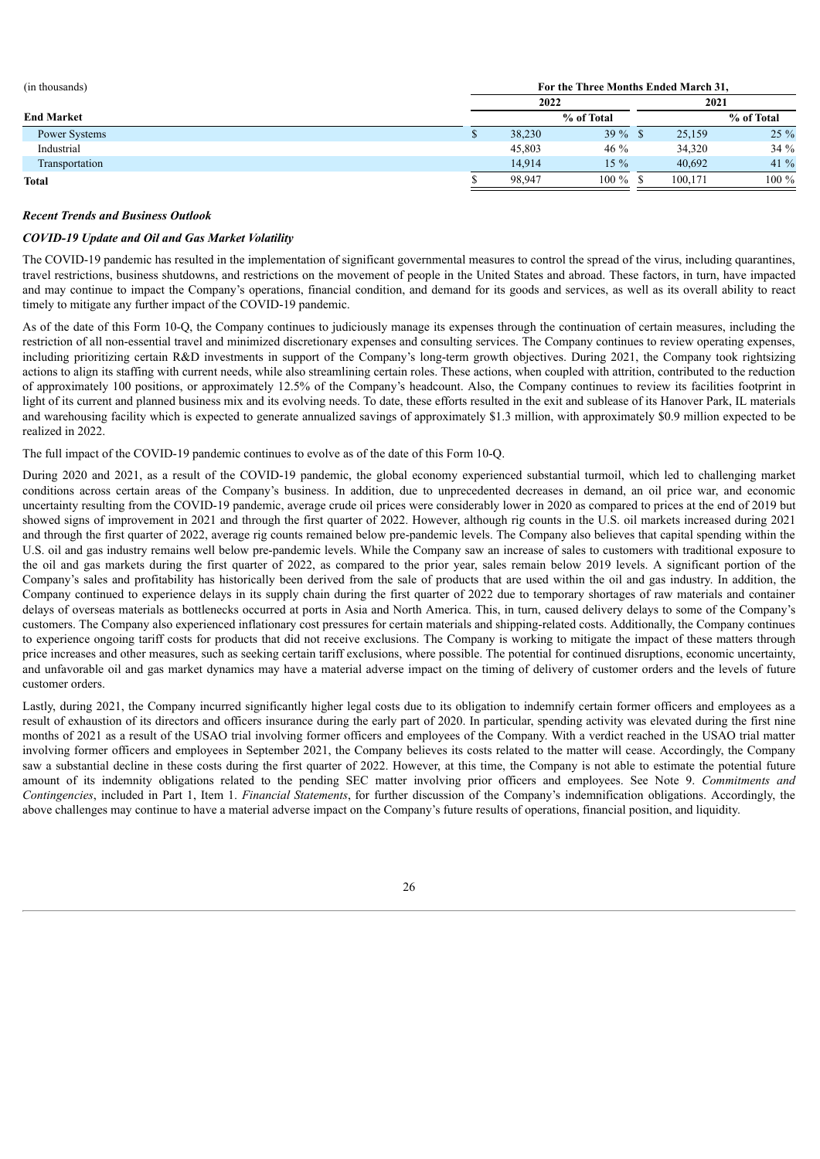| (in thousands)    |  | For the Three Months Ended March 31, |            |  |         |            |
|-------------------|--|--------------------------------------|------------|--|---------|------------|
|                   |  | 2022                                 |            |  | 2021    |            |
| <b>End Market</b> |  |                                      | % of Total |  |         | % of Total |
| Power Systems     |  | 38,230                               | $39 \%$ \$ |  | 25,159  | $25\%$     |
| Industrial        |  | 45.803                               | $46\%$     |  | 34,320  | $34\%$     |
| Transportation    |  | 14.914                               | $15\%$     |  | 40.692  | 41 $\%$    |
| <b>Total</b>      |  | 98,947                               | $100\%$ \$ |  | 100.171 | $100 \%$   |

#### *Recent Trends and Business Outlook*

#### *COVID-19 Update and Oil and Gas Market Volatility*

The COVID-19 pandemic has resulted in the implementation of significant governmental measures to control the spread of the virus, including quarantines, travel restrictions, business shutdowns, and restrictions on the movement of people in the United States and abroad. These factors, in turn, have impacted and may continue to impact the Company's operations, financial condition, and demand for its goods and services, as well as its overall ability to react timely to mitigate any further impact of the COVID-19 pandemic.

As of the date of this Form 10-Q, the Company continues to judiciously manage its expenses through the continuation of certain measures, including the restriction of all non-essential travel and minimized discretionary expenses and consulting services. The Company continues to review operating expenses, including prioritizing certain R&D investments in support of the Company's long-term growth objectives. During 2021, the Company took rightsizing actions to align its staffing with current needs, while also streamlining certain roles. These actions, when coupled with attrition, contributed to the reduction of approximately 100 positions, or approximately 12.5% of the Company's headcount. Also, the Company continues to review its facilities footprint in light of its current and planned business mix and its evolving needs. To date, these efforts resulted in the exit and sublease of its Hanover Park, IL materials and warehousing facility which is expected to generate annualized savings of approximately \$1.3 million, with approximately \$0.9 million expected to be realized in 2022.

The full impact of the COVID-19 pandemic continues to evolve as of the date of this Form 10-Q.

During 2020 and 2021, as a result of the COVID-19 pandemic, the global economy experienced substantial turmoil, which led to challenging market conditions across certain areas of the Company's business. In addition, due to unprecedented decreases in demand, an oil price war, and economic uncertainty resulting from the COVID-19 pandemic, average crude oil prices were considerably lower in 2020 as compared to prices at the end of 2019 but showed signs of improvement in 2021 and through the first quarter of 2022. However, although rig counts in the U.S. oil markets increased during 2021 and through the first quarter of 2022, average rig counts remained below pre-pandemic levels. The Company also believes that capital spending within the U.S. oil and gas industry remains well below pre-pandemic levels. While the Company saw an increase of sales to customers with traditional exposure to the oil and gas markets during the first quarter of 2022, as compared to the prior year, sales remain below 2019 levels. A significant portion of the Company's sales and profitability has historically been derived from the sale of products that are used within the oil and gas industry. In addition, the Company continued to experience delays in its supply chain during the first quarter of 2022 due to temporary shortages of raw materials and container delays of overseas materials as bottlenecks occurred at ports in Asia and North America. This, in turn, caused delivery delays to some of the Company's customers. The Company also experienced inflationary cost pressures for certain materials and shipping-related costs. Additionally, the Company continues to experience ongoing tariff costs for products that did not receive exclusions. The Company is working to mitigate the impact of these matters through price increases and other measures, such as seeking certain tariff exclusions, where possible. The potential for continued disruptions, economic uncertainty, and unfavorable oil and gas market dynamics may have a material adverse impact on the timing of delivery of customer orders and the levels of future customer orders.

Lastly, during 2021, the Company incurred significantly higher legal costs due to its obligation to indemnify certain former officers and employees as a result of exhaustion of its directors and officers insurance during the early part of 2020. In particular, spending activity was elevated during the first nine months of 2021 as a result of the USAO trial involving former officers and employees of the Company. With a verdict reached in the USAO trial matter involving former officers and employees in September 2021, the Company believes its costs related to the matter will cease. Accordingly, the Company saw a substantial decline in these costs during the first quarter of 2022. However, at this time, the Company is not able to estimate the potential future amount of its indemnity obligations related to the pending SEC matter involving prior officers and employees. See Note 9. *Commitments and Contingencies*, included in Part 1, Item 1. *Financial Statements*, for further discussion of the Company's indemnification obligations. Accordingly, the above challenges may continue to have a material adverse impact on the Company's future results of operations, financial position, and liquidity.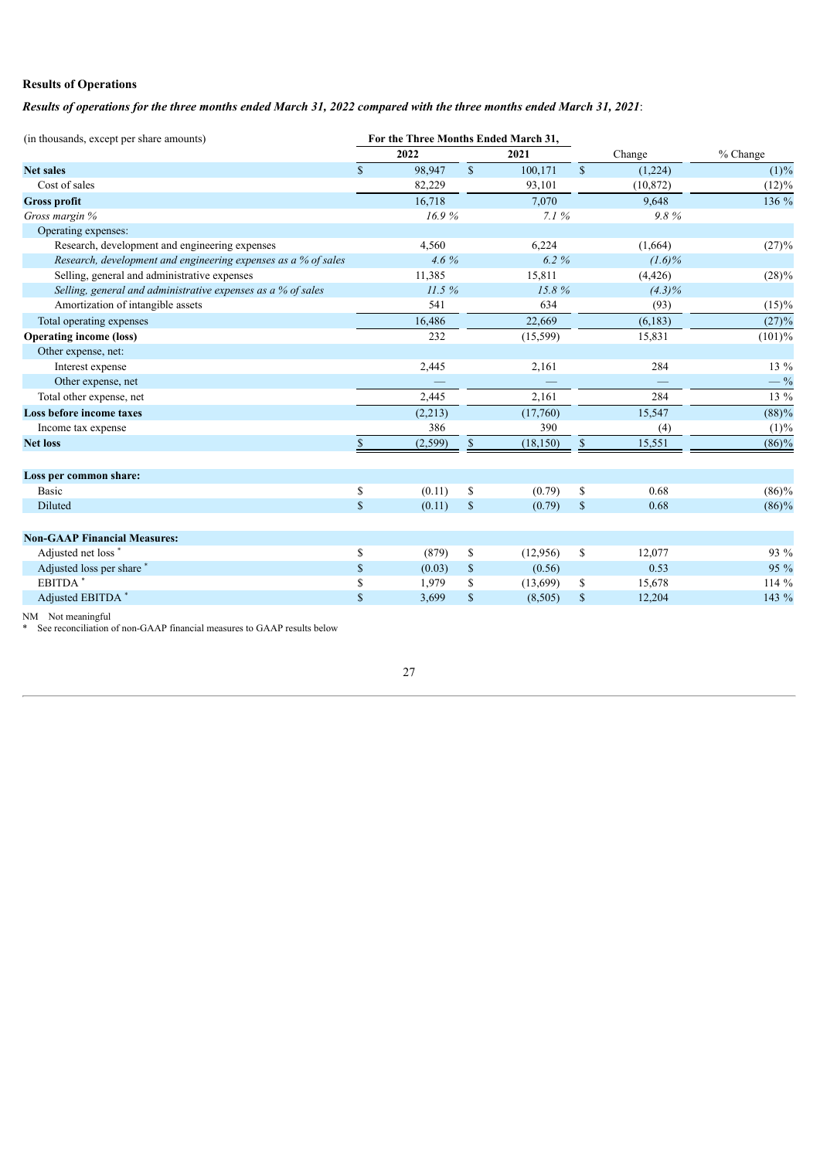# **Results of Operations**

# Results of operations for the three months ended March 31, 2022 compared with the three months ended March 31, 2021:

| (in thousands, except per share amounts)                       |              |          |              | For the Three Months Ended March 31, |              |           |           |
|----------------------------------------------------------------|--------------|----------|--------------|--------------------------------------|--------------|-----------|-----------|
|                                                                |              | 2022     |              | 2021                                 |              | Change    | % Change  |
| <b>Net sales</b>                                               | $\mathbf{s}$ | 98,947   | $\mathbb{S}$ | 100,171                              | $\mathbb{S}$ | (1,224)   | (1)%      |
| Cost of sales                                                  |              | 82,229   |              | 93,101                               |              | (10, 872) | $(12)\%$  |
| <b>Gross profit</b>                                            |              | 16,718   |              | 7,070                                |              | 9.648     | 136 %     |
| Gross margin %                                                 |              | 16.9%    |              | 7.1%                                 |              | 9.8%      |           |
| Operating expenses:                                            |              |          |              |                                      |              |           |           |
| Research, development and engineering expenses                 |              | 4,560    |              | 6,224                                |              | (1,664)   | (27)%     |
| Research, development and engineering expenses as a % of sales |              | $4.6\%$  |              | 6.2%                                 |              | $(1.6)\%$ |           |
| Selling, general and administrative expenses                   |              | 11,385   |              | 15,811                               |              | (4, 426)  | $(28)\%$  |
| Selling, general and administrative expenses as a % of sales   |              | 11.5%    |              | 15.8%                                |              | $(4.3)\%$ |           |
| Amortization of intangible assets                              |              | 541      |              | 634                                  |              | (93)      | $(15)\%$  |
| Total operating expenses                                       |              | 16,486   |              | 22,669                               |              | (6,183)   | (27)%     |
| <b>Operating income (loss)</b>                                 |              | 232      |              | (15,599)                             |              | 15,831    | $(101)$ % |
| Other expense, net:                                            |              |          |              |                                      |              |           |           |
| Interest expense                                               |              | 2,445    |              | 2,161                                |              | 284       | 13 %      |
| Other expense, net                                             |              |          |              |                                      |              |           | $-$ %     |
| Total other expense, net                                       |              | 2,445    |              | 2,161                                |              | 284       | 13 %      |
| Loss before income taxes                                       |              | (2,213)  |              | (17,760)                             |              | 15,547    | (88)%     |
| Income tax expense                                             |              | 386      |              | 390                                  |              | (4)       | $(1)\%$   |
| <b>Net loss</b>                                                | \$           | (2, 599) | $\mathbf S$  | (18, 150)                            | \$           | 15,551    | (86)%     |
| Loss per common share:                                         |              |          |              |                                      |              |           |           |
| <b>Basic</b>                                                   | \$           | (0.11)   | \$           | (0.79)                               | \$           | 0.68      | (86)%     |
| Diluted                                                        | \$           | (0.11)   | $\mathbf S$  | (0.79)                               | $\mathbb{S}$ | 0.68      | $(86)\%$  |
| <b>Non-GAAP Financial Measures:</b>                            |              |          |              |                                      |              |           |           |
| Adjusted net loss *                                            |              |          |              |                                      |              |           | 93 %      |
|                                                                | \$           | (879)    | \$           | (12,956)                             | \$           | 12,077    |           |
| Adjusted loss per share*<br>EBITDA <sup>*</sup>                | \$           | (0.03)   | $\mathbb{S}$ | (0.56)                               |              | 0.53      | 95 %      |
|                                                                | \$           | 1,979    | \$           | (13,699)                             | \$           | 15,678    | 114 %     |
| Adjusted EBITDA*                                               | \$           | 3,699    | $\mathbf S$  | (8,505)                              | $\mathbf S$  | 12,204    | 143 %     |

NM Not meaningful

\* See reconciliation of non-GAAP financial measures to GAAP results below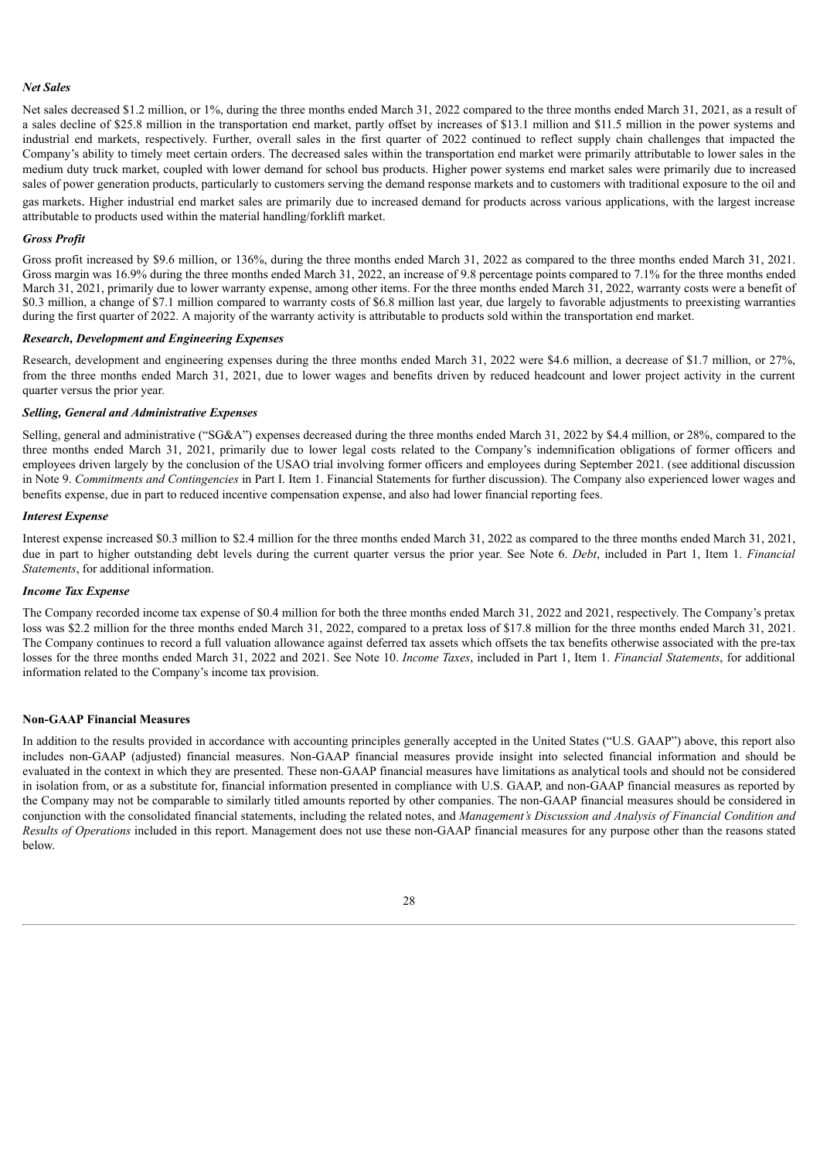#### *Net Sales*

Net sales decreased \$1.2 million, or 1%, during the three months ended March 31, 2022 compared to the three months ended March 31, 2021, as a result of a sales decline of \$25.8 million in the transportation end market, partly offset by increases of \$13.1 million and \$11.5 million in the power systems and industrial end markets, respectively. Further, overall sales in the first quarter of 2022 continued to reflect supply chain challenges that impacted the Company's ability to timely meet certain orders. The decreased sales within the transportation end market were primarily attributable to lower sales in the medium duty truck market, coupled with lower demand for school bus products. Higher power systems end market sales were primarily due to increased sales of power generation products, particularly to customers serving the demand response markets and to customers with traditional exposure to the oil and gas markets. Higher industrial end market sales are primarily due to increased demand for products across various applications, with the largest increase attributable to products used within the material handling/forklift market.

#### *Gross Profit*

Gross profit increased by \$9.6 million, or 136%, during the three months ended March 31, 2022 as compared to the three months ended March 31, 2021. Gross margin was 16.9% during the three months ended March 31, 2022, an increase of 9.8 percentage points compared to 7.1% for the three months ended March 31, 2021, primarily due to lower warranty expense, among other items. For the three months ended March 31, 2022, warranty costs were a benefit of \$0.3 million, a change of \$7.1 million compared to warranty costs of \$6.8 million last year, due largely to favorable adjustments to preexisting warranties during the first quarter of 2022. A majority of the warranty activity is attributable to products sold within the transportation end market.

#### *Research, Development and Engineering Expenses*

Research, development and engineering expenses during the three months ended March 31, 2022 were \$4.6 million, a decrease of \$1.7 million, or 27%, from the three months ended March 31, 2021, due to lower wages and benefits driven by reduced headcount and lower project activity in the current quarter versus the prior year.

#### *Selling, General and Administrative Expenses*

Selling, general and administrative ("SG&A") expenses decreased during the three months ended March 31, 2022 by \$4.4 million, or 28%, compared to the three months ended March 31, 2021, primarily due to lower legal costs related to the Company's indemnification obligations of former officers and employees driven largely by the conclusion of the USAO trial involving former officers and employees during September 2021. (see additional discussion in Note 9. *Commitments and Contingencies* in Part I. Item 1. Financial Statements for further discussion). The Company also experienced lower wages and benefits expense, due in part to reduced incentive compensation expense, and also had lower financial reporting fees.

#### *Interest Expense*

Interest expense increased \$0.3 million to \$2.4 million for the three months ended March 31, 2022 as compared to the three months ended March 31, 2021, due in part to higher outstanding debt levels during the current quarter versus the prior year. See Note 6. *Debt*, included in Part 1, Item 1. *Financial Statements*, for additional information.

#### *Income Tax Expense*

The Company recorded income tax expense of \$0.4 million for both the three months ended March 31, 2022 and 2021, respectively. The Company's pretax loss was \$2.2 million for the three months ended March 31, 2022, compared to a pretax loss of \$17.8 million for the three months ended March 31, 2021. The Company continues to record a full valuation allowance against deferred tax assets which offsets the tax benefits otherwise associated with the pre-tax losses for the three months ended March 31, 2022 and 2021. See Note 10. *Income Taxes*, included in Part 1, Item 1. *Financial Statements*, for additional information related to the Company's income tax provision.

#### **Non-GAAP Financial Measures**

In addition to the results provided in accordance with accounting principles generally accepted in the United States ("U.S. GAAP") above, this report also includes non-GAAP (adjusted) financial measures. Non-GAAP financial measures provide insight into selected financial information and should be evaluated in the context in which they are presented. These non-GAAP financial measures have limitations as analytical tools and should not be considered in isolation from, or as a substitute for, financial information presented in compliance with U.S. GAAP, and non-GAAP financial measures as reported by the Company may not be comparable to similarly titled amounts reported by other companies. The non-GAAP financial measures should be considered in conjunction with the consolidated financial statements, including the related notes, and *Management's Discussion and Analysis of Financial Condition and Results of Operations* included in this report. Management does not use these non-GAAP financial measures for any purpose other than the reasons stated below.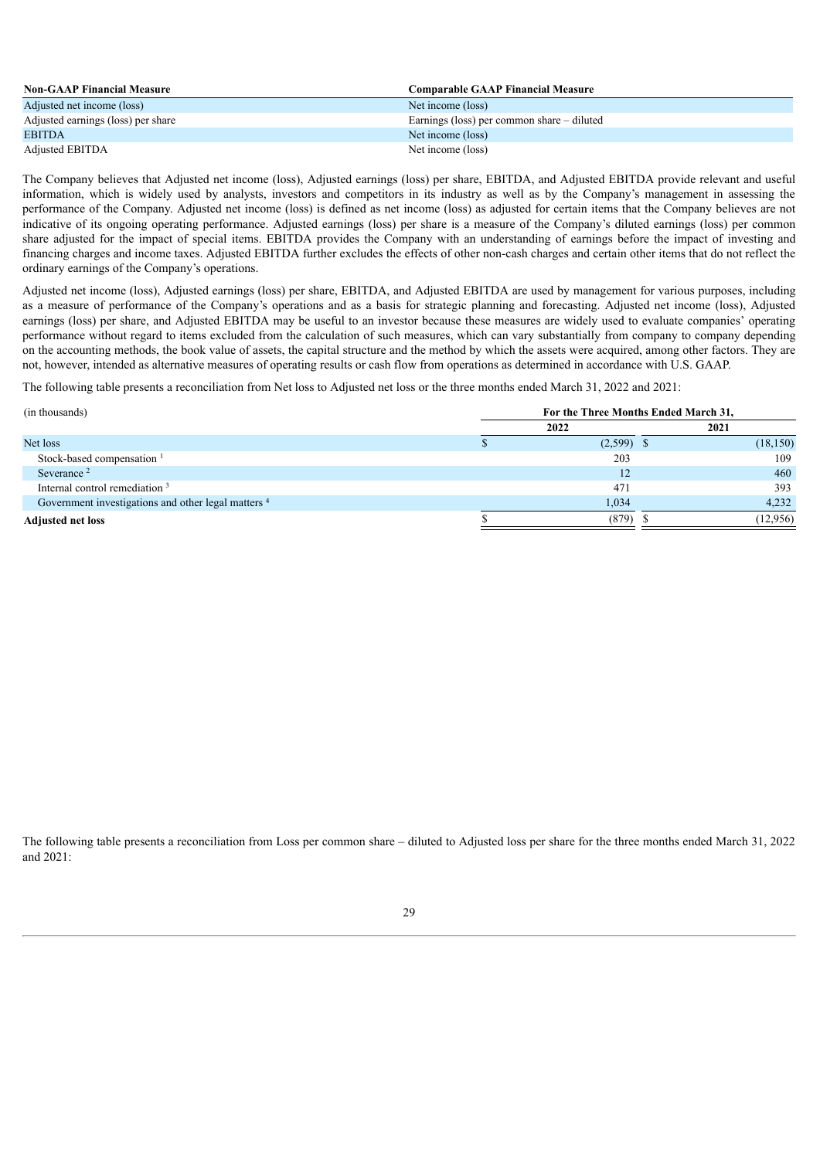| <b>Non-GAAP Financial Measure</b>  | <b>Comparable GAAP Financial Measure</b>   |
|------------------------------------|--------------------------------------------|
| Adjusted net income (loss)         | Net income (loss)                          |
| Adjusted earnings (loss) per share | Earnings (loss) per common share – diluted |
| <b>EBITDA</b>                      | Net income (loss)                          |
| Adjusted EBITDA                    | Net income (loss)                          |

The Company believes that Adjusted net income (loss), Adjusted earnings (loss) per share, EBITDA, and Adjusted EBITDA provide relevant and useful information, which is widely used by analysts, investors and competitors in its industry as well as by the Company's management in assessing the performance of the Company. Adjusted net income (loss) is defined as net income (loss) as adjusted for certain items that the Company believes are not indicative of its ongoing operating performance. Adjusted earnings (loss) per share is a measure of the Company's diluted earnings (loss) per common share adjusted for the impact of special items. EBITDA provides the Company with an understanding of earnings before the impact of investing and financing charges and income taxes. Adjusted EBITDA further excludes the effects of other non-cash charges and certain other items that do not reflect the ordinary earnings of the Company's operations.

Adjusted net income (loss), Adjusted earnings (loss) per share, EBITDA, and Adjusted EBITDA are used by management for various purposes, including as a measure of performance of the Company's operations and as a basis for strategic planning and forecasting. Adjusted net income (loss), Adjusted earnings (loss) per share, and Adjusted EBITDA may be useful to an investor because these measures are widely used to evaluate companies' operating performance without regard to items excluded from the calculation of such measures, which can vary substantially from company to company depending on the accounting methods, the book value of assets, the capital structure and the method by which the assets were acquired, among other factors. They are not, however, intended as alternative measures of operating results or cash flow from operations as determined in accordance with U.S. GAAP.

The following table presents a reconciliation from Net loss to Adjusted net loss or the three months ended March 31, 2022 and 2021:

| (in thousands)                                                 | For the Three Months Ended March 31, |              |  |           |  |  |  |  |
|----------------------------------------------------------------|--------------------------------------|--------------|--|-----------|--|--|--|--|
|                                                                |                                      | 2022         |  | 2021      |  |  |  |  |
| Net loss                                                       |                                      | $(2,599)$ \$ |  | (18, 150) |  |  |  |  |
| Stock-based compensation <sup>1</sup>                          |                                      | 203          |  | 109       |  |  |  |  |
| Severance <sup>2</sup>                                         |                                      | 12           |  | 460       |  |  |  |  |
| Internal control remediation 3                                 |                                      | 471          |  | 393       |  |  |  |  |
| Government investigations and other legal matters <sup>4</sup> |                                      | 1,034        |  | 4,232     |  |  |  |  |
| <b>Adjusted net loss</b>                                       |                                      | (879)        |  | (12, 956) |  |  |  |  |

The following table presents a reconciliation from Loss per common share – diluted to Adjusted loss per share for the three months ended March 31, 2022 and 2021: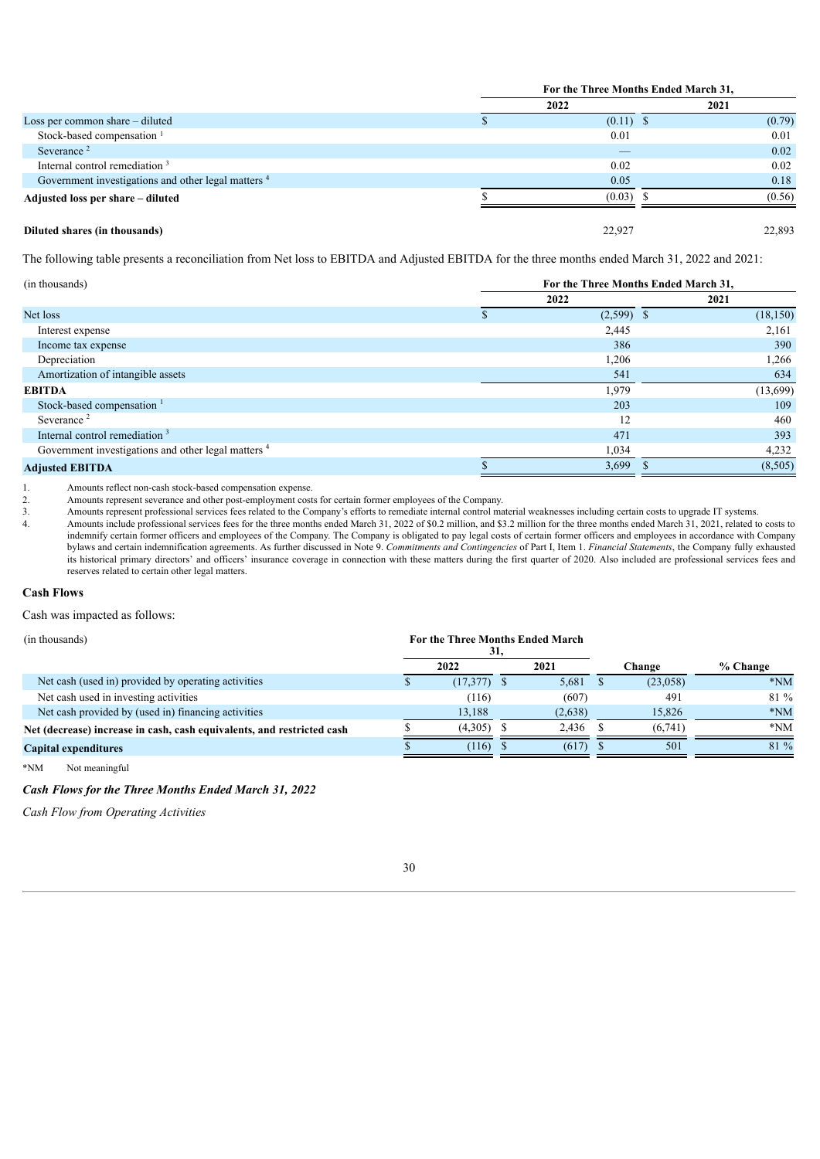|                                                                | For the Three Months Ended March 31, |        |  |  |  |
|----------------------------------------------------------------|--------------------------------------|--------|--|--|--|
|                                                                | 2022                                 | 2021   |  |  |  |
| Loss per common share – diluted                                | $(0.11)$ \$                          | (0.79) |  |  |  |
| Stock-based compensation <sup>1</sup>                          | 0.01                                 | 0.01   |  |  |  |
| Severance <sup>2</sup>                                         | —                                    | 0.02   |  |  |  |
| Internal control remediation 3                                 | 0.02                                 | 0.02   |  |  |  |
| Government investigations and other legal matters <sup>4</sup> | 0.05                                 | 0.18   |  |  |  |
| Adjusted loss per share – diluted                              | (0.03)                               | (0.56) |  |  |  |
| Diluted shares (in thousands)                                  | 22.927                               | 22.893 |  |  |  |

The following table presents a reconciliation from Net loss to EBITDA and Adjusted EBITDA for the three months ended March 31, 2022 and 2021:

| (in thousands)                                                 | For the Three Months Ended March 31, |            |  |  |  |  |  |  |
|----------------------------------------------------------------|--------------------------------------|------------|--|--|--|--|--|--|
|                                                                | 2022                                 | 2021       |  |  |  |  |  |  |
| Net loss                                                       | $(2,599)$ \$                         | (18, 150)  |  |  |  |  |  |  |
| Interest expense                                               | 2,445                                | 2,161      |  |  |  |  |  |  |
| Income tax expense                                             | 386                                  | <b>390</b> |  |  |  |  |  |  |
| Depreciation                                                   | ,206                                 | 1,266      |  |  |  |  |  |  |
| Amortization of intangible assets                              | 541                                  | 634        |  |  |  |  |  |  |
| <b>EBITDA</b>                                                  | l,979                                | (13,699)   |  |  |  |  |  |  |
| Stock-based compensation <sup>1</sup>                          | 203                                  | 109        |  |  |  |  |  |  |
| Severance <sup>2</sup>                                         | 12                                   | 460        |  |  |  |  |  |  |
| Internal control remediation <sup>3</sup>                      | 471                                  | 393        |  |  |  |  |  |  |
| Government investigations and other legal matters <sup>4</sup> | 1,034                                | 4,232      |  |  |  |  |  |  |
| <b>Adjusted EBITDA</b>                                         | 3,699                                | (8,505)    |  |  |  |  |  |  |

1. Amounts reflect non-cash stock-based compensation expense.<br>
2. Amounts represent severance and other post-employment cost<br>
3. Amounts represent professional services fees related to the Co<br>
4. Amounts include profession 2. Amounts represent severance and other post-employment costs for certain former employees of the Company.

3. Amounts represent professional services fees related to the Company's efforts to remediate internal control material weaknesses including certain costs to upgrade IT systems.

Amounts include professional services fees for the three months ended March 31, 2022 of \$0.2 million, and \$3.2 million for the three months ended March 31, 2021, related to costs to indemnify certain former officers and employees of the Company. The Company is obligated to pay legal costs of certain former officers and employees in accordance with Company bylaws and certain indemnification agreements. As further discussed in Note 9. *Commitments and Contingencies* of Part I, Item 1. *Financial Statements*, the Company fully exhausted its historical primary directors' and officers' insurance coverage in connection with these matters during the first quarter of 2020. Also included are professional services fees and reserves related to certain other legal matters.

#### **Cash Flows**

Cash was impacted as follows:

| (in thousands)                                                         | For the Three Months Ended March<br>31. |               |  |            |               |          |
|------------------------------------------------------------------------|-----------------------------------------|---------------|--|------------|---------------|----------|
|                                                                        |                                         | 2022          |  | 2021       | <b>Change</b> | % Change |
| Net cash (used in) provided by operating activities                    |                                         | $(17,377)$ \$ |  | 5,681 \$   | (23,058)      | $*NM$    |
| Net cash used in investing activities                                  |                                         | (116)         |  | (607)      | 491           | 81 %     |
| Net cash provided by (used in) financing activities                    |                                         | 13,188        |  | (2,638)    | 15.826        | $*NM$    |
| Net (decrease) increase in cash, cash equivalents, and restricted cash |                                         | (4,305)       |  | 2.436      | (6,741)       | $*NM$    |
| <b>Capital expenditures</b>                                            |                                         | (116)         |  | $(617)$ \$ | 501           | 81 %     |

\*NM Not meaningful

*Cash Flows for the Three Months Ended March 31, 2022*

*Cash Flow from Operating Activities*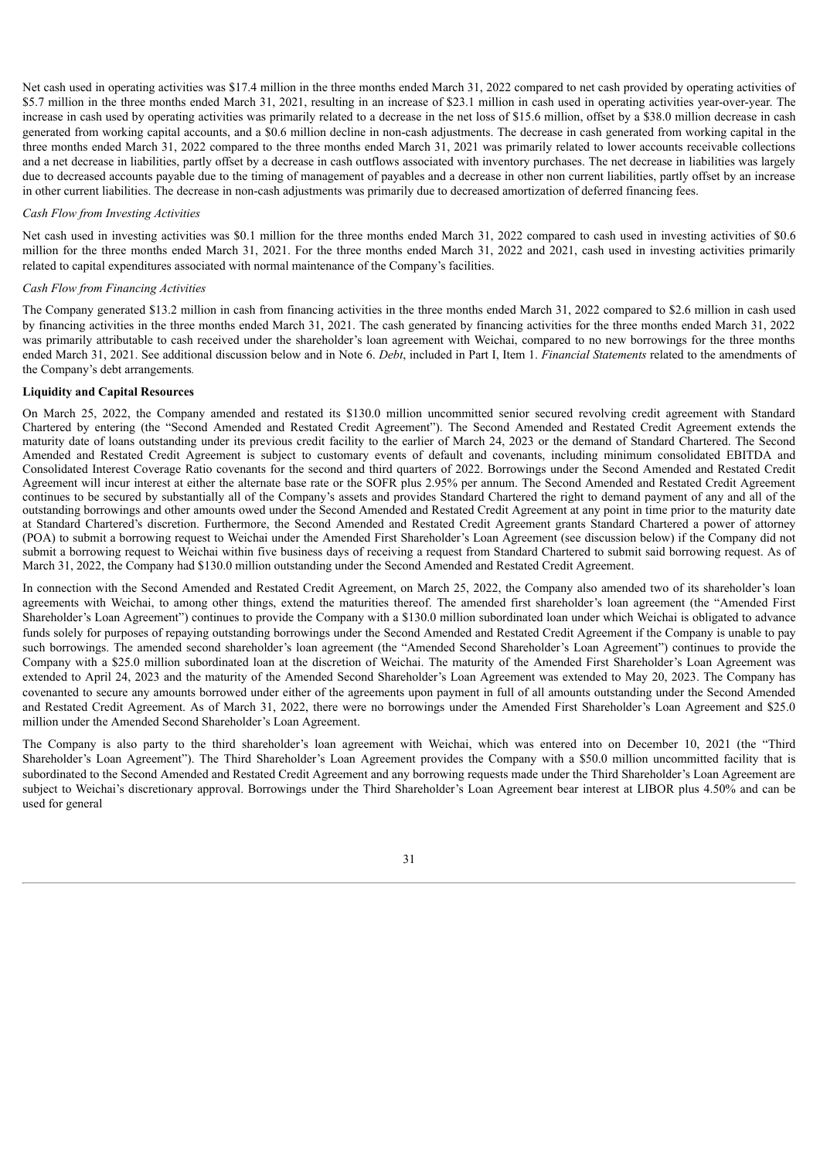Net cash used in operating activities was \$17.4 million in the three months ended March 31, 2022 compared to net cash provided by operating activities of \$5.7 million in the three months ended March 31, 2021, resulting in an increase of \$23.1 million in cash used in operating activities year-over-year. The increase in cash used by operating activities was primarily related to a decrease in the net loss of \$15.6 million, offset by a \$38.0 million decrease in cash generated from working capital accounts, and a \$0.6 million decline in non-cash adjustments. The decrease in cash generated from working capital in the three months ended March 31, 2022 compared to the three months ended March 31, 2021 was primarily related to lower accounts receivable collections and a net decrease in liabilities, partly offset by a decrease in cash outflows associated with inventory purchases. The net decrease in liabilities was largely due to decreased accounts payable due to the timing of management of payables and a decrease in other non current liabilities, partly offset by an increase in other current liabilities. The decrease in non-cash adjustments was primarily due to decreased amortization of deferred financing fees.

#### *Cash Flow from Investing Activities*

Net cash used in investing activities was \$0.1 million for the three months ended March 31, 2022 compared to cash used in investing activities of \$0.6 million for the three months ended March 31, 2021. For the three months ended March 31, 2022 and 2021, cash used in investing activities primarily related to capital expenditures associated with normal maintenance of the Company's facilities.

#### *Cash Flow from Financing Activities*

The Company generated \$13.2 million in cash from financing activities in the three months ended March 31, 2022 compared to \$2.6 million in cash used by financing activities in the three months ended March 31, 2021. The cash generated by financing activities for the three months ended March 31, 2022 was primarily attributable to cash received under the shareholder's loan agreement with Weichai, compared to no new borrowings for the three months ended March 31, 2021. See additional discussion below and in Note 6. *Debt*, included in Part I, Item 1. *Financial Statements* related to the amendments of the Company's debt arrangements*.*

#### **Liquidity and Capital Resources**

On March 25, 2022, the Company amended and restated its \$130.0 million uncommitted senior secured revolving credit agreement with Standard Chartered by entering (the "Second Amended and Restated Credit Agreement"). The Second Amended and Restated Credit Agreement extends the maturity date of loans outstanding under its previous credit facility to the earlier of March 24, 2023 or the demand of Standard Chartered. The Second Amended and Restated Credit Agreement is subject to customary events of default and covenants, including minimum consolidated EBITDA and Consolidated Interest Coverage Ratio covenants for the second and third quarters of 2022. Borrowings under the Second Amended and Restated Credit Agreement will incur interest at either the alternate base rate or the SOFR plus 2.95% per annum. The Second Amended and Restated Credit Agreement continues to be secured by substantially all of the Company's assets and provides Standard Chartered the right to demand payment of any and all of the outstanding borrowings and other amounts owed under the Second Amended and Restated Credit Agreement at any point in time prior to the maturity date at Standard Chartered's discretion. Furthermore, the Second Amended and Restated Credit Agreement grants Standard Chartered a power of attorney (POA) to submit a borrowing request to Weichai under the Amended First Shareholder's Loan Agreement (see discussion below) if the Company did not submit a borrowing request to Weichai within five business days of receiving a request from Standard Chartered to submit said borrowing request. As of March 31, 2022, the Company had \$130.0 million outstanding under the Second Amended and Restated Credit Agreement.

In connection with the Second Amended and Restated Credit Agreement, on March 25, 2022, the Company also amended two of its shareholder's loan agreements with Weichai, to among other things, extend the maturities thereof. The amended first shareholder's loan agreement (the "Amended First Shareholder's Loan Agreement") continues to provide the Company with a \$130.0 million subordinated loan under which Weichai is obligated to advance funds solely for purposes of repaying outstanding borrowings under the Second Amended and Restated Credit Agreement if the Company is unable to pay such borrowings. The amended second shareholder's loan agreement (the "Amended Second Shareholder's Loan Agreement") continues to provide the Company with a \$25.0 million subordinated loan at the discretion of Weichai. The maturity of the Amended First Shareholder's Loan Agreement was extended to April 24, 2023 and the maturity of the Amended Second Shareholder's Loan Agreement was extended to May 20, 2023. The Company has covenanted to secure any amounts borrowed under either of the agreements upon payment in full of all amounts outstanding under the Second Amended and Restated Credit Agreement. As of March 31, 2022, there were no borrowings under the Amended First Shareholder's Loan Agreement and \$25.0 million under the Amended Second Shareholder's Loan Agreement.

The Company is also party to the third shareholder's loan agreement with Weichai, which was entered into on December 10, 2021 (the "Third Shareholder's Loan Agreement"). The Third Shareholder's Loan Agreement provides the Company with a \$50.0 million uncommitted facility that is subordinated to the Second Amended and Restated Credit Agreement and any borrowing requests made under the Third Shareholder's Loan Agreement are subject to Weichai's discretionary approval. Borrowings under the Third Shareholder's Loan Agreement bear interest at LIBOR plus 4.50% and can be used for general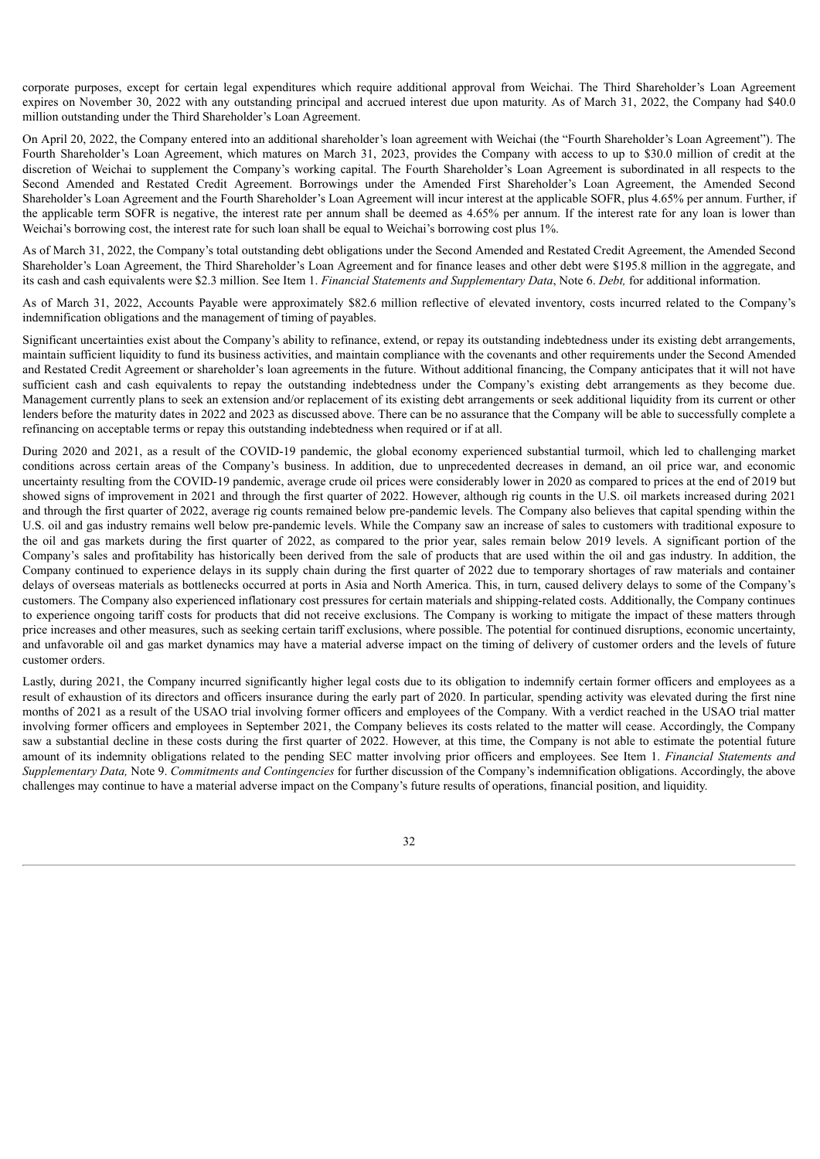corporate purposes, except for certain legal expenditures which require additional approval from Weichai. The Third Shareholder's Loan Agreement expires on November 30, 2022 with any outstanding principal and accrued interest due upon maturity. As of March 31, 2022, the Company had \$40.0 million outstanding under the Third Shareholder's Loan Agreement.

On April 20, 2022, the Company entered into an additional shareholder's loan agreement with Weichai (the "Fourth Shareholder's Loan Agreement"). The Fourth Shareholder's Loan Agreement, which matures on March 31, 2023, provides the Company with access to up to \$30.0 million of credit at the discretion of Weichai to supplement the Company's working capital. The Fourth Shareholder's Loan Agreement is subordinated in all respects to the Second Amended and Restated Credit Agreement. Borrowings under the Amended First Shareholder's Loan Agreement, the Amended Second Shareholder's Loan Agreement and the Fourth Shareholder's Loan Agreement will incur interest at the applicable SOFR, plus 4.65% per annum. Further, if the applicable term SOFR is negative, the interest rate per annum shall be deemed as 4.65% per annum. If the interest rate for any loan is lower than Weichai's borrowing cost, the interest rate for such loan shall be equal to Weichai's borrowing cost plus 1%.

As of March 31, 2022, the Company's total outstanding debt obligations under the Second Amended and Restated Credit Agreement, the Amended Second Shareholder's Loan Agreement, the Third Shareholder's Loan Agreement and for finance leases and other debt were \$195.8 million in the aggregate, and its cash and cash equivalents were \$2.3 million. See Item 1. *Financial Statements and Supplementary Data*, Note 6. *Debt,* for additional information.

As of March 31, 2022, Accounts Payable were approximately \$82.6 million reflective of elevated inventory, costs incurred related to the Company's indemnification obligations and the management of timing of payables.

Significant uncertainties exist about the Company's ability to refinance, extend, or repay its outstanding indebtedness under its existing debt arrangements, maintain sufficient liquidity to fund its business activities, and maintain compliance with the covenants and other requirements under the Second Amended and Restated Credit Agreement or shareholder's loan agreements in the future. Without additional financing, the Company anticipates that it will not have sufficient cash and cash equivalents to repay the outstanding indebtedness under the Company's existing debt arrangements as they become due. Management currently plans to seek an extension and/or replacement of its existing debt arrangements or seek additional liquidity from its current or other lenders before the maturity dates in 2022 and 2023 as discussed above. There can be no assurance that the Company will be able to successfully complete a refinancing on acceptable terms or repay this outstanding indebtedness when required or if at all.

During 2020 and 2021, as a result of the COVID-19 pandemic, the global economy experienced substantial turmoil, which led to challenging market conditions across certain areas of the Company's business. In addition, due to unprecedented decreases in demand, an oil price war, and economic uncertainty resulting from the COVID-19 pandemic, average crude oil prices were considerably lower in 2020 as compared to prices at the end of 2019 but showed signs of improvement in 2021 and through the first quarter of 2022. However, although rig counts in the U.S. oil markets increased during 2021 and through the first quarter of 2022, average rig counts remained below pre-pandemic levels. The Company also believes that capital spending within the U.S. oil and gas industry remains well below pre-pandemic levels. While the Company saw an increase of sales to customers with traditional exposure to the oil and gas markets during the first quarter of 2022, as compared to the prior year, sales remain below 2019 levels. A significant portion of the Company's sales and profitability has historically been derived from the sale of products that are used within the oil and gas industry. In addition, the Company continued to experience delays in its supply chain during the first quarter of 2022 due to temporary shortages of raw materials and container delays of overseas materials as bottlenecks occurred at ports in Asia and North America. This, in turn, caused delivery delays to some of the Company's customers. The Company also experienced inflationary cost pressures for certain materials and shipping-related costs. Additionally, the Company continues to experience ongoing tariff costs for products that did not receive exclusions. The Company is working to mitigate the impact of these matters through price increases and other measures, such as seeking certain tariff exclusions, where possible. The potential for continued disruptions, economic uncertainty, and unfavorable oil and gas market dynamics may have a material adverse impact on the timing of delivery of customer orders and the levels of future customer orders.

Lastly, during 2021, the Company incurred significantly higher legal costs due to its obligation to indemnify certain former officers and employees as a result of exhaustion of its directors and officers insurance during the early part of 2020. In particular, spending activity was elevated during the first nine months of 2021 as a result of the USAO trial involving former officers and employees of the Company. With a verdict reached in the USAO trial matter involving former officers and employees in September 2021, the Company believes its costs related to the matter will cease. Accordingly, the Company saw a substantial decline in these costs during the first quarter of 2022. However, at this time, the Company is not able to estimate the potential future amount of its indemnity obligations related to the pending SEC matter involving prior officers and employees. See Item 1. *Financial Statements and Supplementary Data,* Note 9. *Commitments and Contingencies* for further discussion of the Company's indemnification obligations. Accordingly, the above challenges may continue to have a material adverse impact on the Company's future results of operations, financial position, and liquidity.

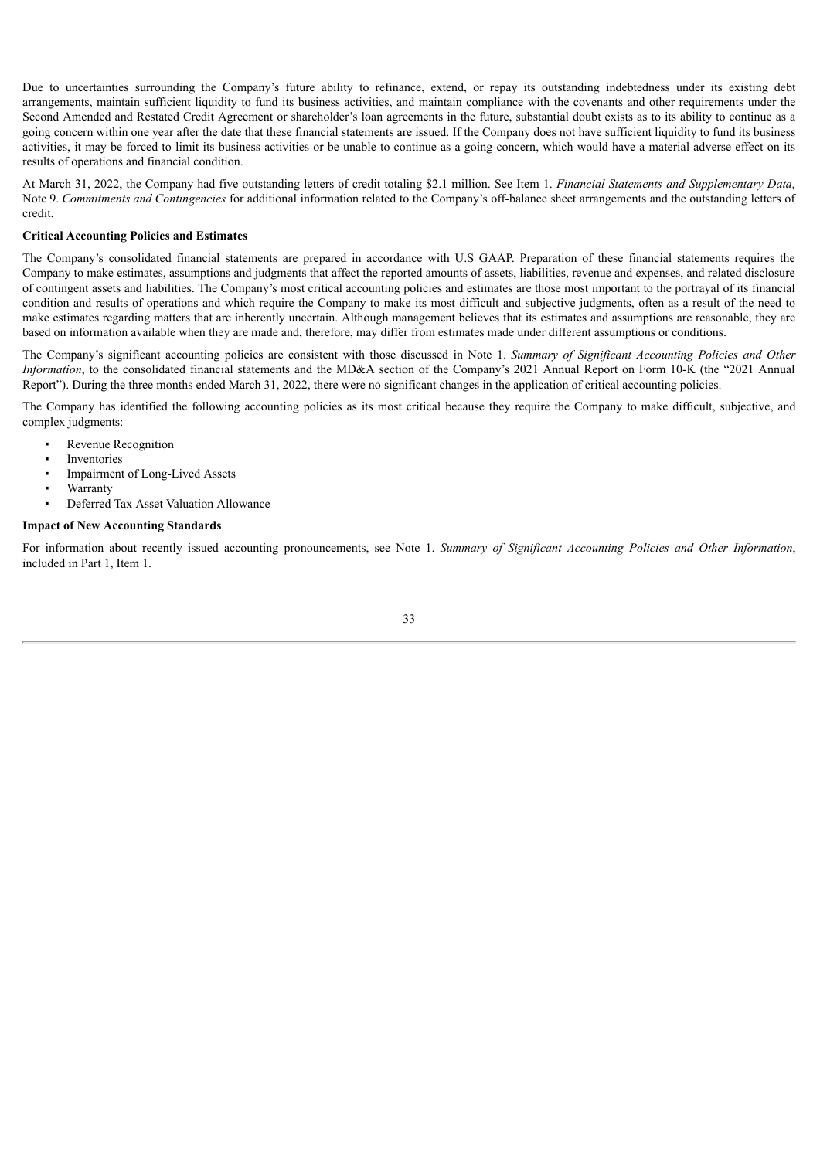Due to uncertainties surrounding the Company's future ability to refinance, extend, or repay its outstanding indebtedness under its existing debt arrangements, maintain sufficient liquidity to fund its business activities, and maintain compliance with the covenants and other requirements under the Second Amended and Restated Credit Agreement or shareholder's loan agreements in the future, substantial doubt exists as to its ability to continue as a going concern within one year after the date that these financial statements are issued. If the Company does not have sufficient liquidity to fund its business activities, it may be forced to limit its business activities or be unable to continue as a going concern, which would have a material adverse effect on its results of operations and financial condition.

At March 31, 2022, the Company had five outstanding letters of credit totaling \$2.1 million. See Item 1. *Financial Statements and Supplementary Data,* Note 9. *Commitments and Contingencies* for additional information related to the Company's off-balance sheet arrangements and the outstanding letters of credit.

#### **Critical Accounting Policies and Estimates**

The Company's consolidated financial statements are prepared in accordance with U.S GAAP. Preparation of these financial statements requires the Company to make estimates, assumptions and judgments that affect the reported amounts of assets, liabilities, revenue and expenses, and related disclosure of contingent assets and liabilities. The Company's most critical accounting policies and estimates are those most important to the portrayal of its financial condition and results of operations and which require the Company to make its most difficult and subjective judgments, often as a result of the need to make estimates regarding matters that are inherently uncertain. Although management believes that its estimates and assumptions are reasonable, they are based on information available when they are made and, therefore, may differ from estimates made under different assumptions or conditions.

The Company's significant accounting policies are consistent with those discussed in Note 1. *Summary of Significant Accounting Policies and Other Information*, to the consolidated financial statements and the MD&A section of the Company's 2021 Annual Report on Form 10-K (the "2021 Annual Report"). During the three months ended March 31, 2022, there were no significant changes in the application of critical accounting policies.

The Company has identified the following accounting policies as its most critical because they require the Company to make difficult, subjective, and complex judgments:

- Revenue Recognition
- Inventories
- Impairment of Long-Lived Assets
- Warranty
- Deferred Tax Asset Valuation Allowance

#### **Impact of New Accounting Standards**

<span id="page-32-0"></span>For information about recently issued accounting pronouncements, see Note 1. *Summary of Significant Accounting Policies and Other Information*, included in Part 1, Item 1.

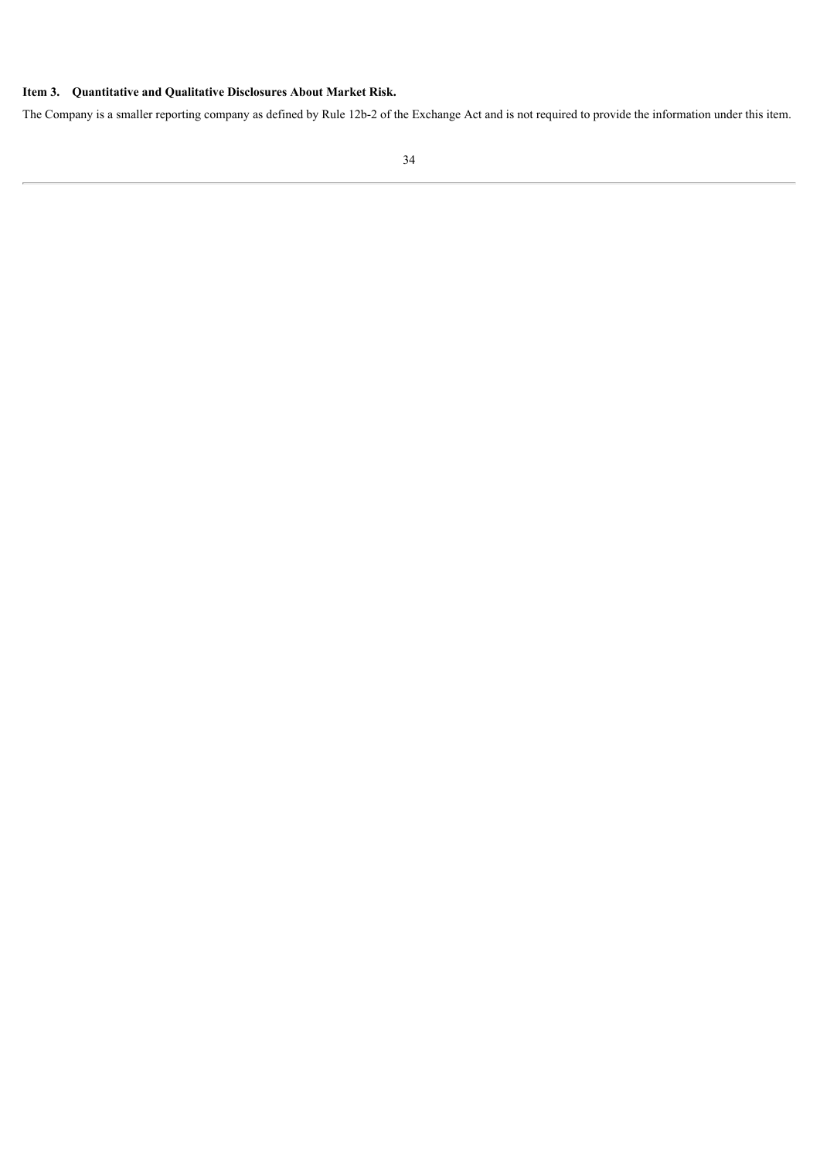# **Item 3. Quantitative and Qualitative Disclosures About Market Risk.**

<span id="page-33-0"></span>The Company is a smaller reporting company as defined by Rule 12b-2 of the Exchange Act and is not required to provide the information under this item.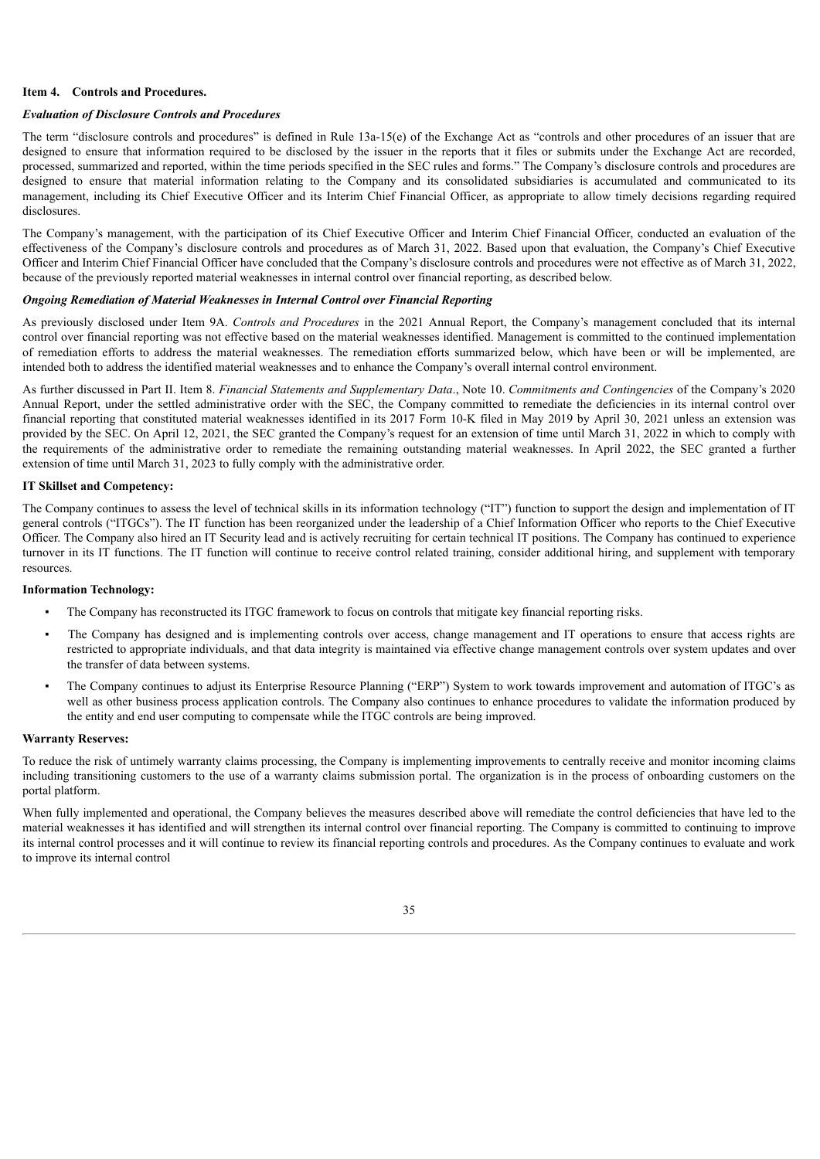#### **Item 4. Controls and Procedures.**

#### *Evaluation of Disclosure Controls and Procedures*

The term "disclosure controls and procedures" is defined in Rule 13a-15(e) of the Exchange Act as "controls and other procedures of an issuer that are designed to ensure that information required to be disclosed by the issuer in the reports that it files or submits under the Exchange Act are recorded, processed, summarized and reported, within the time periods specified in the SEC rules and forms." The Company's disclosure controls and procedures are designed to ensure that material information relating to the Company and its consolidated subsidiaries is accumulated and communicated to its management, including its Chief Executive Officer and its Interim Chief Financial Officer, as appropriate to allow timely decisions regarding required disclosures.

The Company's management, with the participation of its Chief Executive Officer and Interim Chief Financial Officer, conducted an evaluation of the effectiveness of the Company's disclosure controls and procedures as of March 31, 2022. Based upon that evaluation, the Company's Chief Executive Officer and Interim Chief Financial Officer have concluded that the Company's disclosure controls and procedures were not effective as of March 31, 2022, because of the previously reported material weaknesses in internal control over financial reporting, as described below.

#### *Ongoing Remediation of Material Weaknesses in Internal Control over Financial Reporting*

As previously disclosed under Item 9A. *Controls and Procedures* in the 2021 Annual Report, the Company's management concluded that its internal control over financial reporting was not effective based on the material weaknesses identified. Management is committed to the continued implementation of remediation efforts to address the material weaknesses. The remediation efforts summarized below, which have been or will be implemented, are intended both to address the identified material weaknesses and to enhance the Company's overall internal control environment.

As further discussed in Part II. Item 8. *Financial Statements and Supplementary Data*., Note 10. *Commitments and Contingencies* of the Company's 2020 Annual Report, under the settled administrative order with the SEC, the Company committed to remediate the deficiencies in its internal control over financial reporting that constituted material weaknesses identified in its 2017 Form 10-K filed in May 2019 by April 30, 2021 unless an extension was provided by the SEC. On April 12, 2021, the SEC granted the Company's request for an extension of time until March 31, 2022 in which to comply with the requirements of the administrative order to remediate the remaining outstanding material weaknesses. In April 2022, the SEC granted a further extension of time until March 31, 2023 to fully comply with the administrative order.

#### **IT Skillset and Competency:**

The Company continues to assess the level of technical skills in its information technology ("IT") function to support the design and implementation of IT general controls ("ITGCs"). The IT function has been reorganized under the leadership of a Chief Information Officer who reports to the Chief Executive Officer. The Company also hired an IT Security lead and is actively recruiting for certain technical IT positions. The Company has continued to experience turnover in its IT functions. The IT function will continue to receive control related training, consider additional hiring, and supplement with temporary resources.

#### **Information Technology:**

- The Company has reconstructed its ITGC framework to focus on controls that mitigate key financial reporting risks.
- The Company has designed and is implementing controls over access, change management and IT operations to ensure that access rights are restricted to appropriate individuals, and that data integrity is maintained via effective change management controls over system updates and over the transfer of data between systems.
- The Company continues to adjust its Enterprise Resource Planning ("ERP") System to work towards improvement and automation of ITGC's as well as other business process application controls. The Company also continues to enhance procedures to validate the information produced by the entity and end user computing to compensate while the ITGC controls are being improved.

#### **Warranty Reserves:**

To reduce the risk of untimely warranty claims processing, the Company is implementing improvements to centrally receive and monitor incoming claims including transitioning customers to the use of a warranty claims submission portal. The organization is in the process of onboarding customers on the portal platform.

When fully implemented and operational, the Company believes the measures described above will remediate the control deficiencies that have led to the material weaknesses it has identified and will strengthen its internal control over financial reporting. The Company is committed to continuing to improve its internal control processes and it will continue to review its financial reporting controls and procedures. As the Company continues to evaluate and work to improve its internal control

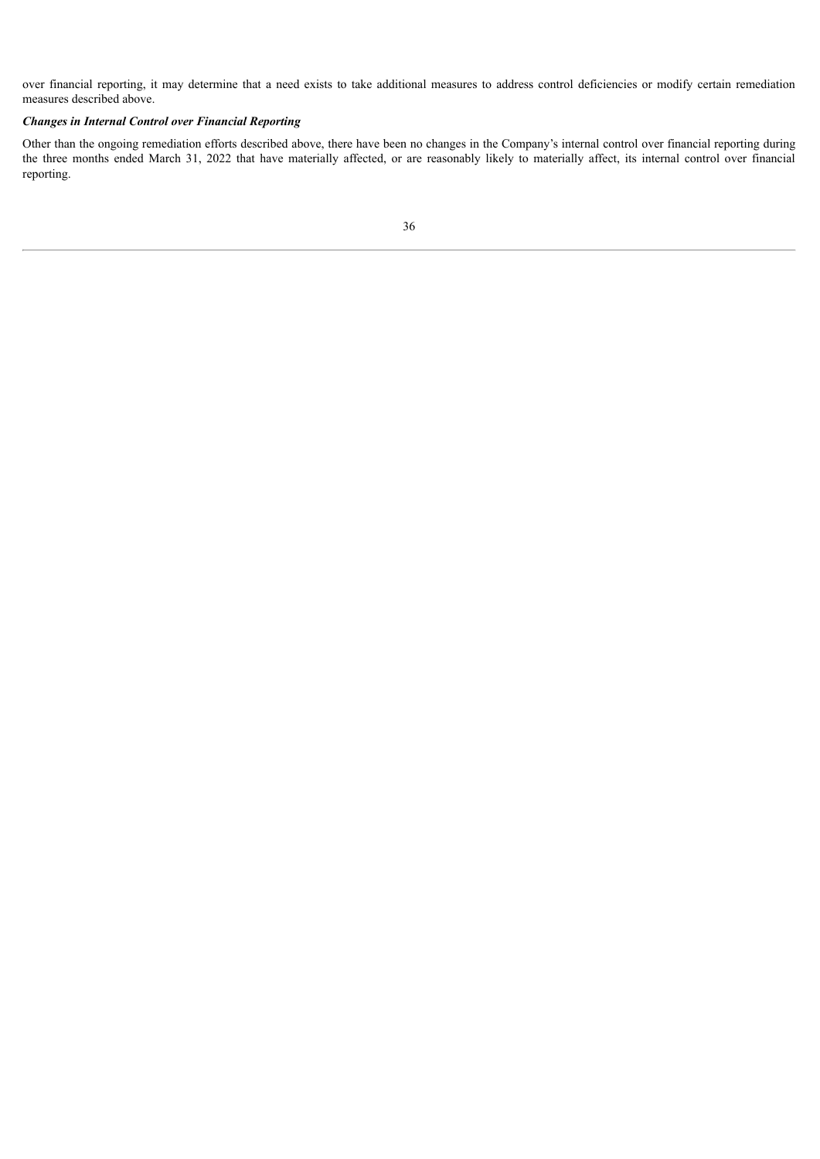over financial reporting, it may determine that a need exists to take additional measures to address control deficiencies or modify certain remediation measures described above.

# *Changes in Internal Control over Financial Reporting*

Other than the ongoing remediation efforts described above, there have been no changes in the Company's internal control over financial reporting during the three months ended March 31, 2022 that have materially affected, or are reasonably likely to materially affect, its internal control over financial reporting.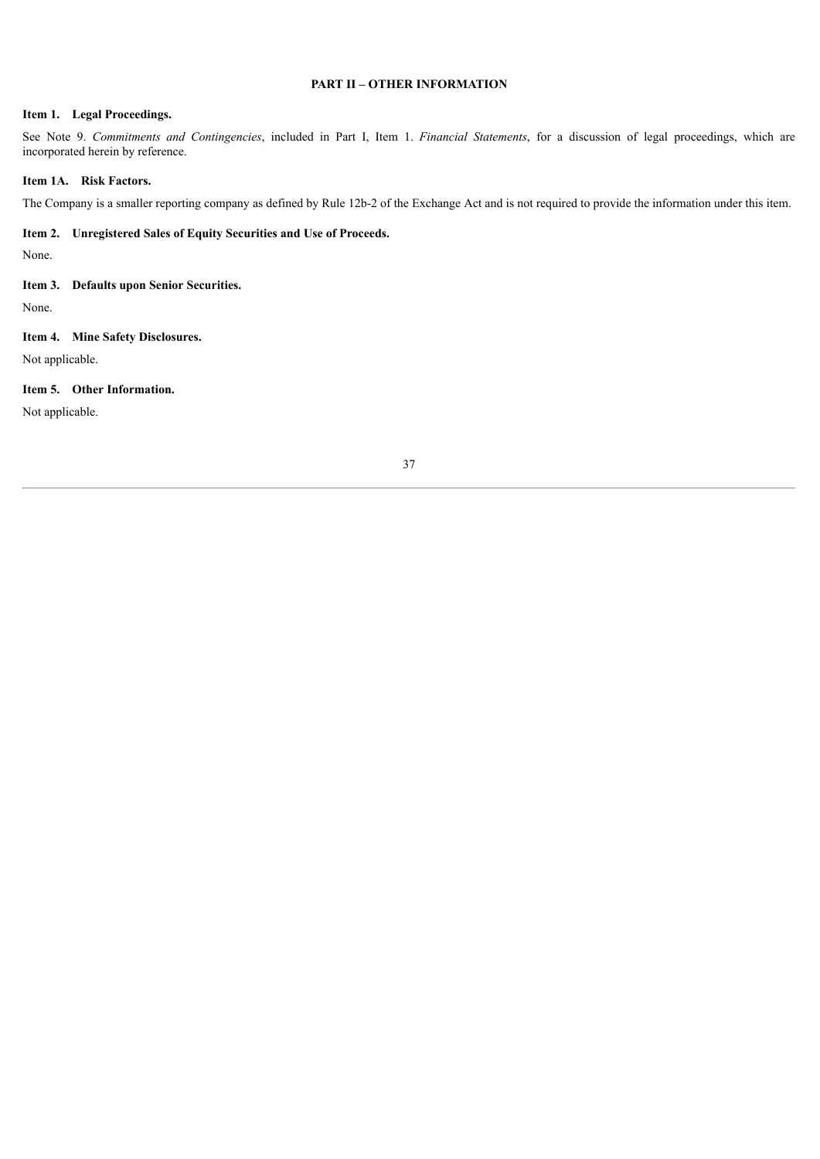## **PART II – OTHER INFORMATION**

# <span id="page-36-0"></span>**Item 1. Legal Proceedings.**

See Note 9. *Commitments and Contingencies*, included in Part I, Item 1. *Financial Statements*, for a discussion of legal proceedings, which are incorporated herein by reference.

#### <span id="page-36-1"></span>**Item 1A. Risk Factors.**

The Company is a smaller reporting company as defined by Rule 12b-2 of the Exchange Act and is not required to provide the information under this item.

<span id="page-36-2"></span>**Item 2. Unregistered Sales of Equity Securities and Use of Proceeds.**

None.

#### <span id="page-36-3"></span>**Item 3. Defaults upon Senior Securities.**

None.

# <span id="page-36-4"></span>**Item 4. Mine Safety Disclosures.**

Not applicable.

# <span id="page-36-5"></span>**Item 5. Other Information.**

<span id="page-36-6"></span>Not applicable.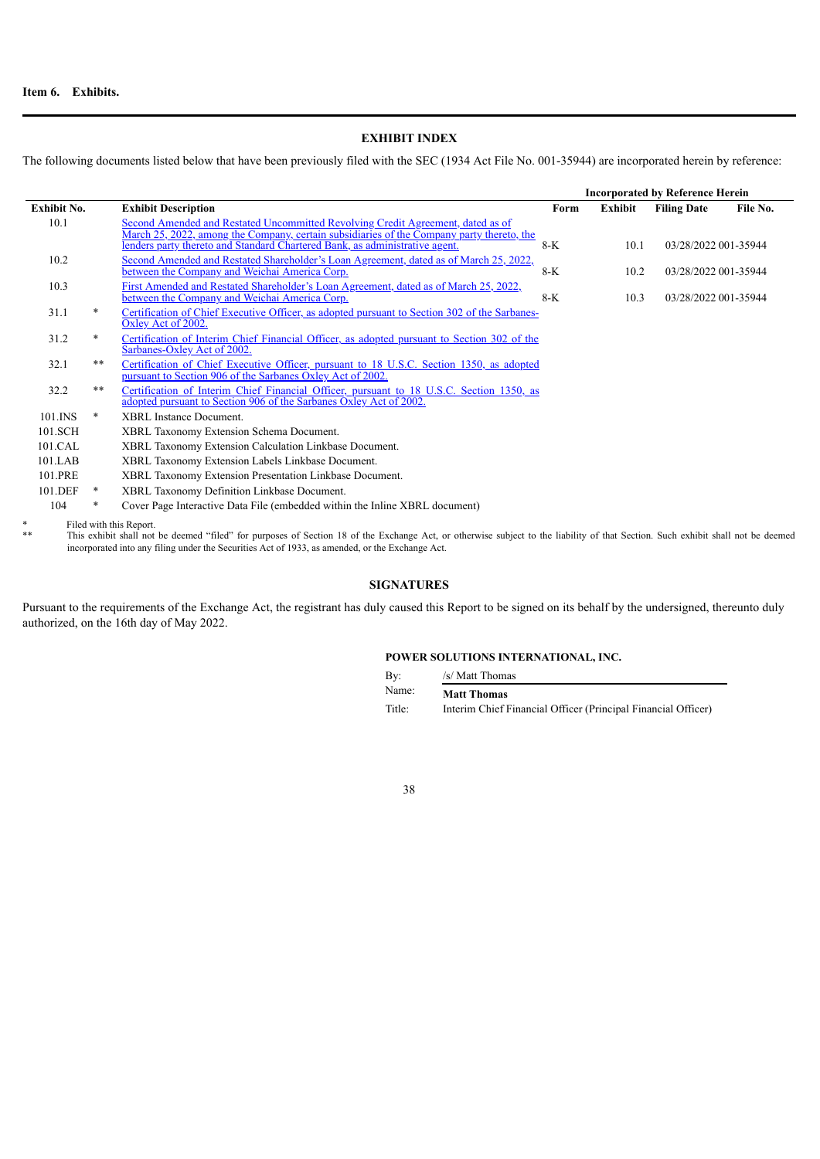# **EXHIBIT INDEX**

The following documents listed below that have been previously filed with the SEC (1934 Act File No. 001-35944) are incorporated herein by reference:

|                    |        |                                                                                                                                                                                 |       | <b>Incorporated by Reference Herein</b> |                      |          |
|--------------------|--------|---------------------------------------------------------------------------------------------------------------------------------------------------------------------------------|-------|-----------------------------------------|----------------------|----------|
| <b>Exhibit No.</b> |        | <b>Exhibit Description</b>                                                                                                                                                      | Form  | Exhibit                                 | <b>Filing Date</b>   | File No. |
| 10.1               |        | Second Amended and Restated Uncommitted Revolving Credit Agreement, dated as of                                                                                                 |       |                                         |                      |          |
|                    |        | <u>March 25, 2022, among the Company, certain subsidiaries of the Company party thereto, the</u><br>lenders party thereto and Standard Chartered Bank, as administrative agent. | 8-K   | 10.1                                    | 03/28/2022 001-35944 |          |
| 10.2               |        | Second Amended and Restated Shareholder's Loan Agreement, dated as of March 25, 2022,<br>between the Company and Weichai America Corp.                                          | $8-K$ | 10.2                                    | 03/28/2022 001-35944 |          |
| 10.3               |        | First Amended and Restated Shareholder's Loan Agreement, dated as of March 25, 2022,<br>between the Company and Weichai America Corp.                                           | $8-K$ | 10.3                                    | 03/28/2022 001-35944 |          |
| 31.1               | $\ast$ | Certification of Chief Executive Officer, as adopted pursuant to Section 302 of the Sarbanes-<br>Oxley Act of 2002.                                                             |       |                                         |                      |          |
| 31.2               | $\ast$ | Certification of Interim Chief Financial Officer, as adopted pursuant to Section 302 of the<br>Sarbanes-Oxley Act of 2002.                                                      |       |                                         |                      |          |
| 32.1               | $***$  | Certification of Chief Executive Officer, pursuant to 18 U.S.C. Section 1350, as adopted<br>pursuant to Section 906 of the Sarbanes Oxley Act of 2002.                          |       |                                         |                      |          |
| 32.2               | $***$  | Certification of Interim Chief Financial Officer, pursuant to 18 U.S.C. Section 1350, as<br>adopted pursuant to Section 906 of the Sarbanes Oxley Act of 2002.                  |       |                                         |                      |          |
| $101$ . INS        | $\ast$ | <b>XBRL</b> Instance Document.                                                                                                                                                  |       |                                         |                      |          |
| 101.SCH            |        | XBRL Taxonomy Extension Schema Document.                                                                                                                                        |       |                                         |                      |          |
| 101.CAL            |        | XBRL Taxonomy Extension Calculation Linkbase Document.                                                                                                                          |       |                                         |                      |          |
| 101.LAB            |        | XBRL Taxonomy Extension Labels Linkbase Document.                                                                                                                               |       |                                         |                      |          |
| 101.PRE            |        | XBRL Taxonomy Extension Presentation Linkbase Document.                                                                                                                         |       |                                         |                      |          |
| 101.DEF            | $\ast$ | XBRL Taxonomy Definition Linkbase Document.                                                                                                                                     |       |                                         |                      |          |
| 104                | *      | Cover Page Interactive Data File (embedded within the Inline XBRL document)                                                                                                     |       |                                         |                      |          |

\* Filed with this Report.<br>\*\* This exhibit shall not

This exhibit shall not be deemed "filed" for purposes of Section 18 of the Exchange Act, or otherwise subject to the liability of that Section. Such exhibit shall not be deemed incorporated into any filing under the Securities Act of 1933, as amended, or the Exchange Act.

### **SIGNATURES**

<span id="page-37-0"></span>Pursuant to the requirements of the Exchange Act, the registrant has duly caused this Report to be signed on its behalf by the undersigned, thereunto duly authorized, on the 16th day of May 2022.

## **POWER SOLUTIONS INTERNATIONAL, INC.**

| By:    | /s/ Matt Thomas                                               |  |  |  |  |  |
|--------|---------------------------------------------------------------|--|--|--|--|--|
| Name:  | <b>Matt Thomas</b>                                            |  |  |  |  |  |
| Title: | Interim Chief Financial Officer (Principal Financial Officer) |  |  |  |  |  |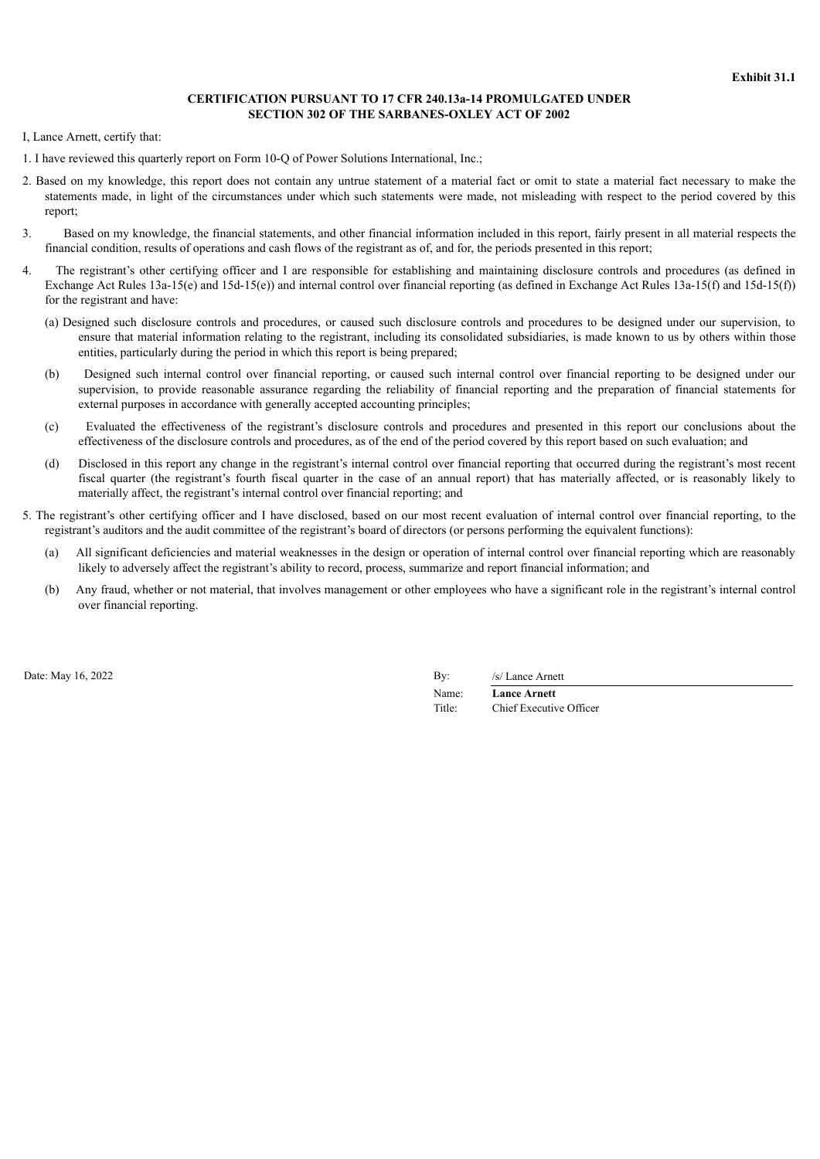## **CERTIFICATION PURSUANT TO 17 CFR 240.13a-14 PROMULGATED UNDER SECTION 302 OF THE SARBANES-OXLEY ACT OF 2002**

<span id="page-38-0"></span>I, Lance Arnett, certify that:

- 1. I have reviewed this quarterly report on Form 10-Q of Power Solutions International, Inc.;
- 2. Based on my knowledge, this report does not contain any untrue statement of a material fact or omit to state a material fact necessary to make the statements made, in light of the circumstances under which such statements were made, not misleading with respect to the period covered by this report;
- 3. Based on my knowledge, the financial statements, and other financial information included in this report, fairly present in all material respects the financial condition, results of operations and cash flows of the registrant as of, and for, the periods presented in this report;
- 4. The registrant's other certifying officer and I are responsible for establishing and maintaining disclosure controls and procedures (as defined in Exchange Act Rules 13a-15(e) and 15d-15(e)) and internal control over financial reporting (as defined in Exchange Act Rules 13a-15(f) and 15d-15(f)) for the registrant and have:
	- (a) Designed such disclosure controls and procedures, or caused such disclosure controls and procedures to be designed under our supervision, to ensure that material information relating to the registrant, including its consolidated subsidiaries, is made known to us by others within those entities, particularly during the period in which this report is being prepared;
	- (b) Designed such internal control over financial reporting, or caused such internal control over financial reporting to be designed under our supervision, to provide reasonable assurance regarding the reliability of financial reporting and the preparation of financial statements for external purposes in accordance with generally accepted accounting principles;
	- (c) Evaluated the effectiveness of the registrant's disclosure controls and procedures and presented in this report our conclusions about the effectiveness of the disclosure controls and procedures, as of the end of the period covered by this report based on such evaluation; and
	- (d) Disclosed in this report any change in the registrant's internal control over financial reporting that occurred during the registrant's most recent fiscal quarter (the registrant's fourth fiscal quarter in the case of an annual report) that has materially affected, or is reasonably likely to materially affect, the registrant's internal control over financial reporting; and
- 5. The registrant's other certifying officer and I have disclosed, based on our most recent evaluation of internal control over financial reporting, to the registrant's auditors and the audit committee of the registrant's board of directors (or persons performing the equivalent functions):
	- (a) All significant deficiencies and material weaknesses in the design or operation of internal control over financial reporting which are reasonably likely to adversely affect the registrant's ability to record, process, summarize and report financial information; and
	- (b) Any fraud, whether or not material, that involves management or other employees who have a significant role in the registrant's internal control over financial reporting.

Date: May 16, 2022 By: /s/ Lance Arnett

Name: **Lance Arnett** Title: Chief Executive Officer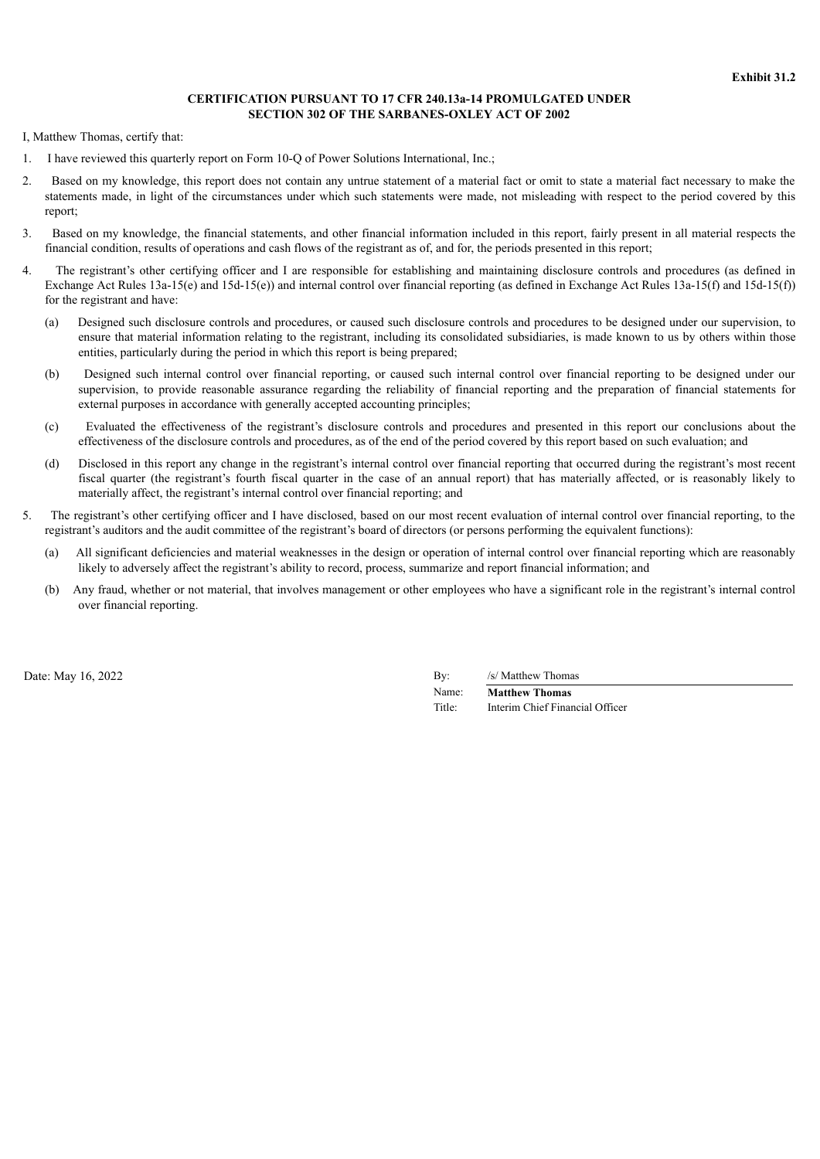#### **CERTIFICATION PURSUANT TO 17 CFR 240.13a-14 PROMULGATED UNDER SECTION 302 OF THE SARBANES-OXLEY ACT OF 2002**

<span id="page-39-0"></span>I, Matthew Thomas, certify that:

- 1. I have reviewed this quarterly report on Form 10-Q of Power Solutions International, Inc.;
- 2. Based on my knowledge, this report does not contain any untrue statement of a material fact or omit to state a material fact necessary to make the statements made, in light of the circumstances under which such statements were made, not misleading with respect to the period covered by this report;
- 3. Based on my knowledge, the financial statements, and other financial information included in this report, fairly present in all material respects the financial condition, results of operations and cash flows of the registrant as of, and for, the periods presented in this report;
- 4. The registrant's other certifying officer and I are responsible for establishing and maintaining disclosure controls and procedures (as defined in Exchange Act Rules 13a-15(e) and 15d-15(e)) and internal control over financial reporting (as defined in Exchange Act Rules 13a-15(f) and 15d-15(f)) for the registrant and have:
	- (a) Designed such disclosure controls and procedures, or caused such disclosure controls and procedures to be designed under our supervision, to ensure that material information relating to the registrant, including its consolidated subsidiaries, is made known to us by others within those entities, particularly during the period in which this report is being prepared;
	- (b) Designed such internal control over financial reporting, or caused such internal control over financial reporting to be designed under our supervision, to provide reasonable assurance regarding the reliability of financial reporting and the preparation of financial statements for external purposes in accordance with generally accepted accounting principles;
	- (c) Evaluated the effectiveness of the registrant's disclosure controls and procedures and presented in this report our conclusions about the effectiveness of the disclosure controls and procedures, as of the end of the period covered by this report based on such evaluation; and
	- (d) Disclosed in this report any change in the registrant's internal control over financial reporting that occurred during the registrant's most recent fiscal quarter (the registrant's fourth fiscal quarter in the case of an annual report) that has materially affected, or is reasonably likely to materially affect, the registrant's internal control over financial reporting; and
- 5. The registrant's other certifying officer and I have disclosed, based on our most recent evaluation of internal control over financial reporting, to the registrant's auditors and the audit committee of the registrant's board of directors (or persons performing the equivalent functions):
	- (a) All significant deficiencies and material weaknesses in the design or operation of internal control over financial reporting which are reasonably likely to adversely affect the registrant's ability to record, process, summarize and report financial information; and
	- (b) Any fraud, whether or not material, that involves management or other employees who have a significant role in the registrant's internal control over financial reporting.

Date: May 16, 2022 By: /s/ Matthew Thomas

Name: **Matthew Thomas** Title: Interim Chief Financial Officer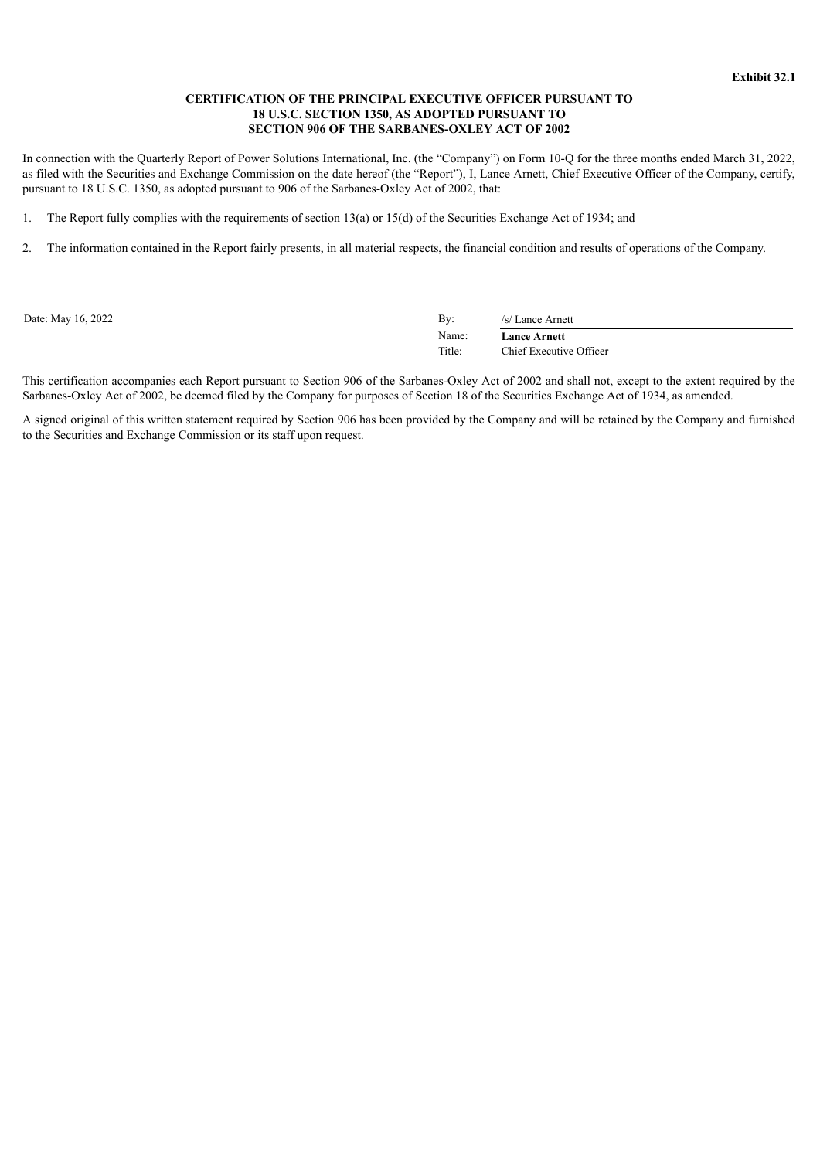#### **CERTIFICATION OF THE PRINCIPAL EXECUTIVE OFFICER PURSUANT TO 18 U.S.C. SECTION 1350, AS ADOPTED PURSUANT TO SECTION 906 OF THE SARBANES-OXLEY ACT OF 2002**

<span id="page-40-0"></span>In connection with the Quarterly Report of Power Solutions International, Inc. (the "Company") on Form 10-Q for the three months ended March 31, 2022, as filed with the Securities and Exchange Commission on the date hereof (the "Report"), I, Lance Arnett, Chief Executive Officer of the Company, certify, pursuant to 18 U.S.C. 1350, as adopted pursuant to 906 of the Sarbanes-Oxley Act of 2002, that:

1. The Report fully complies with the requirements of section 13(a) or 15(d) of the Securities Exchange Act of 1934; and

2. The information contained in the Report fairly presents, in all material respects, the financial condition and results of operations of the Company.

Date: May 16, 2022 **By:** /s/ Lance Arnett Name: **Lance Arnett** Title: Chief Executive Officer

This certification accompanies each Report pursuant to Section 906 of the Sarbanes-Oxley Act of 2002 and shall not, except to the extent required by the Sarbanes-Oxley Act of 2002, be deemed filed by the Company for purposes of Section 18 of the Securities Exchange Act of 1934, as amended.

A signed original of this written statement required by Section 906 has been provided by the Company and will be retained by the Company and furnished to the Securities and Exchange Commission or its staff upon request.